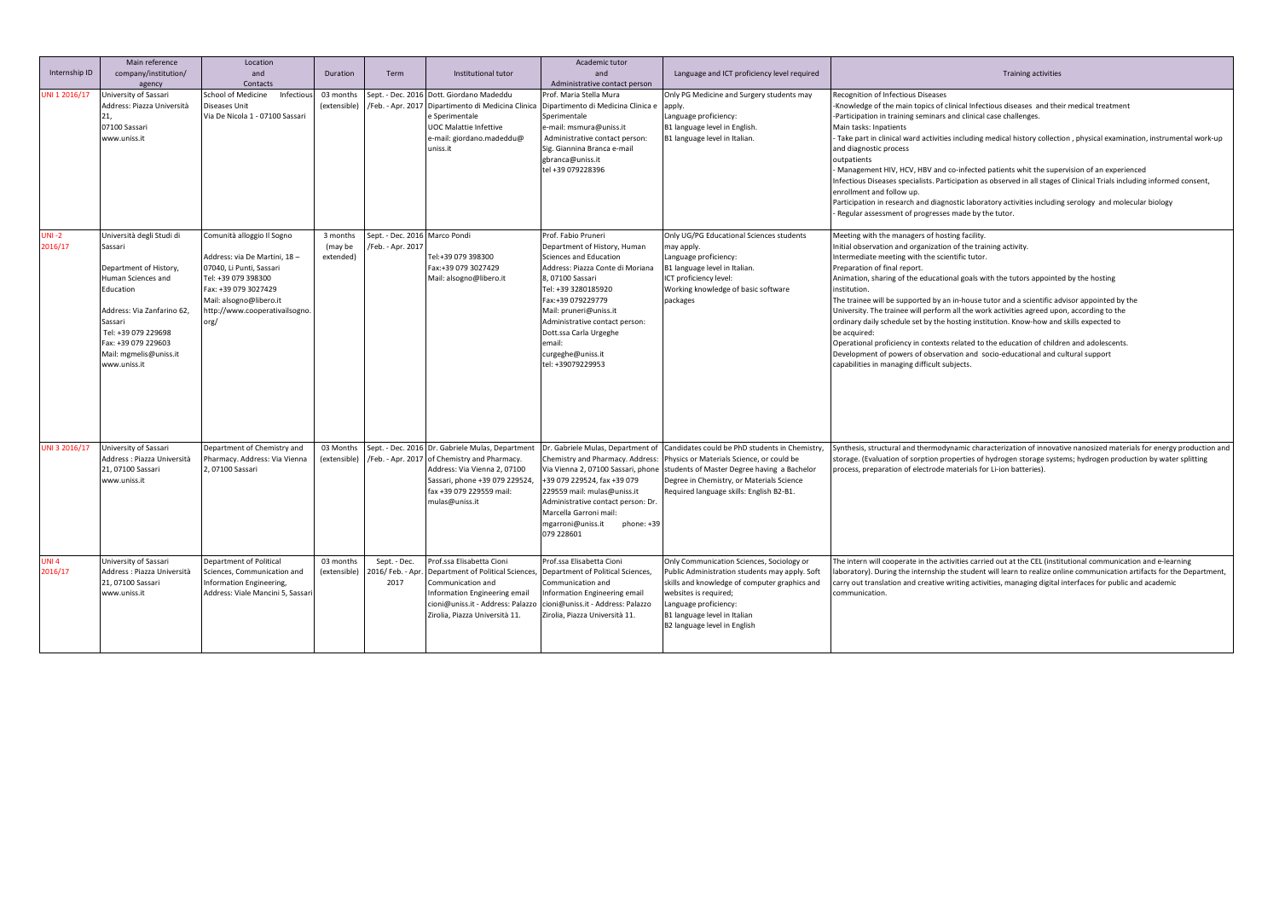| Internship ID          | Main reference<br>company/institution/                                                                                                                                                                                             | Location<br>and<br>Contacts                                                                                                                                                                                | Duration                         | Term                                               | Institutional tutor                                                                                                                                                                                              | Academic tutor<br>and                                                                                                                                                                                                                                                                                                     | Language and ICT proficiency level required                                                                                                                                                                                                                    | Training activities                                                                                                                                                                                                                                                                                                                                                                                                                                                                                                                                                                                                                                                                                                                                                                                                                                  |
|------------------------|------------------------------------------------------------------------------------------------------------------------------------------------------------------------------------------------------------------------------------|------------------------------------------------------------------------------------------------------------------------------------------------------------------------------------------------------------|----------------------------------|----------------------------------------------------|------------------------------------------------------------------------------------------------------------------------------------------------------------------------------------------------------------------|---------------------------------------------------------------------------------------------------------------------------------------------------------------------------------------------------------------------------------------------------------------------------------------------------------------------------|----------------------------------------------------------------------------------------------------------------------------------------------------------------------------------------------------------------------------------------------------------------|------------------------------------------------------------------------------------------------------------------------------------------------------------------------------------------------------------------------------------------------------------------------------------------------------------------------------------------------------------------------------------------------------------------------------------------------------------------------------------------------------------------------------------------------------------------------------------------------------------------------------------------------------------------------------------------------------------------------------------------------------------------------------------------------------------------------------------------------------|
| UNI 1 2016/17          | agency<br>University of Sassari<br>Address: Piazza Università<br>07100 Sassari<br>www.uniss.it                                                                                                                                     | Infectiou<br>School of Medicine<br>Diseases Unit<br>Via De Nicola 1 - 07100 Sassari                                                                                                                        | 03 month:<br>(extensible)        |                                                    | Sept. - Dec. 2016 Dott. Giordano Madeddu<br>/Feb. - Apr. 2017 Dipartimento di Medicina Clinica<br>Sperimentale<br><b>UOC Malattie Infettive</b><br>e-mail: giordano.madeddu@<br>uniss.it                         | Administrative contact person<br>rof. Maria Stella Mura<br>Dipartimento di Medicina Clinica e<br>Sperimentale<br>e-mail: msmura@uniss.it<br>Administrative contact person:<br>Sig. Giannina Branca e-mail<br>gbranca@uniss.it<br>tel +39 079228396                                                                        | Only PG Medicine and Surgery students may<br>apply.<br>Language proficiency:<br>B1 language level in English.<br>B1 language level in Italian.                                                                                                                 | Recognition of Infectious Diseases<br>-Knowledge of the main topics of clinical Infectious diseases and their medical treatment<br>-Participation in training seminars and clinical case challenges.<br>Main tasks: Inpatients<br>Take part in clinical ward activities including medical history collection, physical examination, instrumental work-up<br>and diagnostic process<br>outpatients<br>Management HIV, HCV, HBV and co-infected patients whit the supervision of an experienced<br>Infectious Diseases specialists. Participation as observed in all stages of Clinical Trials including informed consent,<br>enrollment and follow up.<br>Participation in research and diagnostic laboratory activities including serology and molecular biology<br>Regular assessment of progresses made by the tutor.                              |
| $UNI -2$<br>2016/17    | Università degli Studi di<br>Sassari<br>Department of History,<br>Human Sciences and<br>Education<br>Address: Via Zanfarino 62,<br>Sassari<br>Tel: +39 079 229698<br>Fax: +39 079 229603<br>Mail: mgmelis@uniss.it<br>www.uniss.it | Comunità alloggio Il Sogno<br>Address: via De Martini, 18-<br>07040, Li Punti, Sassari<br>Tel: +39 079 398300<br>Fax: +39 079 3027429<br>Mail: alsogno@libero.it<br>http://www.cooperativailsogno.<br>org/ | 3 months<br>(may be<br>extended) | Sept. - Dec. 2016 Marco Pondi<br>/Feb. - Apr. 2017 | Tel:+39 079 398300<br>Fax:+39 079 3027429<br>Mail: alsogno@libero.it                                                                                                                                             | Prof. Fabio Pruneri<br>Department of History, Human<br>Sciences and Education<br>Address: Piazza Conte di Moriana<br>8.07100 Sassari<br>Tel: +39 3280185920<br>Fax:+39 079229779<br>Mail: pruneri@uniss.it<br>Administrative contact person:<br>Dott.ssa Carla Urgeghe<br>email:<br>curgeghe@uniss.it<br>el: +39079229953 | Only UG/PG Educational Sciences students<br>may apply.<br>Language proficiency:<br>B1 language level in Italian.<br>ICT proficiency level:<br>Working knowledge of basic software<br>packages                                                                  | Meeting with the managers of hosting facility.<br>Initial observation and organization of the training activity.<br>Intermediate meeting with the scientific tutor.<br>Preparation of final report.<br>Animation, sharing of the educational goals with the tutors appointed by the hosting<br>institution.<br>The trainee will be supported by an in-house tutor and a scientific advisor appointed by the<br>University. The trainee will perform all the work activities agreed upon, according to the<br>ordinary daily schedule set by the hosting institution. Know-how and skills expected to<br>be acquired:<br>Operational proficiency in contexts related to the education of children and adolescents.<br>Development of powers of observation and socio-educational and cultural support<br>capabilities in managing difficult subjects. |
| UNI 3 2016/17          | University of Sassari<br>Address : Piazza Università<br>21.07100 Sassari<br>www.uniss.it                                                                                                                                           | Department of Chemistry and<br>Pharmacy. Address: Via Vienna<br>2.07100 Sassari                                                                                                                            | 03 Months<br>(extensible)        |                                                    | Sept. - Dec. 2016 Dr. Gabriele Mulas, Department<br>/Feb. - Apr. 2017 of Chemistry and Pharmacy.<br>Address: Via Vienna 2, 07100<br>Sassari, phone +39 079 229524,<br>fax +39 079 229559 mail:<br>mulas@uniss.it | Dr. Gabriele Mulas, Department of<br>Chemistry and Pharmacy. Address:<br>Via Vienna 2, 07100 Sassari, phone<br>+39 079 229524, fax +39 079<br>229559 mail: mulas@uniss.it<br>Administrative contact person: Dr.<br>Marcella Garroni mail:<br>phone: +39<br>mgarroni@uniss.it<br>079 228601                                | Candidates could be PhD students in Chemistry<br>Physics or Materials Science, or could be<br>students of Master Degree having a Bachelor<br>Degree in Chemistry, or Materials Science<br>Required language skills: English B2-B1.                             | Synthesis, structural and thermodynamic characterization of innovative nanosized materials for energy production and<br>storage. (Evaluation of sorption properties of hydrogen storage systems; hydrogen production by water splitting<br>process, preparation of electrode materials for Li-ion batteries).                                                                                                                                                                                                                                                                                                                                                                                                                                                                                                                                        |
| <b>UNI4</b><br>2016/17 | University of Sassari<br>Address : Piazza Università<br>21, 07100 Sassari<br>www.uniss.it                                                                                                                                          | Department of Political<br>Sciences, Communication and<br>Information Engineering,<br>Address: Viale Mancini 5, Sassar                                                                                     | 03 months<br>(extensible)        | Sept. - Dec.<br>016/ Feb. - Apr<br>2017            | Prof.ssa Elisabetta Cioni<br>Department of Political Sciences,<br>Communication and<br>Information Engineering email<br>cioni@uniss.it - Address: Palazzo<br>Zirolia, Piazza Università 11.                      | Prof.ssa Elisabetta Cioni<br>Department of Political Sciences,<br>Communication and<br>nformation Engineering email<br>cioni@uniss.it - Address: Palazzo<br>Zirolia, Piazza Università 11.                                                                                                                                | Only Communication Sciences, Sociology or<br>Public Administration students may apply. Soft<br>skills and knowledge of computer graphics and<br>websites is required;<br>Language proficiency:<br>B1 language level in Italian<br>B2 language level in English | The intern will cooperate in the activities carried out at the CEL (institutional communication and e-learning<br>laboratory). During the internship the student will learn to realize online communication artifacts for the Department,<br>carry out translation and creative writing activities, managing digital interfaces for public and academic<br>communication.                                                                                                                                                                                                                                                                                                                                                                                                                                                                            |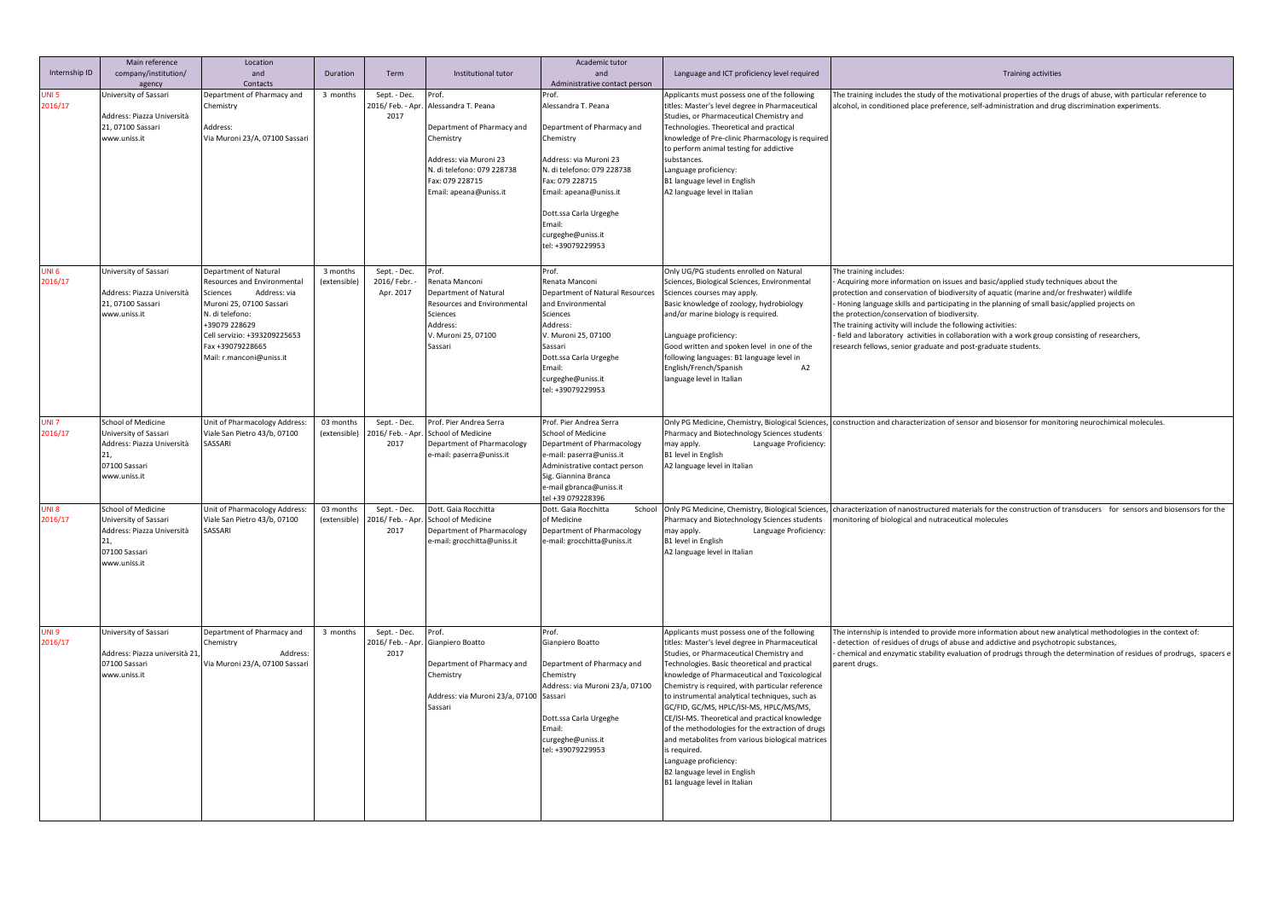| Internship ID           | Main reference<br>company/institution/<br>agency                                                                  | Location<br>and<br>Contacts                                                                                                                                                                                                   | Duration                  | Term                                       | Institutional tutor                                                                                                                                                          | Academic tutor<br>and<br>Administrative contact person                                                                                                                                                                                                     | Language and ICT proficiency level required                                                                                                                                                                                                                                                                                                                                                                                                                                                                                                                                                                                                                       | <b>Training activities</b>                                                                                                                                                                                                                                                                                                                                                                                                                                                                                                                                                                 |
|-------------------------|-------------------------------------------------------------------------------------------------------------------|-------------------------------------------------------------------------------------------------------------------------------------------------------------------------------------------------------------------------------|---------------------------|--------------------------------------------|------------------------------------------------------------------------------------------------------------------------------------------------------------------------------|------------------------------------------------------------------------------------------------------------------------------------------------------------------------------------------------------------------------------------------------------------|-------------------------------------------------------------------------------------------------------------------------------------------------------------------------------------------------------------------------------------------------------------------------------------------------------------------------------------------------------------------------------------------------------------------------------------------------------------------------------------------------------------------------------------------------------------------------------------------------------------------------------------------------------------------|--------------------------------------------------------------------------------------------------------------------------------------------------------------------------------------------------------------------------------------------------------------------------------------------------------------------------------------------------------------------------------------------------------------------------------------------------------------------------------------------------------------------------------------------------------------------------------------------|
| UNI 5<br>2016/17        | University of Sassari<br>Address: Piazza Università<br>21, 07100 Sassari<br>www.uniss.it                          | Department of Pharmacy and<br>Chemistry<br>Address:<br>Via Muroni 23/A, 07100 Sassari                                                                                                                                         | 3 months                  | Sept. - Dec.<br>2016/ Feb. - Apr.<br>2017  | Prof.<br>Alessandra T. Peana<br>Department of Pharmacy and<br>Chemistry<br>Address: via Muroni 23<br>N. di telefono: 079 228738<br>Fax: 079 228715<br>Email: apeana@uniss.it | Prof.<br>Alessandra T. Peana<br>Department of Pharmacy and<br>Chemistry<br>Address: via Muroni 23<br>N. di telefono: 079 228738<br>Fax: 079 228715<br>Email: apeana@uniss.it<br>Dott.ssa Carla Urgeghe<br>Email:<br>curgeghe@uniss.it<br>tel: +39079229953 | Applicants must possess one of the following<br>titles: Master's level degree in Pharmaceutical<br>Studies, or Pharmaceutical Chemistry and<br>Technologies. Theoretical and practical<br>knowledge of Pre-clinic Pharmacology is required<br>to perform animal testing for addictive<br>substances.<br>Language proficiency:<br>B1 language level in English<br>A2 language level in Italian                                                                                                                                                                                                                                                                     | The training includes the study of the motivational properties of the drugs of abuse, with particular reference to<br>alcohol, in conditioned place preference, self-administration and drug discrimination experiments.                                                                                                                                                                                                                                                                                                                                                                   |
| <b>UNI 6</b><br>2016/17 | University of Sassari<br>Address: Piazza Università<br>21, 07100 Sassari<br>www.uniss.it                          | Department of Natural<br>esources and Environmental<br>Address: via<br>Sciences<br>Muroni 25, 07100 Sassari<br>N. di telefono:<br>39079 228629<br>Cell servizio: +393209225653<br>ax +39079228665<br>Mail: r.manconi@uniss.it | 3 months<br>(extensible)  | Sept. - Dec.<br>2016/ Febr. -<br>Apr. 2017 | Prof.<br>Renata Manconi<br>Department of Natural<br>Resources and Environmental<br>Sciences<br>Address:<br>V. Muroni 25, 07100<br>Sassari                                    | Prof.<br>Renata Manconi<br>Department of Natural Resources<br>and Environmental<br>Sciences<br>Address:<br>V. Muroni 25, 07100<br>Sassari<br>Dott.ssa Carla Urgeghe<br>Email:<br>curgeghe@uniss.it<br>tel: +39079229953                                    | Only UG/PG students enrolled on Natural<br>Sciences, Biological Sciences, Environmental<br>Sciences courses may apply.<br>Basic knowledge of zoology, hydrobiology<br>and/or marine biology is required.<br>Language proficiency:<br>Good written and spoken level in one of the<br>following languages: B1 language level in<br>English/French/Spanish<br>A2<br>language level in Italian                                                                                                                                                                                                                                                                        | The training includes:<br>Acquiring more information on issues and basic/applied study techniques about the<br>protection and conservation of biodiversity of aquatic (marine and/or freshwater) wildlife<br>Honing language skills and participating in the planning of small basic/applied projects on<br>the protection/conservation of biodiversity.<br>The training activity will include the following activities:<br>field and laboratory activities in collaboration with a work group consisting of researchers,<br>research fellows, senior graduate and post-graduate students. |
| UNI 7<br>2016/17        | School of Medicine<br>University of Sassari<br>Address: Piazza Università<br>21.<br>07100 Sassari<br>www.uniss.it | Unit of Pharmacology Address:<br>Viale San Pietro 43/b, 07100<br>SASSARI                                                                                                                                                      | 03 months<br>(extensible) | Sept. - Dec.<br>2016/ Feb. - Apr.<br>2017  | Prof. Pier Andrea Serra<br>School of Medicine<br>Department of Pharmacology<br>e-mail: paserra@uniss.it                                                                      | Prof. Pier Andrea Serra<br>School of Medicine<br>Department of Pharmacology<br>e-mail: paserra@uniss.it<br>Administrative contact person<br>Sig. Giannina Branca<br>e-mail gbranca@uniss.it<br>tel +39 079228396                                           | Only PG Medicine, Chemistry, Biological Sciences,<br>Pharmacy and Biotechnology Sciences students<br>Language Proficiency:<br>may apply.<br>B1 level in English<br>A2 language level in Italian                                                                                                                                                                                                                                                                                                                                                                                                                                                                   | construction and characterization of sensor and biosensor for monitoring neurochimical molecules.                                                                                                                                                                                                                                                                                                                                                                                                                                                                                          |
| UNI 8<br>2016/17        | School of Medicine<br>University of Sassari<br>Address: Piazza Università<br>07100 Sassari<br>www.uniss.it        | <b>Jnit of Pharmacology Address:</b><br>Viale San Pietro 43/b, 07100<br>SASSARI                                                                                                                                               | 03 months<br>(extensible) | Sept. - Dec.<br>2016/ Feb. - Apr.<br>2017  | Dott. Gaia Rocchitta<br>School of Medicine<br>Department of Pharmacology<br>e-mail: grocchitta@uniss.it                                                                      | Dott. Gaia Rocchitta<br>of Medicine<br>Department of Pharmacology<br>e-mail: grocchitta@uniss.it                                                                                                                                                           | School Only PG Medicine, Chemistry, Biological Sciences,<br>Pharmacy and Biotechnology Sciences students<br>nay apply.<br>Language Proficiency:<br>B1 level in English<br>A2 language level in Italian                                                                                                                                                                                                                                                                                                                                                                                                                                                            | characterization of nanostructured materials for the construction of transducers for sensors and biosensors for the<br>monitoring of biological and nutraceutical molecules                                                                                                                                                                                                                                                                                                                                                                                                                |
| <b>UNI9</b><br>2016/17  | University of Sassari<br>Address: Piazza università 21<br>07100 Sassari<br>www.uniss.it                           | Department of Pharmacy and<br>hemistry:<br>Address<br>Via Muroni 23/A, 07100 Sassari                                                                                                                                          | 3 months                  | Sept. - Dec.<br>2016/ Feb. - Apr.<br>2017  | Prof.<br>Gianpiero Boatto<br>Department of Pharmacy and<br>Chemistry<br>Address: via Muroni 23/a, 07100<br>Sassari                                                           | Prof.<br>Gianpiero Boatto<br>Department of Pharmacy and<br>Chemistry<br>Address: via Muroni 23/a, 07100<br>Sassari<br>Dott.ssa Carla Urgeghe<br>Email:<br>curgeghe@uniss.it<br>tel: +39079229953                                                           | Applicants must possess one of the following<br>titles: Master's level degree in Pharmaceutical<br>Studies, or Pharmaceutical Chemistry and<br>Technologies. Basic theoretical and practical<br>knowledge of Pharmaceutical and Toxicological<br>Chemistry is required, with particular reference<br>to instrumental analytical techniques, such as<br>GC/FID, GC/MS, HPLC/ISI-MS, HPLC/MS/MS,<br>CE/ISI-MS. Theoretical and practical knowledge<br>of the methodologies for the extraction of drugs<br>and metabolites from various biological matrices<br>is required.<br>Language proficiency:<br>B2 language level in English<br>B1 language level in Italian | The internship is intended to provide more information about new analytical methodologies in the context of:<br>detection of residues of drugs of abuse and addictive and psychotropic substances,<br>chemical and enzymatic stability evaluation of prodrugs through the determination of residues of prodrugs, spacers e<br>parent drugs.                                                                                                                                                                                                                                                |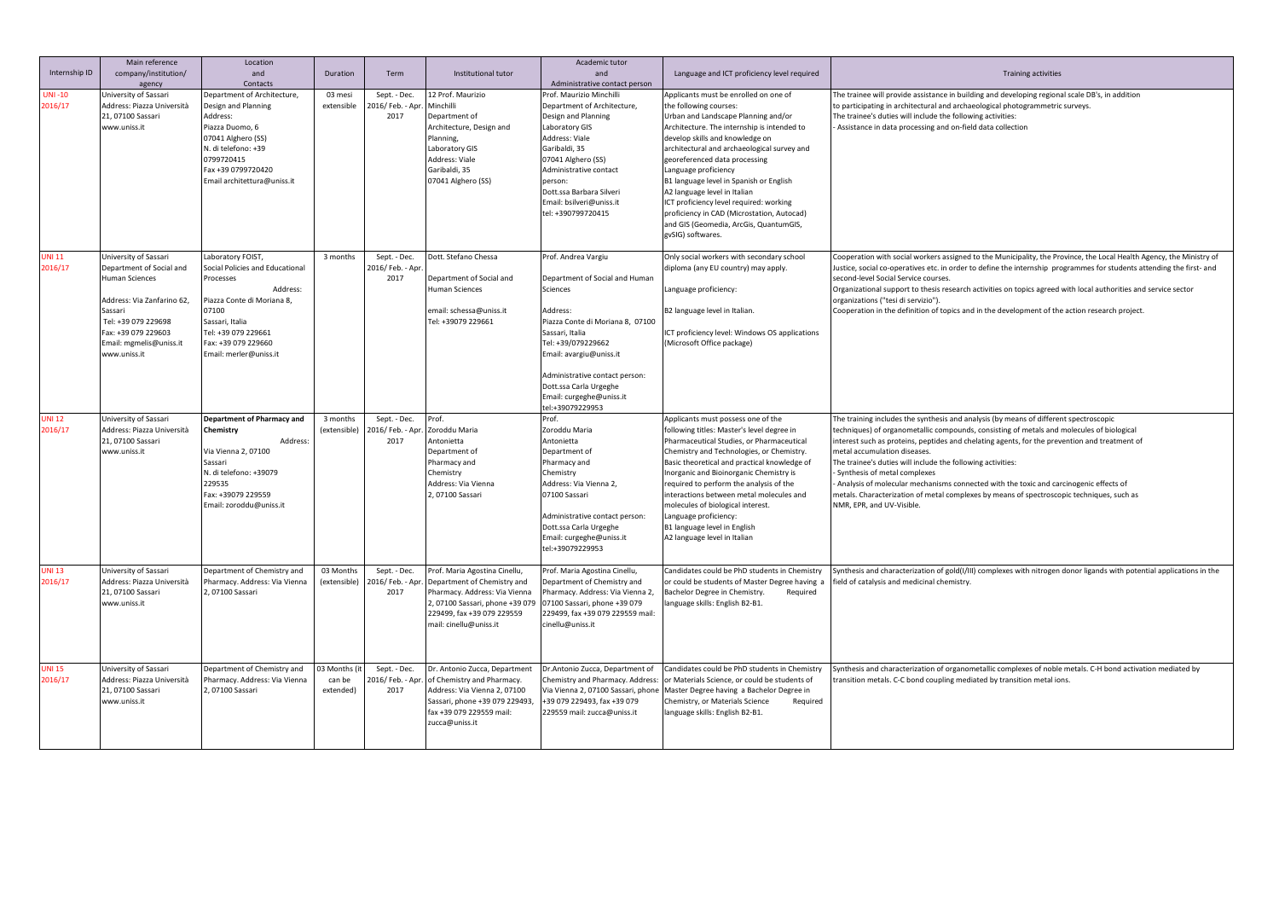| Internship ID     | Main reference<br>company/institution/<br>agency                                                                                                                                                      | Location<br>and<br>Contacts                                                                                                                                                                                     | Duration                           | Term                                      | Institutional tutor                                                                                                                                                                      | Academic tutor<br>and<br>Administrative contact person                                                                                                                                                                                                                                            | Language and ICT proficiency level required                                                                                                                                                                                                                                                                                                                                                                                                                                                                                         | <b>Training activities</b>                                                                                                                                                                                                                                                                                                                                                                                                                                                                                                                                                                                                            |
|-------------------|-------------------------------------------------------------------------------------------------------------------------------------------------------------------------------------------------------|-----------------------------------------------------------------------------------------------------------------------------------------------------------------------------------------------------------------|------------------------------------|-------------------------------------------|------------------------------------------------------------------------------------------------------------------------------------------------------------------------------------------|---------------------------------------------------------------------------------------------------------------------------------------------------------------------------------------------------------------------------------------------------------------------------------------------------|-------------------------------------------------------------------------------------------------------------------------------------------------------------------------------------------------------------------------------------------------------------------------------------------------------------------------------------------------------------------------------------------------------------------------------------------------------------------------------------------------------------------------------------|---------------------------------------------------------------------------------------------------------------------------------------------------------------------------------------------------------------------------------------------------------------------------------------------------------------------------------------------------------------------------------------------------------------------------------------------------------------------------------------------------------------------------------------------------------------------------------------------------------------------------------------|
| UNI-10<br>2016/17 | Jniversity of Sassari<br>Address: Piazza Università<br>21.07100 Sassari<br>www.uniss.it                                                                                                               | Department of Architecture,<br>Design and Planning<br>Address:<br>Piazza Duomo, 6<br>07041 Alghero (SS)<br>N. di telefono: +39<br>0799720415<br>Fax +39 0799720420<br>Email architettura@uniss.it               | 03 mesi<br>extensible              | Sept. - Dec.<br>2016/ Feb. - Apr.<br>2017 | 12 Prof. Maurizio<br>Minchilli<br>Department of<br>Architecture, Design and<br>Planning,<br>Laboratory GIS<br>Address: Viale<br>Garibaldi, 35<br>07041 Alghero (SS)                      | Prof. Maurizio Minchilli<br>Department of Architecture,<br>Design and Planning<br>Laboratory GIS<br>Address: Viale<br>Garibaldi, 35<br>07041 Alghero (SS)<br>Administrative contact<br>person:<br>Dott.ssa Barbara Silveri<br>Email: bsilveri@uniss.it<br>tel: +390799720415                      | Applicants must be enrolled on one of<br>the following courses:<br>Urban and Landscape Planning and/or<br>Architecture. The internship is intended to<br>develop skills and knowledge on<br>architectural and archaeological survey and<br>georeferenced data processing<br>Language proficiency<br>B1 language level in Spanish or English<br>A2 language level in Italian<br>ICT proficiency level required: working<br>proficiency in CAD (Microstation, Autocad)<br>and GIS (Geomedia, ArcGis, QuantumGIS,<br>gvSIG) softwares. | The trainee will provide assistance in building and developing regional scale DB's, in addition<br>to participating in architectural and archaeological photogrammetric surveys.<br>The trainee's duties will include the following activities:<br>Assistance in data processing and on-field data collection                                                                                                                                                                                                                                                                                                                         |
| JNI 11<br>2016/17 | Jniversity of Sassari<br>Department of Social and<br>Human Sciences<br>Address: Via Zanfarino 62,<br>Sassari<br>Tel: +39 079 229698<br>Fax: +39 079 229603<br>Email: mgmelis@uniss.it<br>www.uniss.it | Laboratory FOIST,<br>Social Policies and Educational<br>Processes<br>Address:<br>Piazza Conte di Moriana 8,<br>07100<br>Sassari, Italia<br>Tel: +39 079 229661<br>Fax: +39 079 229660<br>Email: merler@uniss.it | 3 months                           | Sept. - Dec.<br>2016/ Feb. - Apr<br>2017  | Dott. Stefano Chessa<br>Department of Social and<br>Human Sciences<br>email: schessa@uniss.it<br>Tel: +39079 229661                                                                      | Prof. Andrea Vargiu<br>Department of Social and Human<br>Sciences<br>Address:<br>Piazza Conte di Moriana 8, 07100<br>Sassari, Italia<br>Tel: +39/079229662<br>Email: avargiu@uniss.it<br>Administrative contact person:<br>Dott.ssa Carla Urgeghe<br>Email: curgeghe@uniss.it<br>tel:+39079229953 | Only social workers with secondary school<br>diploma (any EU country) may apply.<br>Language proficiency:<br>B2 language level in Italian.<br>ICT proficiency level: Windows OS applications<br>(Microsoft Office package)                                                                                                                                                                                                                                                                                                          | Cooperation with social workers assigned to the Municipality, the Province, the Local Health Agency, the Ministry of<br>Justice, social co-operatives etc. in order to define the internship programmes for students attending the first- and<br>second-level Social Service courses.<br>Organizational support to thesis research activities on topics agreed with local authorities and service sector<br>organizations ("tesi di servizio").<br>Cooperation in the definition of topics and in the development of the action research project.                                                                                     |
| JNI 12<br>2016/17 | University of Sassari<br>Address: Piazza Università<br>21, 07100 Sassari<br>www.uniss.it                                                                                                              | <b>Department of Pharmacy and</b><br>Chemistry<br>Address<br>Via Vienna 2, 07100<br>Sassari<br>N. di telefono: +39079<br>229535<br>Fax: +39079 229559<br>Email: zoroddu@uniss.it                                | 3 months<br>(extensible)           | Sept. - Dec.<br>2016/ Feb. - Apr.<br>2017 | Prof.<br>Zoroddu Maria<br>Antonietta<br>Department of<br>Pharmacy and<br>Chemistry<br>Address: Via Vienna<br>2,07100 Sassari                                                             | Prof.<br>Zoroddu Maria<br>Antonietta<br>Department of<br>Pharmacy and<br>Chemistry<br>Address: Via Vienna 2,<br>07100 Sassari<br>Administrative contact person:<br>Dott.ssa Carla Urgeghe<br>Email: curgeghe@uniss.it<br>tel:+39079229953                                                         | Applicants must possess one of the<br>following titles: Master's level degree in<br>Pharmaceutical Studies, or Pharmaceutical<br>Chemistry and Technologies, or Chemistry.<br>Basic theoretical and practical knowledge of<br>Inorganic and Bioinorganic Chemistry is<br>required to perform the analysis of the<br>interactions between metal molecules and<br>molecules of biological interest.<br>Language proficiency:<br>B1 language level in English<br>A2 language level in Italian                                          | The training includes the synthesis and analysis (by means of different spectroscopic<br>techniques) of organometallic compounds, consisting of metals and molecules of biological<br>interest such as proteins, peptides and chelating agents, for the prevention and treatment of<br>metal accumulation diseases.<br>The trainee's duties will include the following activities:<br>Synthesis of metal complexes<br>Analysis of molecular mechanisms connected with the toxic and carcinogenic effects of<br>metals. Characterization of metal complexes by means of spectroscopic techniques, such as<br>NMR, EPR, and UV-Visible. |
| JNI 13<br>2016/17 | Jniversity of Sassari<br>Address: Piazza Università<br>21.07100 Sassari<br>www.uniss.it                                                                                                               | Department of Chemistry and<br>Pharmacy. Address: Via Vienna<br>2,07100 Sassari                                                                                                                                 | 03 Months<br>(extensible)          | Sept. - Dec.<br>2016/ Feb. - Apr<br>2017  | Prof. Maria Agostina Cinellu,<br>Department of Chemistry and<br>Pharmacy. Address: Via Vienna<br>2, 07100 Sassari, phone +39 079<br>229499, fax +39 079 229559<br>mail: cinellu@uniss.it | Prof. Maria Agostina Cinellu,<br>Department of Chemistry and<br>Pharmacy, Address: Via Vienna 2.<br>07100 Sassari, phone +39 079<br>229499, fax +39 079 229559 mail:<br>cinellu@uniss.it                                                                                                          | Candidates could be PhD students in Chemistry<br>or could be students of Master Degree having a<br>Bachelor Degree in Chemistry.<br>Required<br>language skills: English B2-B1.                                                                                                                                                                                                                                                                                                                                                     | Synthesis and characterization of gold(I/III) complexes with nitrogen donor ligands with potential applications in the<br>field of catalysis and medicinal chemistry.                                                                                                                                                                                                                                                                                                                                                                                                                                                                 |
| JNI 15<br>2016/17 | Jniversity of Sassari<br>Address: Piazza Università<br>21, 07100 Sassari<br>www.uniss.it                                                                                                              | Department of Chemistry and<br>Pharmacy. Address: Via Vienna<br>2,07100 Sassari                                                                                                                                 | 3 Months (i<br>can be<br>extended) | Sept. - Dec.<br>2016/ Feb. - Apr.<br>2017 | Dr. Antonio Zucca, Department<br>of Chemistry and Pharmacy.<br>Address: Via Vienna 2, 07100<br>Sassari, phone +39 079 229493,<br>fax +39 079 229559 mail:<br>zucca@uniss.it              | Dr.Antonio Zucca, Department of<br>Chemistry and Pharmacy. Address:<br>Via Vienna 2, 07100 Sassari, phone<br>+39 079 229493, fax +39 079<br>229559 mail: zucca@uniss.it                                                                                                                           | Candidates could be PhD students in Chemistry<br>or Materials Science, or could be students of<br>Master Degree having a Bachelor Degree in<br>Chemistry, or Materials Science<br>Required<br>language skills: English B2-B1.                                                                                                                                                                                                                                                                                                       | Synthesis and characterization of organometallic complexes of noble metals. C-H bond activation mediated by<br>transition metals. C-C bond coupling mediated by transition metal ions.                                                                                                                                                                                                                                                                                                                                                                                                                                                |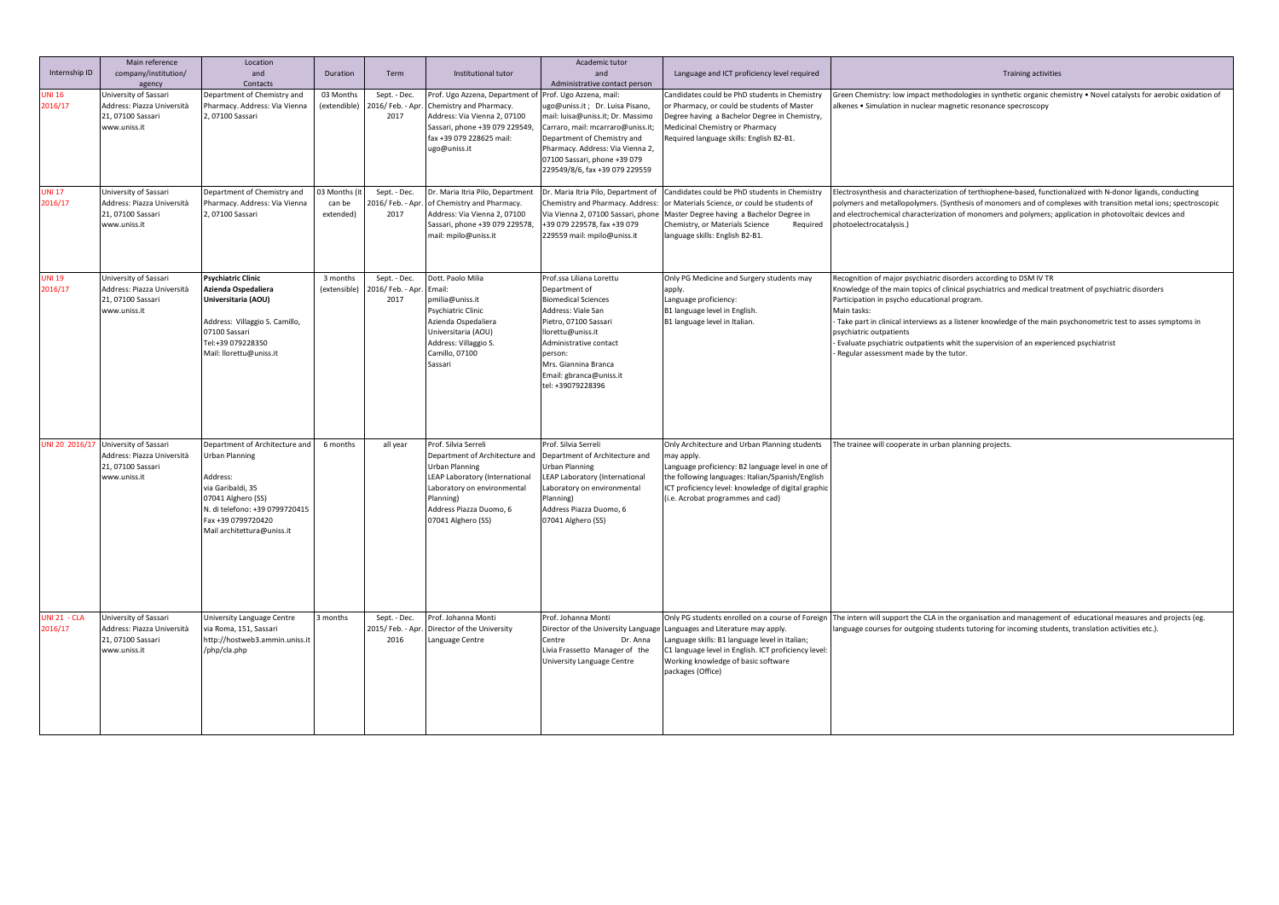| Internship ID           | Main reference<br>company/institution/<br>agency                                         | Location<br>and<br>Contacts                                                                                                                                                                   | <b>Duration</b>                     | Term                                      | Institutional tutor                                                                                                                                                                                     | Academic tutor<br>and<br>Administrative contact person                                                                                                                                                                                                                    | Language and ICT proficiency level required                                                                                                                                                                                                                                                          | <b>Training activities</b>                                                                                                                                                                                                                                                                                                                                                                                                                                                                                            |
|-------------------------|------------------------------------------------------------------------------------------|-----------------------------------------------------------------------------------------------------------------------------------------------------------------------------------------------|-------------------------------------|-------------------------------------------|---------------------------------------------------------------------------------------------------------------------------------------------------------------------------------------------------------|---------------------------------------------------------------------------------------------------------------------------------------------------------------------------------------------------------------------------------------------------------------------------|------------------------------------------------------------------------------------------------------------------------------------------------------------------------------------------------------------------------------------------------------------------------------------------------------|-----------------------------------------------------------------------------------------------------------------------------------------------------------------------------------------------------------------------------------------------------------------------------------------------------------------------------------------------------------------------------------------------------------------------------------------------------------------------------------------------------------------------|
| JNI 16<br>2016/17       | University of Sassari<br>Address: Piazza Università<br>21, 07100 Sassari<br>www.uniss.it | Department of Chemistry and<br>Pharmacy. Address: Via Vienna<br>2,07100 Sassari                                                                                                               | 03 Months<br>(extendible)           | Sept. - Dec.<br>2016/ Feb. - Apr<br>2017  | rof. Ugo Azzena, Department of<br>Chemistry and Pharmacy.<br>Address: Via Vienna 2, 07100<br>Sassari, phone +39 079 229549,<br>fax +39 079 228625 mail:<br>ugo@uniss.it                                 | Prof. Ugo Azzena, mail:<br>ugo@uniss.it; Dr. Luisa Pisano,<br>mail: luisa@uniss.it; Dr. Massimo<br>Carraro, mail: mcarraro@uniss.it;<br>Department of Chemistry and<br>Pharmacy. Address: Via Vienna 2,<br>07100 Sassari, phone +39 079<br>229549/8/6, fax +39 079 229559 | Candidates could be PhD students in Chemistry<br>or Pharmacy, or could be students of Master<br>legree having a Bachelor Degree in Chemistry,<br>Medicinal Chemistry or Pharmacy<br>Required language skills: English B2-B1.                                                                         | Green Chemistry: low impact methodologies in synthetic organic chemistry • Novel catalysts for aerobic oxidation of<br>alkenes . Simulation in nuclear magnetic resonance specroscopy                                                                                                                                                                                                                                                                                                                                 |
| UNI 17<br>2016/17       | University of Sassari<br>Address: Piazza Università<br>21, 07100 Sassari<br>www.uniss.it | Department of Chemistry and<br>Pharmacy. Address: Via Vienna<br>2,07100 Sassari                                                                                                               | 03 Months (i<br>can be<br>extended) | Sept. - Dec.<br>2016/ Feb. - Apr.<br>2017 | Dr. Maria Itria Pilo, Department<br>of Chemistry and Pharmacy.<br>Address: Via Vienna 2, 07100<br>Sassari, phone +39 079 229578,<br>mail: mpilo@uniss.it                                                | Chemistry and Pharmacy. Address:<br>+39 079 229578, fax +39 079<br>229559 mail: mpilo@uniss.it                                                                                                                                                                            | Dr. Maria Itria Pilo, Department of Candidates could be PhD students in Chemistry<br>or Materials Science, or could be students of<br>Via Vienna 2, 07100 Sassari, phone Master Degree having a Bachelor Degree in<br>Chemistry, or Materials Science<br>Required<br>language skills: English B2-B1. | Electrosynthesis and characterization of terthiophene-based, functionalized with N-donor ligands, conducting<br>polymers and metallopolymers. (Synthesis of monomers and of complexes with transition metal ions; spectroscopic<br>and electrochemical characterization of monomers and polymers; application in photovoltaic devices and<br>photoelectrocatalysis.)                                                                                                                                                  |
| UNI 19<br>2016/17       | University of Sassari<br>Address: Piazza Università<br>21.07100 Sassari<br>www.uniss.it  | <b>Psychiatric Clinic</b><br>Azienda Ospedaliera<br>Universitaria (AOU)<br>Address: Villaggio S. Camillo,<br>07100 Sassari<br>Tel:+39 079228350<br>Mail: Ilorettu@uniss.it                    | 3 months<br>(extensible)            | Sept. - Dec.<br>2016/ Feb. - Apr<br>2017  | Dott. Paolo Milia<br>Email:<br>pmilia@uniss.it<br>Psychiatric Clinic<br>Azienda Ospedaliera<br>Universitaria (AOU)<br>Address: Villaggio S.<br>Camillo, 07100<br>Sassari                                | Prof.ssa Liliana Lorettu<br>Department of<br><b>Biomedical Sciences</b><br>Address: Viale San<br>Pietro, 07100 Sassari<br>llorettu@uniss.it<br>Administrative contact<br>nerson:<br>Mrs. Giannina Branca<br>Email: gbranca@uniss.it<br>tel: +39079228396                  | Only PG Medicine and Surgery students may<br>apply.<br>Language proficiency:<br>B1 language level in English.<br>B1 language level in Italian.                                                                                                                                                       | Recognition of major psychiatric disorders according to DSM IV TR<br>Knowledge of the main topics of clinical psychiatrics and medical treatment of psychiatric disorders<br>Participation in psycho educational program.<br>Main tasks:<br>Take part in clinical interviews as a listener knowledge of the main psychonometric test to asses symptoms in<br>psychiatric outpatients<br>Evaluate psychiatric outpatients whit the supervision of an experienced psychiatrist<br>Regular assessment made by the tutor. |
| UNI 20 2016/17          | University of Sassari<br>Address: Piazza Università<br>21, 07100 Sassari<br>www.uniss.it | Department of Architecture and<br>Jrban Planning<br>Address:<br>via Garibaldi, 35<br>07041 Alghero (SS)<br>I. di telefono: +39 0799720415<br>Fax +39 0799720420<br>Mail architettura@uniss.it | 6 months                            | all year                                  | Prof. Silvia Serreli<br>Department of Architecture and<br>Urban Planning<br>LEAP Laboratory (International<br>Laboratory on environmental<br>Planning)<br>Address Piazza Duomo, 6<br>07041 Alghero (SS) | Prof. Silvia Serreli<br>Department of Architecture and<br>Jrban Planning<br><b>EAP Laboratory (International</b><br>aboratory on environmental<br>Planning)<br>Address Piazza Duomo, 6<br>07041 Alghero (SS)                                                              | Only Architecture and Urban Planning students<br>may apply.<br>Language proficiency: B2 language level in one of<br>the following languages: Italian/Spanish/English<br>ICT proficiency level: knowledge of digital graphic<br>(i.e. Acrobat programmes and cad)                                     | The trainee will cooperate in urban planning projects.                                                                                                                                                                                                                                                                                                                                                                                                                                                                |
| UNI 21 - CLA<br>2016/17 | University of Sassari<br>Address: Piazza Università<br>21, 07100 Sassari<br>www.uniss.it | University Language Centre<br>via Roma, 151, Sassari<br>nttp://hostweb3.ammin.uniss.it<br>/php/cla.php                                                                                        | 3 months                            | Sept. - Dec.<br>2015/ Feb. - Apr<br>2016  | Prof. Johanna Monti<br>Director of the University<br>Language Centre                                                                                                                                    | Prof. Johanna Monti<br>Dr. Anna<br>Centre<br>Livia Frassetto Manager of the<br>University Language Centre                                                                                                                                                                 | Only PG students enrolled on a course of Foreign<br>Director of the University Language Languages and Literature may apply.<br>anguage skills: B1 language level in Italian;<br>C1 language level in English. ICT proficiency level:<br>Working knowledge of basic software<br>packages (Office)     | The intern will support the CLA in the organisation and management of educational measures and projects (eg.<br>anguage courses for outgoing students tutoring for incoming students, translation activities etc.).                                                                                                                                                                                                                                                                                                   |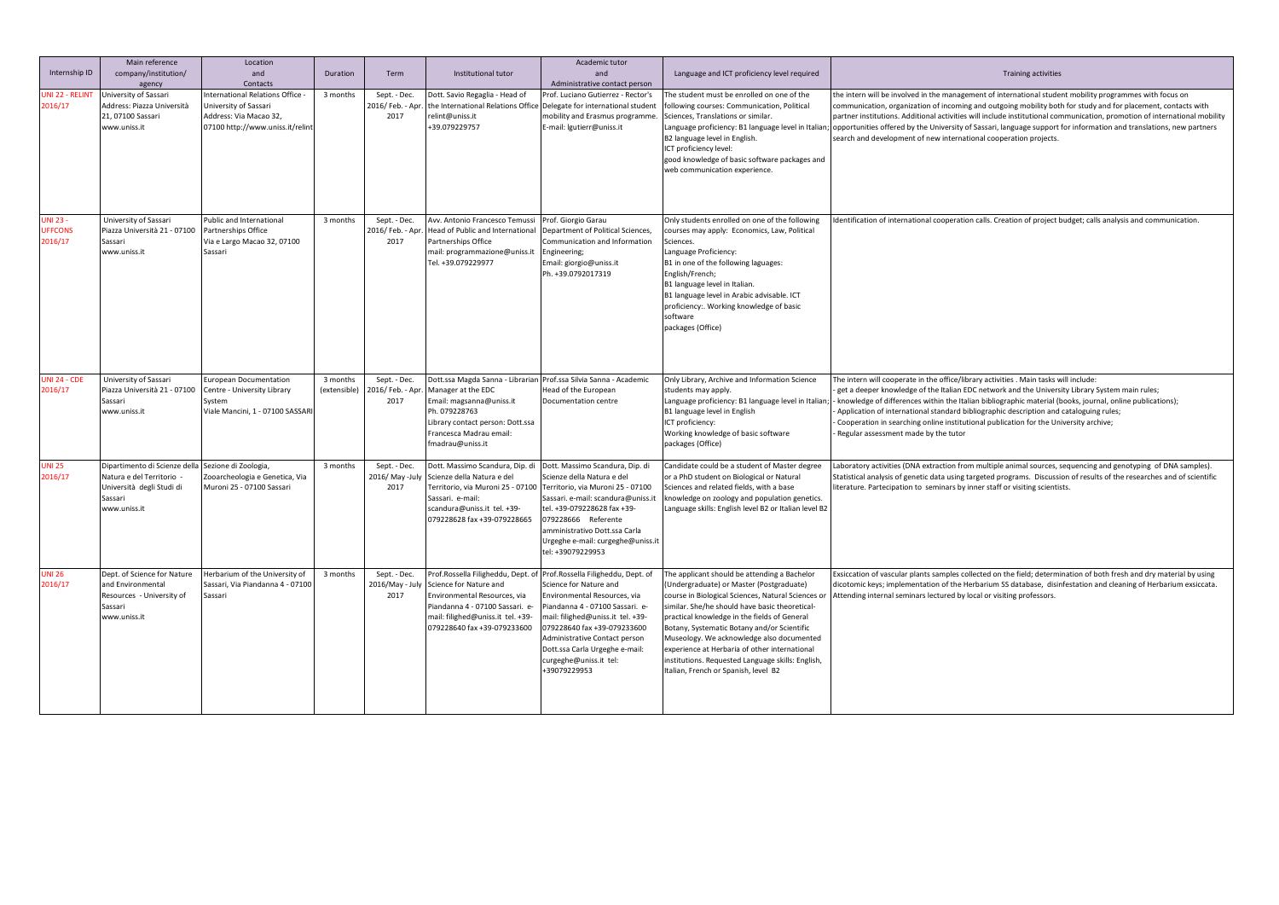| Internship ID                         | Main reference<br>company/institution/<br>agency                                                                   | Location<br>and<br>Contacts                                                                                             | Duration                 | Term                                      | Institutional tutor                                                                                                                                                                                 | Academic tutor<br>and<br>Administrative contact person                                                                                                                                                                                                                                                           | Language and ICT proficiency level required                                                                                                                                                                                                                                                                                                                                                                                                                                                | <b>Training activities</b>                                                                                                                                                                                                                                                                                                                                                                                                                                                                                                                         |
|---------------------------------------|--------------------------------------------------------------------------------------------------------------------|-------------------------------------------------------------------------------------------------------------------------|--------------------------|-------------------------------------------|-----------------------------------------------------------------------------------------------------------------------------------------------------------------------------------------------------|------------------------------------------------------------------------------------------------------------------------------------------------------------------------------------------------------------------------------------------------------------------------------------------------------------------|--------------------------------------------------------------------------------------------------------------------------------------------------------------------------------------------------------------------------------------------------------------------------------------------------------------------------------------------------------------------------------------------------------------------------------------------------------------------------------------------|----------------------------------------------------------------------------------------------------------------------------------------------------------------------------------------------------------------------------------------------------------------------------------------------------------------------------------------------------------------------------------------------------------------------------------------------------------------------------------------------------------------------------------------------------|
| JNI 22 - RELIN'<br>2016/17            | University of Sassari<br>Address: Piazza Università<br>21.07100 Sassari<br>www.uniss.it                            | International Relations Office -<br>University of Sassari<br>Address: Via Macao 32,<br>07100 http://www.uniss.it/relint | 3 months                 | Sept. - Dec.<br>2016/ Feb. - Apr<br>2017  | Dott. Savio Regaglia - Head of<br>he International Relations Office<br>elint@uniss.it<br>+39.079229757                                                                                              | Prof. Luciano Gutierrez - Rector's<br>Delegate for international student<br>mobility and Erasmus programme<br>E-mail: Igutierr@uniss.it                                                                                                                                                                          | The student must be enrolled on one of the<br>following courses: Communication, Political<br>Sciences, Translations or similar.<br>Language proficiency: B1 language level in Italian;<br>B2 language level in English.<br>ICT proficiency level:<br>good knowledge of basic software packages and<br>web communication experience.                                                                                                                                                        | the intern will be involved in the management of international student mobility programmes with focus on<br>communication, organization of incoming and outgoing mobility both for study and for placement, contacts with<br>partner institutions. Additional activities will include institutional communication, promotion of international mobility<br>opportunities offered by the University of Sassari, language support for information and translations, new partners<br>search and development of new international cooperation projects. |
| UNI 23 -<br><b>UFFCONS</b><br>2016/17 | University of Sassari<br>Piazza Università 21 - 07100<br>Sassari<br>www.uniss.it                                   | Public and International<br>Partnerships Office<br>Via e Largo Macao 32, 07100<br>Sassari                               | 3 months                 | Sept. - Dec.<br>2016/ Feb. - Apr<br>2017  | Avv. Antonio Francesco Temussi<br>lead of Public and International<br>Partnerships Office<br>mail: programmazione@uniss.it<br>Tel. +39.079229977                                                    | Prof. Giorgio Garau<br>Department of Political Sciences,<br>Communication and Information<br>Engineering;<br>Email: giorgio@uniss.it<br>Ph. +39.0792017319                                                                                                                                                       | Only students enrolled on one of the following<br>courses may apply: Economics, Law, Political<br>Sciences.<br>Language Proficiency:<br>B1 in one of the following laguages:<br>English/French;<br>B1 language level in Italian.<br>B1 language level in Arabic advisable. ICT<br>proficiency:. Working knowledge of basic<br>software<br>packages (Office)                                                                                                                                | Identification of international cooperation calls. Creation of project budget; calls analysis and communication                                                                                                                                                                                                                                                                                                                                                                                                                                    |
| JNI 24 - CDE<br>2016/17               | University of Sassari<br>Piazza Università 21 - 07100<br>Sassari<br>www.uniss.it                                   | <b>European Documentation</b><br>Centre - University Library<br>System<br>Viale Mancini, 1 - 07100 SASSARI              | 3 months<br>(extensible) | Sept. - Dec.<br>2016/ Feb. - Apr.<br>2017 | Dott.ssa Magda Sanna - Librarian<br>Manager at the EDC<br>Email: magsanna@uniss.it<br>Ph. 079228763<br>Library contact person: Dott.ssa<br>Francesca Madrau email:<br>fmadrau@uniss.it              | Prof.ssa Silvia Sanna - Academic<br>Head of the European<br>Documentation centre                                                                                                                                                                                                                                 | Only Library, Archive and Information Science<br>students may apply.<br>Language proficiency: B1 language level in Italian<br>B1 language level in English<br>ICT proficiency:<br>Working knowledge of basic software<br>packages (Office)                                                                                                                                                                                                                                                 | The intern will cooperate in the office/library activities . Main tasks will include:<br>get a deeper knowledge of the Italian EDC network and the University Library System main rules;<br>knowledge of differences within the Italian bibliographic material (books, journal, online publications);<br>Application of international standard bibliographic description and cataloguing rules;<br>Cooperation in searching online institutional publication for the University archive;<br>Regular assessment made by the tutor                   |
| UNI 25<br>2016/17                     | Dipartimento di Scienze della<br>Natura e del Territorio -<br>Jniversità degli Studi di<br>Sassari<br>www.uniss.it | Sezione di Zoologia,<br>Zooarcheologia e Genetica, Via<br>Muroni 25 - 07100 Sassari                                     | 3 months                 | Sept. - Dec.<br>2016/ May -July<br>2017   | Dott. Massimo Scandura, Dip. di<br>Scienze della Natura e del<br>Territorio, via Muroni 25 - 07100<br>Sassari, e-mail:<br>scandura@uniss.it tel. +39-<br>079228628 fax +39-079228665                | Dott. Massimo Scandura, Dip. di<br>Scienze della Natura e del<br>Territorio, via Muroni 25 - 07100<br>Sassari. e-mail: scandura@uniss.it<br>tel. +39-079228628 fax +39-<br>079228666 Referente<br>amministrativo Dott.ssa Carla<br>Urgeghe e-mail: curgeghe@uniss.it<br>tel: +39079229953                        | Candidate could be a student of Master degree<br>or a PhD student on Biological or Natural<br>Sciences and related fields, with a base<br>knowledge on zoology and population genetics.<br>Language skills: English level B2 or Italian level B2                                                                                                                                                                                                                                           | Laboratory activities (DNA extraction from multiple animal sources, sequencing and genotyping of DNA samples).<br>Statistical analysis of genetic data using targeted programs. Discussion of results of the researches and of scientific<br>literature. Partecipation to seminars by inner staff or visiting scientists.                                                                                                                                                                                                                          |
| UNI 26<br>2016/17                     | Dept. of Science for Nature<br>and Environmental<br>Resources - University of<br>Sassari<br>www.uniss.it           | Herbarium of the University of<br>Sassari, Via Piandanna 4 - 07100<br>Sassari                                           | 3 months                 | Sept. - Dec.<br>2016/May - July<br>2017   | Prof.Rossella Filigheddu, Dept. of<br>Science for Nature and<br>Environmental Resources, via<br>Piandanna 4 - 07100 Sassari. e-<br>mail: filighed@uniss.it tel. +39-<br>079228640 fax +39-079233600 | Prof.Rossella Filigheddu, Dept. of<br>Science for Nature and<br>Environmental Resources, via<br>Piandanna 4 - 07100 Sassari. e-<br>mail: filighed@uniss.it tel. +39-<br>079228640 fax +39-079233600<br>Administrative Contact person<br>Dott.ssa Carla Urgeghe e-mail:<br>curgeghe@uniss.it tel:<br>+39079229953 | The applicant should be attending a Bachelor<br>(Undergraduate) or Master (Postgraduate)<br>course in Biological Sciences, Natural Sciences or<br>similar. She/he should have basic theoretical-<br>practical knowledge in the fields of General<br>Botany, Systematic Botany and/or Scientific<br>Museology. We acknowledge also documented<br>experience at Herbaria of other international<br>institutions. Requested Language skills: English,<br>Italian, French or Spanish, level B2 | Exsiccation of vascular plants samples collected on the field; determination of both fresh and dry material by using<br>dicotomic keys; implementation of the Herbarium SS database, disinfestation and cleaning of Herbarium exsiccata.<br>Attending internal seminars lectured by local or visiting professors.                                                                                                                                                                                                                                  |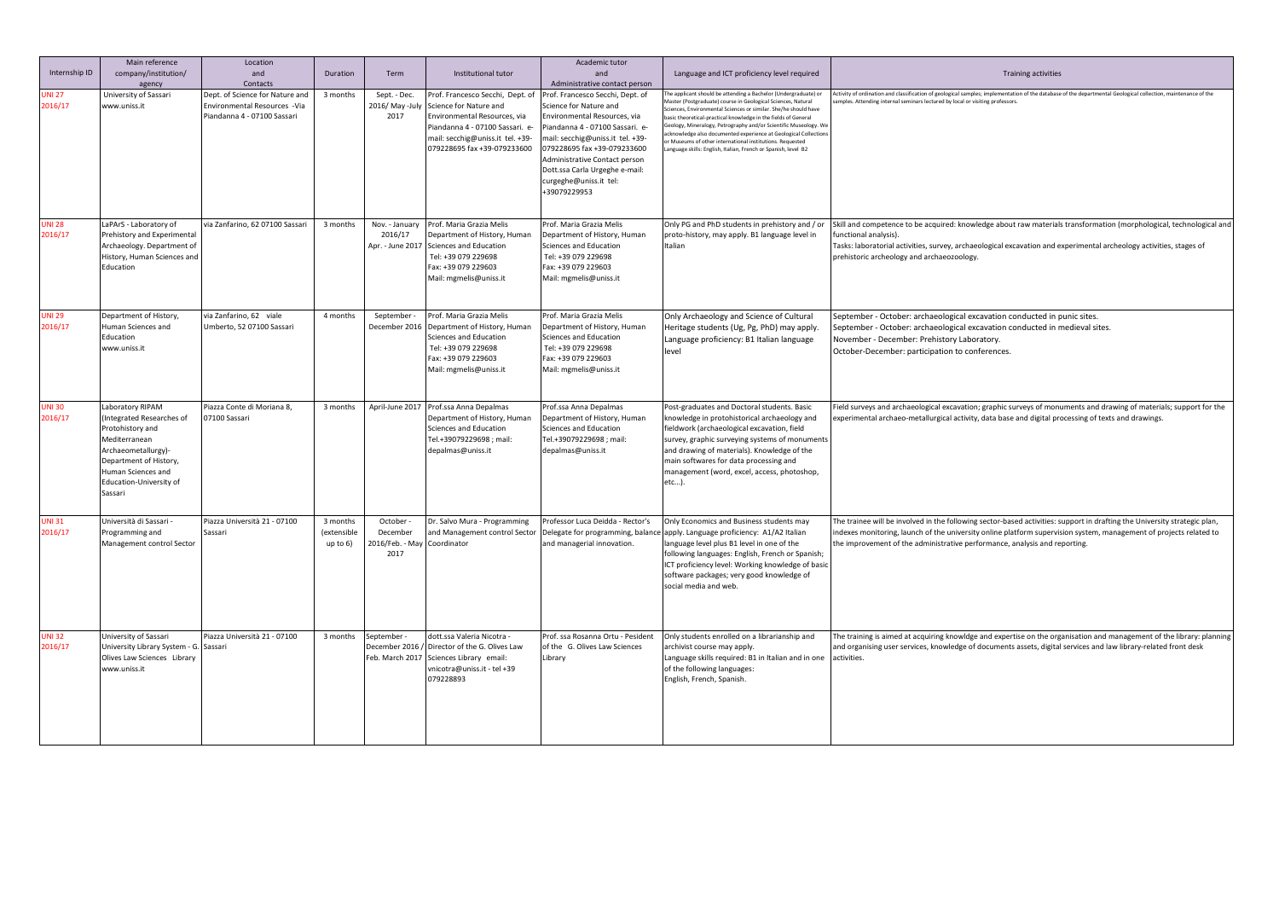| Internship ID            | Main reference<br>company/institution/<br>agency                                                                                                                                                | Location<br>and<br>Contacts                                                                    | <b>Duration</b>                       | Term                                           | Institutional tutor                                                                                                                                                                              | Academic tutor<br>and<br>Administrative contact person                                                                                                                                                                                                                                                        | Language and ICT proficiency level required                                                                                                                                                                                                                                                                                                                                                                                                                                                                                        | Training activities                                                                                                                                                                                                                                                                                                           |
|--------------------------|-------------------------------------------------------------------------------------------------------------------------------------------------------------------------------------------------|------------------------------------------------------------------------------------------------|---------------------------------------|------------------------------------------------|--------------------------------------------------------------------------------------------------------------------------------------------------------------------------------------------------|---------------------------------------------------------------------------------------------------------------------------------------------------------------------------------------------------------------------------------------------------------------------------------------------------------------|------------------------------------------------------------------------------------------------------------------------------------------------------------------------------------------------------------------------------------------------------------------------------------------------------------------------------------------------------------------------------------------------------------------------------------------------------------------------------------------------------------------------------------|-------------------------------------------------------------------------------------------------------------------------------------------------------------------------------------------------------------------------------------------------------------------------------------------------------------------------------|
| <b>JNI 27</b><br>2016/17 | University of Sassari<br>www.uniss.it                                                                                                                                                           | Dept. of Science for Nature and<br>Environmental Resources -Via<br>Piandanna 4 - 07100 Sassari | 3 months                              | Sept. - Dec.<br>2016/May-July<br>2017          | Prof. Francesco Secchi, Dept. of<br>Science for Nature and<br>Environmental Resources, via<br>Piandanna 4 - 07100 Sassari. e-<br>mail: secchig@uniss.it tel. +39-<br>079228695 fax +39-079233600 | Prof. Francesco Secchi, Dept. of<br>Science for Nature and<br>Environmental Resources, via<br>Piandanna 4 - 07100 Sassari. e-<br>mail: secchig@uniss.it tel. +39-<br>079228695 fax +39-079233600<br>Administrative Contact person<br>Dott.ssa Carla Urgeghe e-mail:<br>curgeghe@uniss.it tel:<br>+39079229953 | e applicant should be attending a Bachelor (Undergraduate) or<br>Master (Postgraduate) course in Geological Sciences, Natural<br>ciences, Environmental Sciences or similar. She/he should have<br>asic theoretical-practical knowledge in the fields of General<br>eology, Mineralogy, Petrography and/or Scientific Museology. We<br>cknowledge also documented experience at Geological Collection<br>r Museums of other international institutions. Requested<br>anguage skills: English, Italian, French or Spanish, level B2 | ctivity of ordination and classification of geological samples; implementation of the database of the departmental Geological collection, maintenance of the<br>imples. Attending internal seminars lectured by local or visiting professors                                                                                  |
| <b>UNI 28</b><br>2016/17 | LaPArS - Laboratory of<br>Prehistory and Experimental<br>Archaeology. Department of<br>History, Human Sciences and<br>Education                                                                 | via Zanfarino, 62 07100 Sassari                                                                | 3 months                              | Nov. - January<br>2016/17<br>Apr. - June 2017  | Prof. Maria Grazia Melis<br>Department of History, Human<br>Sciences and Education<br>Tel: +39 079 229698<br>Fax: +39 079 229603<br>Mail: mgmelis@uniss.it                                       | Prof. Maria Grazia Melis<br>Department of History, Human<br>Sciences and Education<br>Tel: +39 079 229698<br>Fax: +39 079 229603<br>Mail: mgmelis@uniss.it                                                                                                                                                    | Only PG and PhD students in prehistory and / or<br>proto-history, may apply. B1 language level in<br>Italian                                                                                                                                                                                                                                                                                                                                                                                                                       | Skill and competence to be acquired: knowledge about raw materials transformation (morphological, technological and<br>functional analysis)<br>Tasks: laboratorial activities, survey, archaeological excavation and experimental archeology activities, stages of<br>prehistoric archeology and archaeozoology.              |
| <b>UNI 29</b><br>2016/17 | Department of History,<br>Human Sciences and<br>Education<br>www.uniss.it                                                                                                                       | via Zanfarino, 62 viale<br>Umberto, 52 07100 Sassari                                           | 4 months                              | September<br>December 2016                     | Prof. Maria Grazia Melis<br>Department of History, Human<br>Sciences and Education<br>Tel: +39 079 229698<br>Fax: +39 079 229603<br>Mail: mgmelis@uniss.it                                       | Prof. Maria Grazia Melis<br>Department of History, Human<br>Sciences and Education<br>Tel: +39 079 229698<br>Fax: +39 079 229603<br>Mail: mgmelis@uniss.it                                                                                                                                                    | Only Archaeology and Science of Cultural<br>Heritage students (Ug, Pg, PhD) may apply.<br>Language proficiency: B1 Italian language<br>level                                                                                                                                                                                                                                                                                                                                                                                       | September - October: archaeological excavation conducted in punic sites.<br>September - October: archaeological excavation conducted in medieval sites.<br>November - December: Prehistory Laboratory.<br>October-December: participation to conferences.                                                                     |
| <b>UNI 30</b><br>2016/17 | Laboratory RIPAM<br>(Integrated Researches of<br>Protohistory and<br>Mediterranean<br>Archaeometallurgy)-<br>Department of History,<br>Human Sciences and<br>Education-University of<br>Sassari | Piazza Conte di Moriana 8,<br>07100 Sassari                                                    | 3 months                              | April-June 2017                                | Prof.ssa Anna Depalmas<br>Department of History, Human<br>Sciences and Education<br>Fel.+39079229698; mail:<br>depalmas@uniss.it                                                                 | Prof.ssa Anna Depalmas<br>Department of History, Human<br>Sciences and Education<br>Tel.+39079229698; mail:<br>depalmas@uniss.it                                                                                                                                                                              | Post-graduates and Doctoral students. Basic<br>knowledge in protohistorical archaeology and<br>fieldwork (archaeological excavation, field<br>survey, graphic surveying systems of monuments<br>and drawing of materials). Knowledge of the<br>main softwares for data processing and<br>management (word, excel, access, photoshop,<br>etc).                                                                                                                                                                                      | ield surveys and archaeological excavation; graphic surveys of monuments and drawing of materials; support for the<br>experimental archaeo-metallurgical activity, data base and digital processing of texts and drawings.                                                                                                    |
| <b>UNI31</b><br>2016/17  | Università di Sassari<br>Programming and<br>Management control Sector                                                                                                                           | Piazza Università 21 - 07100<br>Sassari                                                        | 3 months<br>(extensible<br>up to $6)$ | October<br>December<br>2016/Feb. - May<br>2017 | Dr. Salvo Mura - Programming<br>and Management control Sector<br>Coordinator                                                                                                                     | Professor Luca Deidda - Rector's<br>and managerial innovation.                                                                                                                                                                                                                                                | Only Economics and Business students may<br>Delegate for programming, balance apply. Language proficiency: A1/A2 Italian<br>language level plus B1 level in one of the<br>following languages: English, French or Spanish;<br>ICT proficiency level: Working knowledge of basic<br>software packages; very good knowledge of<br>social media and web.                                                                                                                                                                              | The trainee will be involved in the following sector-based activities: support in drafting the University strategic plan,<br>indexes monitoring, launch of the university online platform supervision system, management of projects related to<br>the improvement of the administrative performance, analysis and reporting. |
| <b>UNI32</b><br>2016/17  | University of Sassari<br>University Library System - G. Sassari<br>Olives Law Sciences Library<br>www.uniss.it                                                                                  | Piazza Università 21 - 07100                                                                   | 3 months                              | September<br>December 2016<br>Feb. March 2017  | dott.ssa Valeria Nicotra -<br>Director of the G. Olives Law<br>Sciences Library email:<br>nicotra@uniss.it - tel +39<br>079228893                                                                | Prof. ssa Rosanna Ortu - Pesident<br>of the G. Olives Law Sciences<br>Library                                                                                                                                                                                                                                 | Only students enrolled on a librarianship and<br>archivist course may apply.<br>Language skills required: B1 in Italian and in one<br>of the following languages:<br>English, French, Spanish.                                                                                                                                                                                                                                                                                                                                     | The training is aimed at acquiring knowldge and expertise on the organisation and management of the library: planning<br>and organising user services, knowledge of documents assets, digital services and law library-related front desk<br>activities.                                                                      |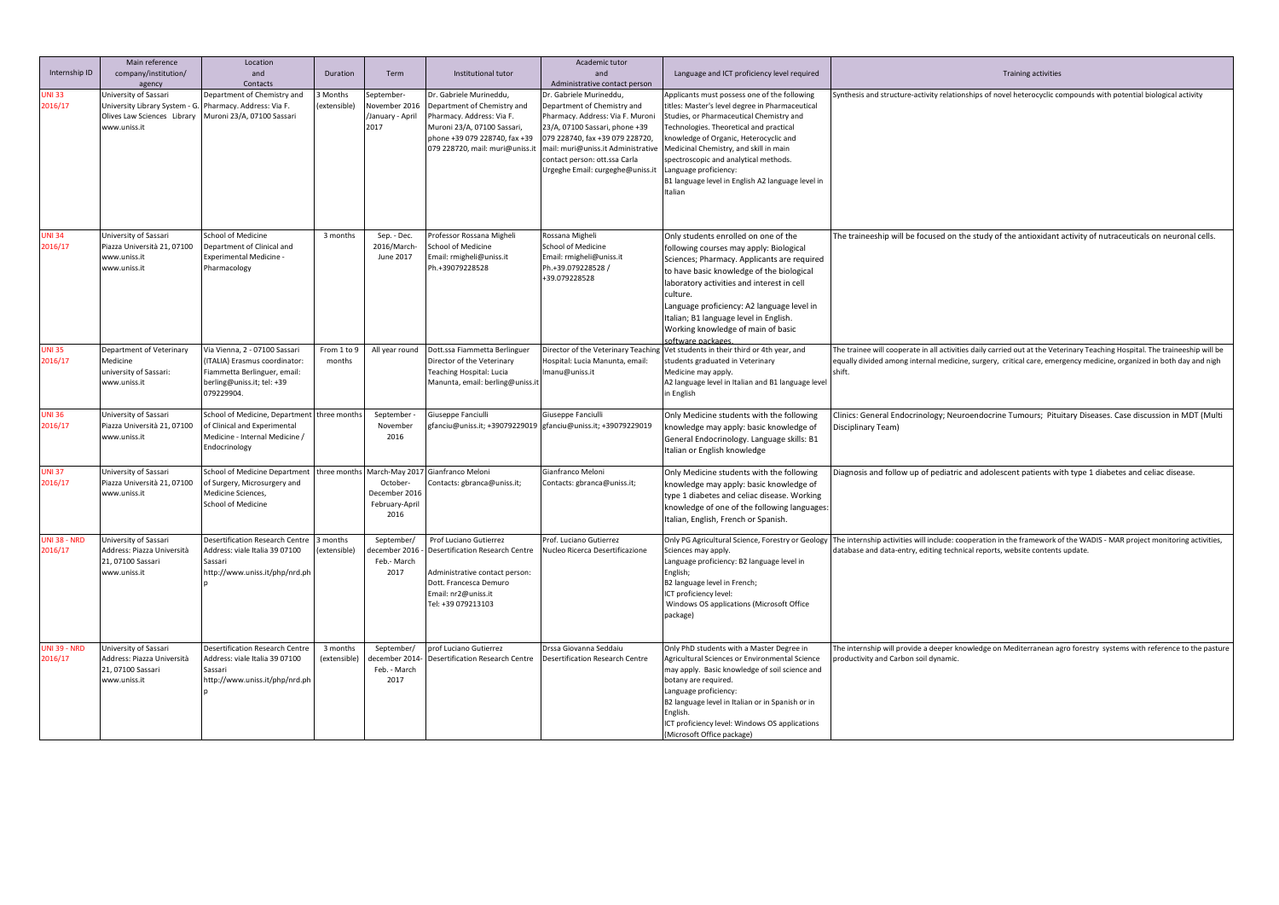| Internship ID                  | Main reference<br>company/institution/<br>agency                                                                                 | Location<br>and<br>Contacts                                                                                                              | Duration                 | Term                                                                  | Institutional tutor                                                                                                                                                                    | Academic tutor<br>and<br>Administrative contact person                                                                                                                                                                               | Language and ICT proficiency level required                                                                                                                                                                                                                                                                                                                                                                                                       | Training activities                                                                                                                                                                                                                                          |
|--------------------------------|----------------------------------------------------------------------------------------------------------------------------------|------------------------------------------------------------------------------------------------------------------------------------------|--------------------------|-----------------------------------------------------------------------|----------------------------------------------------------------------------------------------------------------------------------------------------------------------------------------|--------------------------------------------------------------------------------------------------------------------------------------------------------------------------------------------------------------------------------------|---------------------------------------------------------------------------------------------------------------------------------------------------------------------------------------------------------------------------------------------------------------------------------------------------------------------------------------------------------------------------------------------------------------------------------------------------|--------------------------------------------------------------------------------------------------------------------------------------------------------------------------------------------------------------------------------------------------------------|
| JNI 33<br>2016/17              | University of Sassari<br>University Library System - G. Pharmacy. Address: Via F.<br>Olives Law Sciences Library<br>www.uniss.it | Department of Chemistry and<br>Muroni 23/A, 07100 Sassari                                                                                | Months<br>extensible)    | September-<br>November 2016<br>/January - April<br>2017               | Dr. Gabriele Murineddu,<br>Department of Chemistry and<br>Pharmacy. Address: Via F.<br>Muroni 23/A, 07100 Sassari,<br>phone +39 079 228740, fax +39<br>079 228720, mail: muri@uniss.it | Dr. Gabriele Murineddu,<br>Department of Chemistry and<br>Pharmacy. Address: Via F. Muroni<br>23/A, 07100 Sassari, phone +39<br>079 228740, fax +39 079 228720,<br>contact person: ott.ssa Carla<br>Urgeghe Email: curgeghe@uniss.it | Applicants must possess one of the following<br>titles: Master's level degree in Pharmaceutical<br>Studies, or Pharmaceutical Chemistry and<br>Technologies. Theoretical and practical<br>knowledge of Organic, Heterocyclic and<br>mail: muri@uniss.it Administrative   Medicinal Chemistry, and skill in main<br>spectroscopic and analytical methods.<br>Language proficiency:<br>B1 language level in English A2 language level in<br>Italian | Synthesis and structure-activity relationships of novel heterocyclic compounds with potential biological activity                                                                                                                                            |
| <b>JNI 34</b><br>2016/17       | University of Sassari<br>Piazza Università 21, 07100<br>www.uniss.it<br>www.uniss.it                                             | chool of Medicine<br>Department of Clinical and<br>Experimental Medicine -<br>Pharmacology                                               | 3 months                 | Sep. - Dec.<br>2016/March-<br>June 2017                               | Professor Rossana Migheli<br>School of Medicine<br>Email: rmigheli@uniss.it<br>Ph.+39079228528                                                                                         | Rossana Migheli<br>School of Medicine<br>Email: rmigheli@uniss.it<br>Ph.+39.079228528 /<br>+39.079228528                                                                                                                             | Only students enrolled on one of the<br>following courses may apply: Biological<br>Sciences; Pharmacy. Applicants are required<br>to have basic knowledge of the biological<br>laboratory activities and interest in cell<br>culture.<br>Language proficiency: A2 language level in<br>Italian; B1 language level in English.<br>Working knowledge of main of basic<br>software packages                                                          | The traineeship will be focused on the study of the antioxidant activity of nutraceuticals on neuronal cells.                                                                                                                                                |
| JNI 35<br>2016/17              | Department of Veterinary<br>Medicine<br>university of Sassari:<br>www.uniss.it                                                   | Via Vienna, 2 - 07100 Sassari<br>ITALIA) Erasmus coordinator:<br>iammetta Berlinguer, email:<br>berling@uniss.it; tel: +39<br>179229904. | From 1 to 9<br>months    | All year round                                                        | Dott.ssa Fiammetta Berlinguer<br>Director of the Veterinary<br>Teaching Hospital: Lucia<br>Manunta, email: berling@uniss.it                                                            | Hospital: Lucia Manunta, email:<br>manu@uniss.it                                                                                                                                                                                     | Director of the Veterinary Teaching Vet students in their third or 4th year, and<br>students graduated in Veterinary<br>Medicine may apply.<br>A2 language level in Italian and B1 language level<br>in English                                                                                                                                                                                                                                   | The trainee will cooperate in all activities daily carried out at the Veterinary Teaching Hospital. The traineeship will be<br>equally divided among internal medicine, surgery, critical care, emergency medicine, organized in both day and nigh<br>shift. |
| UNI 36<br>2016/17              | University of Sassari<br>Piazza Università 21, 07100<br>www.uniss.it                                                             | School of Medicine, Department<br>of Clinical and Experimental<br>Medicine - Internal Medicine /<br>Endocrinology                        | three months             | September<br>November<br>2016                                         | Giuseppe Fanciulli                                                                                                                                                                     | Giuseppe Fanciulli<br>gfanciu@uniss.it; +39079229019 gfanciu@uniss.it; +39079229019                                                                                                                                                  | Only Medicine students with the following<br>knowledge may apply: basic knowledge of<br>General Endocrinology. Language skills: B1<br>Italian or English knowledge                                                                                                                                                                                                                                                                                | Clinics: General Endocrinology; Neuroendocrine Tumours; Pituitary Diseases. Case discussion in MDT (Multi<br>Disciplinary Team)                                                                                                                              |
| <b>JNI 37</b><br>2016/17       | University of Sassari<br>Piazza Università 21, 07100<br>www.uniss.it                                                             | chool of Medicine Department<br>of Surgery, Microsurgery and<br>Medicine Sciences,<br>School of Medicine                                 | hree months              | March-May 2017<br>October-<br>December 2016<br>February-April<br>2016 | Gianfranco Meloni<br>Contacts: gbranca@uniss.it;                                                                                                                                       | Gianfranco Meloni<br>Contacts: gbranca@uniss.it;                                                                                                                                                                                     | Only Medicine students with the following<br>knowledge may apply: basic knowledge of<br>type 1 diabetes and celiac disease. Working<br>knowledge of one of the following languages:<br>Italian, English, French or Spanish.                                                                                                                                                                                                                       | Diagnosis and follow up of pediatric and adolescent patients with type 1 diabetes and celiac disease.                                                                                                                                                        |
| <b>UNI 38 - NRD</b><br>2016/17 | University of Sassari<br>Address: Piazza Università<br>21, 07100 Sassari<br>www.uniss.it                                         | <b>Desertification Research Centre</b><br>Address: viale Italia 39 07100<br>Sassari<br>http://www.uniss.it/php/nrd.ph                    | 3 months<br>(extensible) | September/<br>december 2016<br>Feb.- March<br>2017                    | Prof Luciano Gutierrez<br>Desertification Research Centre<br>Administrative contact person:<br>Dott. Francesca Demuro<br>Email: nr2@uniss.it<br>Tel: +39 079213103                     | Prof. Luciano Gutierrez<br>Nucleo Ricerca Desertificazione                                                                                                                                                                           | Sciences may apply.<br>Language proficiency: B2 language level in<br>English;<br>B2 language level in French;<br>ICT proficiency level:<br>Windows OS applications (Microsoft Office<br>package)                                                                                                                                                                                                                                                  | Only PG Agricultural Science, Forestry or Geology  The internship activities will include: cooperation in the framework of the WADIS - MAR project monitoring activities,<br>database and data-entry, editing technical reports, website contents update.    |
| JNI 39 - NRD<br>2016/17        | University of Sassari<br>Address: Piazza Università<br>21, 07100 Sassari<br>www.uniss.it                                         | Desertification Research Centre<br>Address: viale Italia 39 07100<br>Sassari<br>ittp://www.uniss.it/php/nrd.ph                           | 3 months<br>(extensible) | September/<br>december 2014-<br>Feb. - March<br>2017                  | prof Luciano Gutierrez<br>Desertification Research Centre                                                                                                                              | Drssa Giovanna Seddaiu<br>Desertification Research Centre                                                                                                                                                                            | Only PhD students with a Master Degree in<br>Agricultural Sciences or Environmental Science<br>may apply. Basic knowledge of soil science and<br>botany are required.<br>Language proficiency:<br>B2 language level in Italian or in Spanish or in<br>English.<br>ICT proficiency level: Windows OS applications<br>(Microsoft Office package)                                                                                                    | The internship will provide a deeper knowledge on Mediterranean agro forestry systems with reference to the pasture<br>productivity and Carbon soil dynamic.                                                                                                 |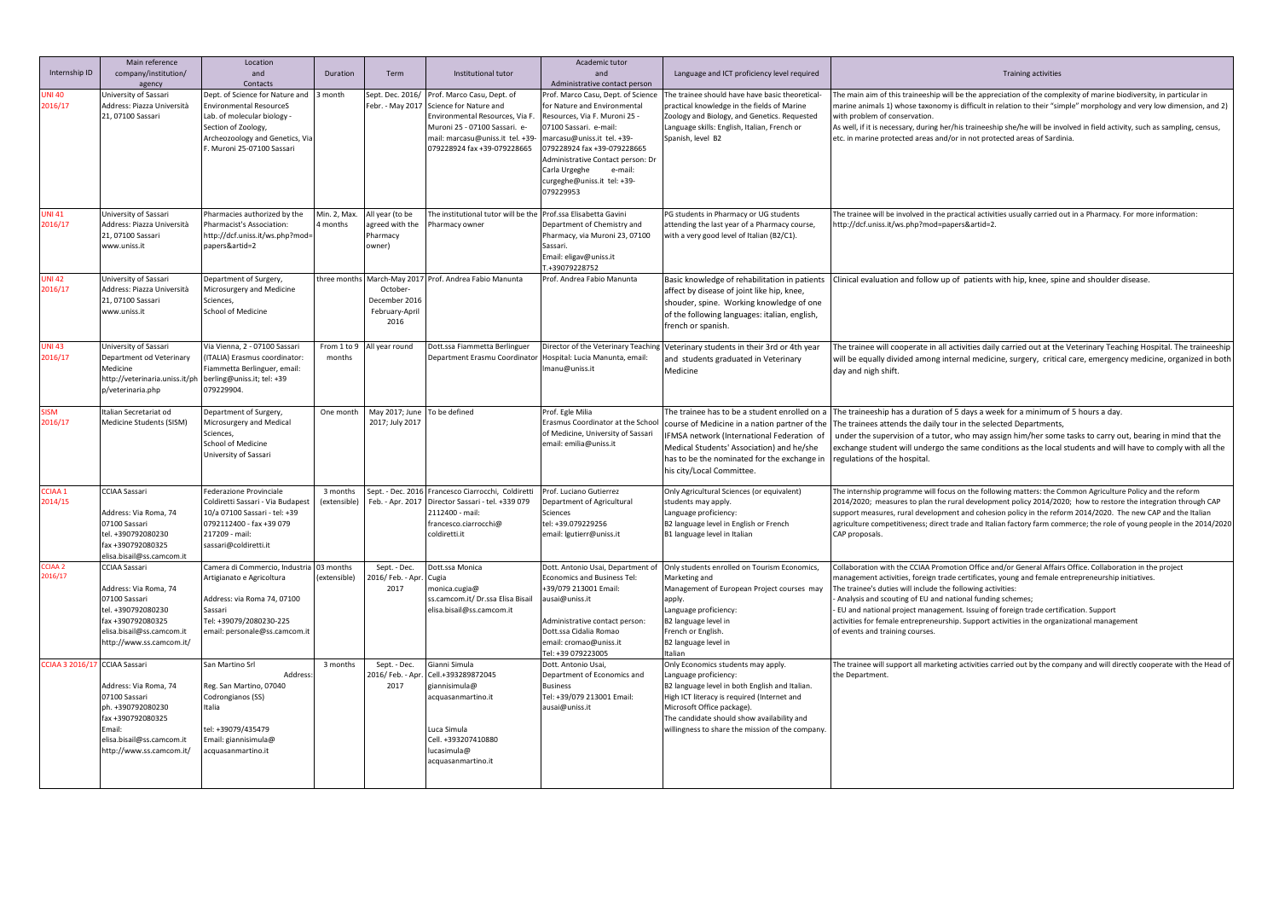| Internship ID                 | Main reference<br>company/institution/<br>agency                                                                                                            | Location<br>and<br>Contacts                                                                                                                                                       | Duration                 | Term                                                     | Institutional tutor                                                                                                                                                                                         | Academic tutor<br>and<br>Administrative contact person                                                                                                                                                                                                                                                | Language and ICT proficiency level required                                                                                                                                                                                                                                                  | Training activities                                                                                                                                                                                                                                                                                                                                                                                                                                                                                                                                                 |
|-------------------------------|-------------------------------------------------------------------------------------------------------------------------------------------------------------|-----------------------------------------------------------------------------------------------------------------------------------------------------------------------------------|--------------------------|----------------------------------------------------------|-------------------------------------------------------------------------------------------------------------------------------------------------------------------------------------------------------------|-------------------------------------------------------------------------------------------------------------------------------------------------------------------------------------------------------------------------------------------------------------------------------------------------------|----------------------------------------------------------------------------------------------------------------------------------------------------------------------------------------------------------------------------------------------------------------------------------------------|---------------------------------------------------------------------------------------------------------------------------------------------------------------------------------------------------------------------------------------------------------------------------------------------------------------------------------------------------------------------------------------------------------------------------------------------------------------------------------------------------------------------------------------------------------------------|
| <b>NI 40</b><br>2016/17       | Jniversity of Sassari<br>Address: Piazza Università<br>21, 07100 Sassari                                                                                    | lept. of Science for Nature and<br>invironmental ResourceS<br>Lab. of molecular biology -<br>Section of Zoology,<br>Archeozoology and Genetics, Via<br>F. Muroni 25-07100 Sassari | month                    | Sept. Dec. 2016/                                         | Prof. Marco Casu, Dept. of<br>Febr. - May 2017 Science for Nature and<br>Environmental Resources, Via F<br>Muroni 25 - 07100 Sassari. e-<br>mail: marcasu@uniss.it tel. +39-<br>079228924 fax +39-079228665 | rof. Marco Casu, Dept. of Science<br>for Nature and Environmental<br>Resources, Via F. Muroni 25 -<br>07100 Sassari. e-mail:<br>marcasu@uniss.it tel. +39-<br>079228924 fax +39-079228665<br>dministrative Contact person: Dr<br>Carla Urgeghe<br>e-mail:<br>curgeghe@uniss.it tel: +39-<br>079229953 | The trainee should have have basic theoretical-<br>practical knowledge in the fields of Marine<br>Zoology and Biology, and Genetics. Requested<br>Language skills: English, Italian, French or<br>Spanish, level B2                                                                          | The main aim of this traineeship will be the appreciation of the complexity of marine biodiversity, in particular in<br>marine animals 1) whose taxonomy is difficult in relation to their "simple" morphology and very low dimension, and 2)<br>with problem of conservation.<br>As well, if it is necessary, during her/his traineeship she/he will be involved in field activity, such as sampling, census,<br>etc. in marine protected areas and/or in not protected areas of Sardinia.                                                                         |
| <b>UNI 41</b><br>2016/17      | University of Sassari<br>Address: Piazza Università<br>21, 07100 Sassari<br>www.uniss.it                                                                    | Pharmacies authorized by the<br>Pharmacist's Association:<br>http://dcf.uniss.it/ws.php?mod-<br>papers&artid=2                                                                    | Min. 2, Max.<br>months   | All year (to be<br>agreed with the<br>Pharmacy<br>owner) | The institutional tutor will be the Prof.ssa Elisabetta Gavini<br>Pharmacy owner                                                                                                                            | Department of Chemistry and<br>Pharmacy, via Muroni 23, 07100<br>Sassari.<br>Email: eligav@uniss.it<br>F.+39079228752                                                                                                                                                                                 | PG students in Pharmacy or UG students<br>attending the last year of a Pharmacy course,<br>with a very good level of Italian (B2/C1).                                                                                                                                                        | The trainee will be involved in the practical activities usually carried out in a Pharmacy. For more information:<br>http://dcf.uniss.it/ws.php?mod=papers&artid=2.                                                                                                                                                                                                                                                                                                                                                                                                 |
| JNI 42<br>2016/17             | University of Sassari<br>Address: Piazza Università<br>21, 07100 Sassari<br>www.uniss.it                                                                    | Department of Surgery,<br>Microsurgery and Medicine<br>Sciences,<br>School of Medicine                                                                                            |                          | October-<br>December 2016<br>February-April<br>2016      | three months March-May 2017 Prof. Andrea Fabio Manunta                                                                                                                                                      | Prof. Andrea Fabio Manunta                                                                                                                                                                                                                                                                            | affect by disease of joint like hip, knee,<br>shouder, spine. Working knowledge of one<br>of the following languages: italian, english,<br>french or spanish.                                                                                                                                | Basic knowledge of rehabilitation in patients  Clinical evaluation and follow up of patients with hip, knee, spine and shoulder disease.                                                                                                                                                                                                                                                                                                                                                                                                                            |
| <b>UNI 43</b><br>2016/17      | University of Sassari<br>Department od Veterinary<br>Medicine<br>http://veterinaria.uniss.it/ph<br>p/veterinaria.php                                        | Via Vienna, 2 - 07100 Sassari<br>ITALIA) Erasmus coordinator:<br>iammetta Berlinguer, email:<br>berling@uniss.it; tel: +39<br>079229904.                                          | From 1 to 9<br>months    | All year round                                           | Dott.ssa Fiammetta Berlinguer<br>Department Erasmu Coordinator                                                                                                                                              | Hospital: Lucia Manunta, email:<br>Imanu@uniss.it                                                                                                                                                                                                                                                     | Director of the Veterinary Teaching Veterinary students in their 3rd or 4th year<br>and students graduated in Veterinary<br>Medicine                                                                                                                                                         | The trainee will cooperate in all activities daily carried out at the Veterinary Teaching Hospital. The traineeship<br>will be equally divided among internal medicine, surgery, critical care, emergency medicine, organized in both<br>day and nigh shift.                                                                                                                                                                                                                                                                                                        |
| <b>ISM</b><br>2016/17         | Italian Secretariat od<br>Medicine Students (SISM)                                                                                                          | Department of Surgery,<br>Microsurgery and Medical<br>Sciences,<br>School of Medicine<br>University of Sassari                                                                    | One month                | May 2017; June To be defined<br>2017; July 2017          |                                                                                                                                                                                                             | Prof. Egle Milia<br>Erasmus Coordinator at the School<br>of Medicine, University of Sassari<br>email: emilia@uniss.it                                                                                                                                                                                 | The trainee has to be a student enrolled on a<br>course of Medicine in a nation partner of the<br>IFMSA network (International Federation of<br>Medical Students' Association) and he/she<br>has to be the nominated for the exchange in<br>his city/Local Committee.                        | The traineeship has a duration of 5 days a week for a minimum of 5 hours a day.<br>The trainees attends the daily tour in the selected Departments,<br>under the supervision of a tutor, who may assign him/her some tasks to carry out, bearing in mind that the<br>exchange student will undergo the same conditions as the local students and will have to comply with all the<br>regulations of the hospital.                                                                                                                                                   |
| CIAA 1<br>2014/15             | CCIAA Sassari<br>Address: Via Roma, 74<br>07100 Sassari<br>tel. +390792080230<br>fax +390792080325<br>elisa.bisail@ss.camcom.it                             | Federazione Provinciale<br>Coldiretti Sassari - Via Budapest<br>10/a 07100 Sassari - tel: +39<br>0792112400 - fax +39 079<br>217209 - mail:<br>sassari@coldiretti.it              | 3 months<br>(extensible) |                                                          | Sept. - Dec. 2016 Francesco Ciarrocchi, Coldiretti<br>Feb. - Apr. 2017 Director Sassari - tel. +339 079<br>2112400 - mail:<br>francesco.ciarrocchi@<br>coldiretti.it                                        | Prof. Luciano Gutierrez<br>Department of Agricultural<br>Sciences<br>tel: +39.079229256<br>email: Igutierr@uniss.it                                                                                                                                                                                   | Only Agricultural Sciences (or equivalent)<br>students may apply.<br>Language proficiency:<br>B2 language level in English or French<br>B1 language level in Italian                                                                                                                         | The internship programme will focus on the following matters: the Common Agriculture Policy and the reform<br>2014/2020; measures to plan the rural development policy 2014/2020; how to restore the integration through CAP<br>support measures, rural development and cohesion policy in the reform 2014/2020. The new CAP and the Italian<br>agriculture competitiveness; direct trade and Italian factory farm commerce; the role of young people in the 2014/2020<br>CAP proposals.                                                                            |
| <b>CCIAA 2</b><br>2016/17     | CCIAA Sassari<br>Address: Via Roma, 74<br>07100 Sassari<br>tel. +390792080230<br>fax +390792080325<br>elisa.bisail@ss.camcom.it<br>http://www.ss.camcom.it/ | Camera di Commercio, Industria 03 months<br>Artigianato e Agricoltura<br>Address: via Roma 74, 07100<br>Sassari<br>Tel: +39079/2080230-225<br>email: personale@ss.camcom.it       | extensible)              | Sept. - Dec.<br>2016/ Feb. - Apr.<br>2017                | Dott.ssa Monica<br>Cugia<br>monica.cugia@<br>ss.camcom.it/ Dr.ssa Elisa Bisail<br>elisa.bisail@ss.camcom.it                                                                                                 | <b>Economics and Business Tel:</b><br>+39/079 213001 Email:<br>ausai@uniss.it<br>Administrative contact person:<br>Dott.ssa Cidalia Romao<br>email: cromao@uniss.it<br>rel: +39 079223005                                                                                                             | Dott. Antonio Usai, Department of Only students enrolled on Tourism Economics,<br>Marketing and<br>Management of European Project courses may<br>apply.<br>Language proficiency:<br>B2 language level in<br>French or English.<br>B2 language level in<br>Italian                            | Collaboration with the CCIAA Promotion Office and/or General Affairs Office. Collaboration in the project<br>management activities, foreign trade certificates, young and female entrepreneurship initiatives.<br>The trainee's duties will include the following activities:<br>Analysis and scouting of EU and national funding schemes;<br>EU and national project management. Issuing of foreign trade certification. Support<br>activities for female entrepreneurship. Support activities in the organizational management<br>of events and training courses. |
| CCIAA 3 2016/17 CCIAA Sassari | Address: Via Roma, 74<br>07100 Sassari<br>ph. +390792080230<br>fax +390792080325<br>Fmail:<br>elisa.bisail@ss.camcom.it<br>http://www.ss.camcom.it/         | San Martino Srl<br>Address:<br>Reg. San Martino, 07040<br>Codrongianos (SS)<br>Italia<br>tel: +39079/435479<br>Email: giannisimula@<br>acquasanmartino.it                         | 3 months                 | Sept. - Dec.<br>2016/ Feb. - Apr.<br>2017                | Gianni Simula<br>Cell.+393289872045<br>giannisimula@<br>acquasanmartino.it<br>Luca Simula<br>Cell. +393207410880<br>lucasimula@<br>acquasanmartino.it                                                       | Dott. Antonio Usai,<br>Department of Economics and<br><b>Business</b><br>Tel: +39/079 213001 Email:<br>ausai@uniss.it                                                                                                                                                                                 | Only Economics students may apply.<br>Language proficiency:<br>B2 language level in both English and Italian.<br>High ICT literacy is required (Internet and<br>Microsoft Office package).<br>The candidate should show availability and<br>willingness to share the mission of the company. | The trainee will support all marketing activities carried out by the company and will directly cooperate with the Head of<br>the Department.                                                                                                                                                                                                                                                                                                                                                                                                                        |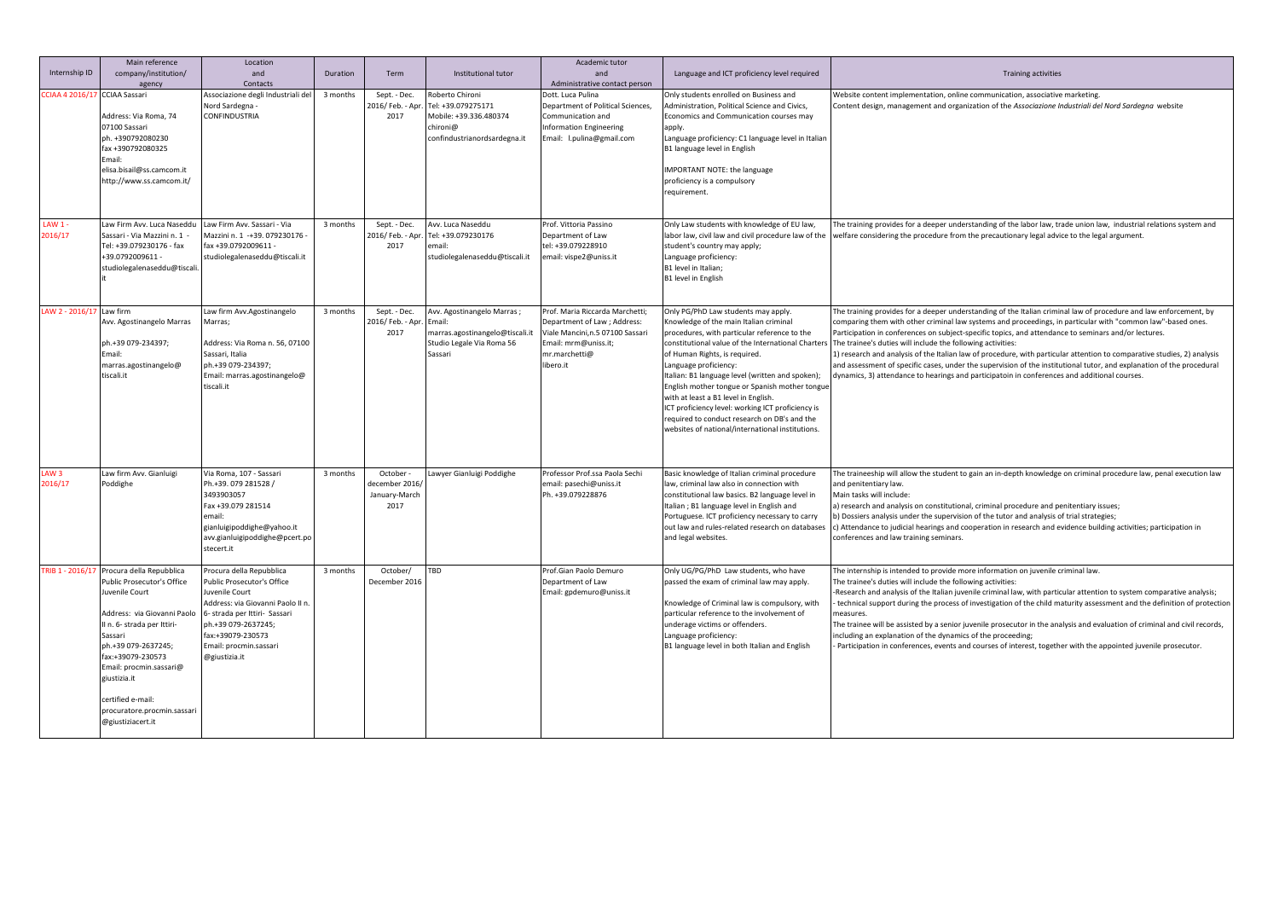| Internship ID               | Main reference<br>company/institution/<br>agency                                                                                                                                                                                                                                                                                  | Location<br>and<br>Contacts                                                                                                                                                                                                         | Duration | Term                                                | Institutional tutor                                                                                             | Academic tutor<br>and<br>Administrative contact person                                                                                                   | Language and ICT proficiency level required                                                                                                                                                                                                                                                                                                                                                                                                                                                                                                          | Training activities                                                                                                                                                                                                                                                                                                                                                                                                                                                                                                                                                                                                                                                                                                                                         |
|-----------------------------|-----------------------------------------------------------------------------------------------------------------------------------------------------------------------------------------------------------------------------------------------------------------------------------------------------------------------------------|-------------------------------------------------------------------------------------------------------------------------------------------------------------------------------------------------------------------------------------|----------|-----------------------------------------------------|-----------------------------------------------------------------------------------------------------------------|----------------------------------------------------------------------------------------------------------------------------------------------------------|------------------------------------------------------------------------------------------------------------------------------------------------------------------------------------------------------------------------------------------------------------------------------------------------------------------------------------------------------------------------------------------------------------------------------------------------------------------------------------------------------------------------------------------------------|-------------------------------------------------------------------------------------------------------------------------------------------------------------------------------------------------------------------------------------------------------------------------------------------------------------------------------------------------------------------------------------------------------------------------------------------------------------------------------------------------------------------------------------------------------------------------------------------------------------------------------------------------------------------------------------------------------------------------------------------------------------|
| CIAA 4 2016/17              | <b>CCIAA Sassari</b><br>Address: Via Roma, 74<br>07100 Sassari<br>ph. +390792080230<br>fax +390792080325<br>Email:<br>elisa.bisail@ss.camcom.it<br>http://www.ss.camcom.it/                                                                                                                                                       | Associazione degli Industriali del<br>Nord Sardegna -<br>CONFINDUSTRIA                                                                                                                                                              | 3 months | Sept. - Dec.<br>2016/ Feb. - Apr.<br>2017           | Roberto Chironi<br>Tel: +39.079275171<br>Mobile: +39.336.480374<br>chironi@<br>confindustrianordsardegna.it     | Dott. Luca Pulina<br>Department of Political Sciences,<br>Communication and<br><b>Information Engineering</b><br>Email: I.pulina@gmail.com               | Only students enrolled on Business and<br>Administration, Political Science and Civics,<br>Economics and Communication courses may<br>apply.<br>Language proficiency: C1 language level in Italian<br>B1 language level in English<br>IMPORTANT NOTE: the language<br>proficiency is a compulsory<br>requirement.                                                                                                                                                                                                                                    | Website content implementation, online communication, associative marketing.<br>Content design, management and organization of the Associazione Industriali del Nord Sardegna website                                                                                                                                                                                                                                                                                                                                                                                                                                                                                                                                                                       |
| $LAW1 -$<br>2016/17         | Law Firm Avv. Luca Naseddu<br>Sassari - Via Mazzini n. 1 -<br>Tel: +39.079230176 - fax<br>+39.0792009611 -<br>studiolegalenaseddu@tiscali                                                                                                                                                                                         | aw Firm Avv. Sassari - Via<br>Mazzini n. 1 -+39. 079230176 -<br>fax +39.0792009611 -<br>studiolegalenaseddu@tiscali.it                                                                                                              | 3 months | Sept. - Dec.<br>2016/ Feb. - Apr.<br>2017           | Avv. Luca Naseddu<br>Tel: +39.079230176<br>email:<br>studiolegalenaseddu@tiscali.it                             | Prof. Vittoria Passino<br>Department of Law<br>tel: +39.079228910<br>email: vispe2@uniss.it                                                              | Only Law students with knowledge of EU law,<br>labor law, civil law and civil procedure law of the<br>student's country may apply;<br>Language proficiency:<br>B1 level in Italian;<br>B1 level in English                                                                                                                                                                                                                                                                                                                                           | The training provides for a deeper understanding of the labor law, trade union law, industrial relations system and<br>welfare considering the procedure from the precautionary legal advice to the legal argument.                                                                                                                                                                                                                                                                                                                                                                                                                                                                                                                                         |
| LAW 2 - 2016/17 Law firm    | Avv. Agostinangelo Marras<br>ph.+39 079-234397;<br>Email:<br>marras.agostinangelo@<br>tiscali.it                                                                                                                                                                                                                                  | aw firm Avv.Agostinangelo<br>Marras;<br>Address: Via Roma n. 56, 07100<br>Sassari, Italia<br>ph.+39 079-234397;<br>Email: marras.agostinangelo@<br>iscali.it                                                                        | 3 months | Sept. - Dec.<br>2016/ Feb. - Apr.<br>2017           | Avv. Agostinangelo Marras;<br>Email:<br>marras.agostinangelo@tiscali.it<br>Studio Legale Via Roma 56<br>Sassari | Prof. Maria Riccarda Marchetti:<br>Department of Law; Address:<br>Viale Mancini, n.5 07100 Sassari<br>Email: mrm@uniss.it;<br>mr.marchetti@<br>libero.it | Only PG/PhD Law students may apply.<br>Knowledge of the main Italian criminal<br>procedures, with particular reference to the<br>constitutional value of the International Charters<br>of Human Rights, is required.<br>Language proficiency:<br>Italian: B1 language level (written and spoken);<br>English mother tongue or Spanish mother tongue<br>with at least a B1 level in English.<br>ICT proficiency level: working ICT proficiency is<br>required to conduct research on DB's and the<br>websites of national/international institutions. | The training provides for a deeper understanding of the Italian criminal law of procedure and law enforcement, by<br>comparing them with other criminal law systems and proceedings, in particular with "common law"-based ones.<br>Participation in conferences on subject-specific topics, and attendance to seminars and/or lectures.<br>The trainee's duties will include the following activities:<br>1) research and analysis of the Italian law of procedure, with particular attention to comparative studies, 2) analysis<br>and assessment of specific cases, under the supervision of the institutional tutor, and explanation of the procedural<br>dynamics, 3) attendance to hearings and participatoin in conferences and additional courses. |
| LAW <sub>3</sub><br>2016/17 | Law firm Avv. Gianluigi<br>Poddighe                                                                                                                                                                                                                                                                                               | Via Roma, 107 - Sassari<br>Ph.+39.079 281528 /<br>3493903057<br>ax +39.079 281514<br>email:<br>gianluigipoddighe@yahoo.it<br>avv.gianluigipoddighe@pcert.po<br>stecert.it                                                           | 3 months | October -<br>december 2016<br>January-March<br>2017 | Lawyer Gianluigi Poddighe                                                                                       | Professor Prof.ssa Paola Sechi<br>email: pasechi@uniss.it<br>Ph. +39.079228876                                                                           | Basic knowledge of Italian criminal procedure<br>law, criminal law also in connection with<br>constitutional law basics. B2 language level in<br>Italian ; B1 language level in English and<br>Portuguese. ICT proficiency necessary to carry<br>out law and rules-related research on databases<br>and legal websites.                                                                                                                                                                                                                              | The traineeship will allow the student to gain an in-depth knowledge on criminal procedure law, penal execution law<br>and penitentiary law.<br>Main tasks will include:<br>a) research and analysis on constitutional, criminal procedure and penitentiary issues;<br>b) Dossiers analysis under the supervision of the tutor and analysis of trial strategies;<br>c) Attendance to judicial hearings and cooperation in research and evidence building activities; participation in<br>conferences and law training seminars.                                                                                                                                                                                                                             |
|                             | TRIB 1 - 2016/17 Procura della Repubblica<br>Public Prosecutor's Office<br>Juvenile Court<br>Address: via Giovanni Paolo<br>II n. 6- strada per Ittiri-<br>Sassari<br>ph.+39 079-2637245;<br>fax:+39079-230573<br>Email: procmin.sassari@<br>giustizia.it<br>certified e-mail:<br>procuratore.procmin.sassar<br>@giustiziacert.it | Procura della Repubblica<br>Public Prosecutor's Office<br>luvenile Court<br>Address: via Giovanni Paolo II n<br>6- strada per Ittiri- Sassari<br>ph.+39 079-2637245;<br>ax:+39079-230573<br>Email: procmin.sassari<br>@giustizia.it | 3 months | October/<br>December 2016                           | TBD                                                                                                             | Prof.Gian Paolo Demuro<br>Department of Law<br>Email: gpdemuro@uniss.it                                                                                  | Only UG/PG/PhD Law students, who have<br>passed the exam of criminal law may apply.<br>Knowledge of Criminal law is compulsory, with<br>particular reference to the involvement of<br>underage victims or offenders.<br>Language proficiency:<br>B1 language level in both Italian and English                                                                                                                                                                                                                                                       | The internship is intended to provide more information on juvenile criminal law.<br>The trainee's duties will include the following activities:<br>Research and analysis of the Italian juvenile criminal law, with particular attention to system comparative analysis;<br>technical support during the process of investigation of the child maturity assessment and the definition of protection<br>neasures.<br>The trainee will be assisted by a senior juvenile prosecutor in the analysis and evaluation of criminal and civil records,<br>including an explanation of the dynamics of the proceeding;<br>Participation in conferences, events and courses of interest, together with the appointed juvenile prosecutor.                             |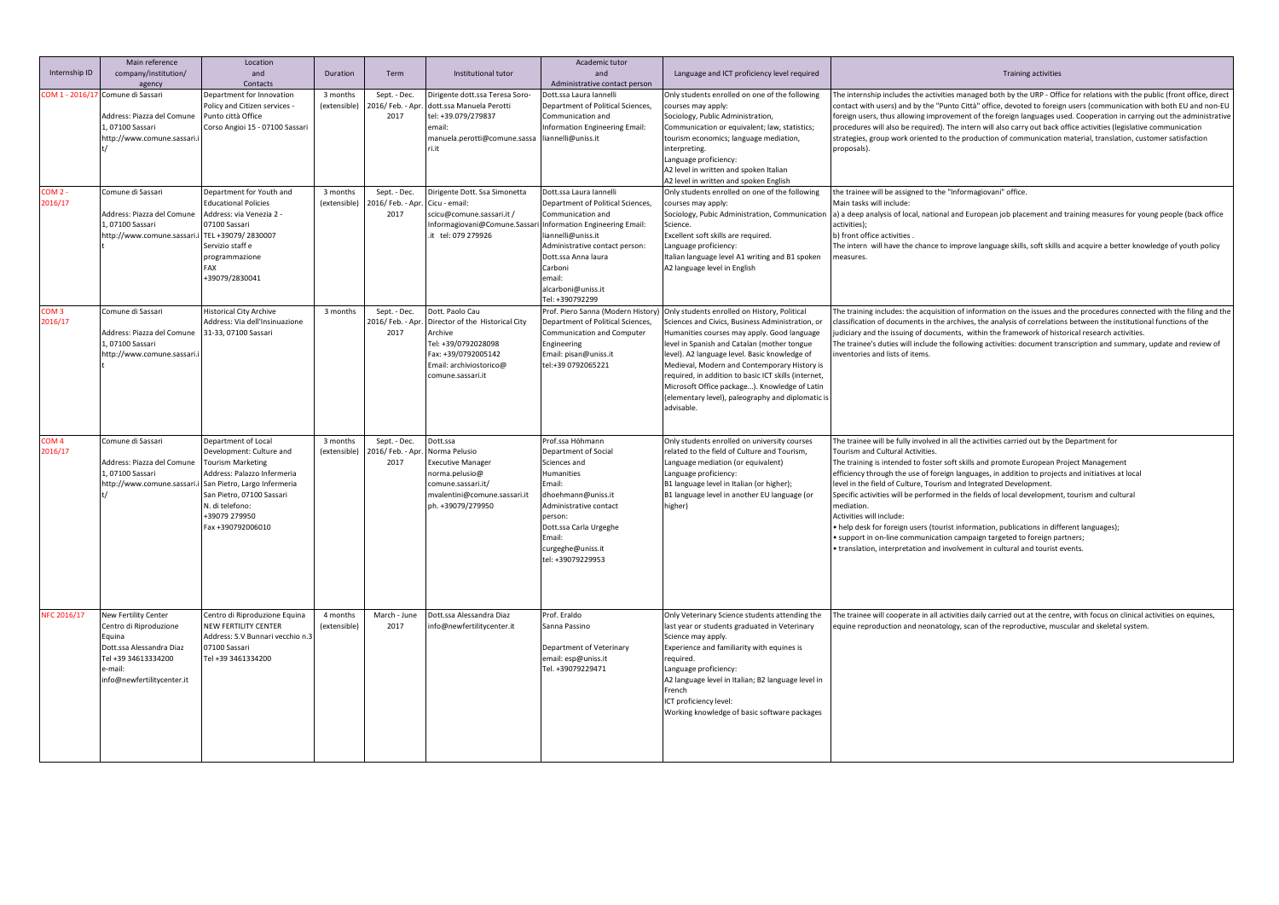| Internship ID               | Main reference<br>company/institution/<br>agency                                                                                                     | Location<br>and<br>Contacts                                                                                                                                                                                                      | Duration                 | Term                                     | Institutional tutor                                                                                                                                         | Academic tutor<br>and<br>Administrative contact person                                                                                                                                                                                                           | Language and ICT proficiency level required                                                                                                                                                                                                                                                                                                                                                                                                                                                                    | <b>Training activities</b>                                                                                                                                                                                                                                                                                                                                                                                                                                                                                                                                                                                                                                                                                                                                                                                 |
|-----------------------------|------------------------------------------------------------------------------------------------------------------------------------------------------|----------------------------------------------------------------------------------------------------------------------------------------------------------------------------------------------------------------------------------|--------------------------|------------------------------------------|-------------------------------------------------------------------------------------------------------------------------------------------------------------|------------------------------------------------------------------------------------------------------------------------------------------------------------------------------------------------------------------------------------------------------------------|----------------------------------------------------------------------------------------------------------------------------------------------------------------------------------------------------------------------------------------------------------------------------------------------------------------------------------------------------------------------------------------------------------------------------------------------------------------------------------------------------------------|------------------------------------------------------------------------------------------------------------------------------------------------------------------------------------------------------------------------------------------------------------------------------------------------------------------------------------------------------------------------------------------------------------------------------------------------------------------------------------------------------------------------------------------------------------------------------------------------------------------------------------------------------------------------------------------------------------------------------------------------------------------------------------------------------------|
| OM 1 - 2016/17              | Comune di Sassari<br>Address: Piazza del Comune<br>1,07100 Sassari<br>http://www.comune.sassari                                                      | Department for Innovation<br>Policy and Citizen services -<br>Punto città Office<br>Corso Angioi 15 - 07100 Sassari                                                                                                              | 3 months<br>(extensible) | Sept. - Dec.<br>2016/ Feb. - Apr<br>2017 | Dirigente dott.ssa Teresa Soro-<br>dott.ssa Manuela Perotti<br>tel: +39.079/279837<br>email:<br>manuela.perotti@comune.sassa<br>ri.it                       | Dott.ssa Laura Jannelli<br>Department of Political Sciences,<br>Communication and<br>Information Engineering Email:<br>liannelli@uniss.it                                                                                                                        | Only students enrolled on one of the following<br>courses may apply:<br>Sociology, Public Administration,<br>Communication or equivalent; law, statistics;<br>tourism economics; language mediation,<br>interpreting.<br>Language proficiency:<br>A2 level in written and spoken Italian<br>A2 level in written and spoken English                                                                                                                                                                             | The internship includes the activities managed both by the URP - Office for relations with the public (front office, direct<br>contact with users) and by the "Punto Città" office, devoted to foreign users (communication with both EU and non-EU<br>foreign users, thus allowing improvement of the foreign languages used. Cooperation in carrying out the administrative<br>procedures will also be required). The intern will also carry out back office activities (legislative communication<br>strategies, group work oriented to the production of communication material, translation, customer satisfaction<br>proposals).                                                                                                                                                                     |
| 20M <sub>2</sub><br>2016/17 | Comune di Sassari<br>Address: Piazza del Comune<br>1,07100 Sassari<br>http://www.comune.sassari.                                                     | Department for Youth and<br>ducational Policies<br>Address: via Venezia 2 -<br>07100 Sassari<br>TEL +39079/2830007<br>Servizio staff e<br>programmazione<br>FAX<br>+39079/2830041                                                | 3 months<br>(extensible) | Sept. - Dec.<br>2016/ Feb. - Apr<br>2017 | Dirigente Dott. Ssa Simonetta<br>Cicu - email:<br>scicu@comune.sassari.it /<br>Informagiovani@Comune.Sassari<br>it tel: 079 279926                          | Dott.ssa Laura lannelli<br>Department of Political Sciences,<br>Communication and<br>Information Engineering Email:<br>liannelli@uniss.it<br>Administrative contact person:<br>Dott.ssa Anna laura<br>Carboni<br>email:<br>alcarboni@uniss.it<br>Fel: +390792299 | Only students enrolled on one of the following<br>courses may apply:<br>Sociology, Pubic Administration, Communication<br>Science.<br>Excellent soft skills are required.<br>Language proficiency:<br>Italian language level A1 writing and B1 spoken<br>A2 language level in English                                                                                                                                                                                                                          | the trainee will be assigned to the "Informagiovani" office.<br>Main tasks will include:<br>a) a deep analysis of local, national and European job placement and training measures for young people (back office<br>activities);<br>b) front office activities.<br>The intern will have the chance to improve language skills, soft skills and acquire a better knowledge of youth policy<br>measures.                                                                                                                                                                                                                                                                                                                                                                                                     |
| COM <sub>3</sub><br>2016/17 | Comune di Sassari<br>Address: Piazza del Comune<br>1,07100 Sassari<br>http://www.comune.sassari                                                      | <b>Historical City Archive</b><br>Address: Via dell'Insinuazione<br>31-33, 07100 Sassari                                                                                                                                         | 3 months                 | Sept. - Dec.<br>2016/ Feb. - Apr<br>2017 | Dott, Paolo Cau<br>Director of the Historical City<br>Archive<br>Tel: +39/0792028098<br>Fax: +39/0792005142<br>Email: archiviostorico@<br>comune.sassari.it | Department of Political Sciences,<br>Communication and Computer<br>Engineering<br>Email: pisan@uniss.it<br>tel:+39 0792065221                                                                                                                                    | Prof. Piero Sanna (Modern History) Only students enrolled on History, Political<br>Sciences and Civics, Business Administration, or<br>Humanities courses may apply. Good language<br>level in Spanish and Catalan (mother tongue<br>level). A2 language level. Basic knowledge of<br>Medieval, Modern and Contemporary History is<br>required, in addition to basic ICT skills (internet,<br>Microsoft Office package). Knowledge of Latin<br>(elementary level), paleography and diplomatic is<br>advisable. | The training includes: the acquisition of information on the issues and the procedures connected with the filing and the<br>lassification of documents in the archives, the analysis of correlations between the institutional functions of the<br>judiciary and the issuing of documents, within the framework of historical research activities.<br>The trainee's duties will include the following activities: document transcription and summary, update and review of<br>inventories and lists of items.                                                                                                                                                                                                                                                                                              |
| 20M <sub>4</sub><br>2016/17 | Comune di Sassari<br>Address: Piazza del Comune<br>1,07100 Sassari<br>http://www.comune.sassari.                                                     | Department of Local<br>Development: Culture and<br><b>Tourism Marketing</b><br>Address: Palazzo Infermeria<br>San Pietro, Largo Infermeria<br>San Pietro, 07100 Sassari<br>N. di telefono:<br>+39079 279950<br>Fax +390792006010 | 3 months<br>(extensible) | Sept. - Dec.<br>2016/ Feb. - Apr<br>2017 | Dott.ssa<br><b>Norma Pelusio</b><br><b>Executive Manager</b><br>norma.pelusio@<br>comune.sassari.it/<br>mvalentini@comune.sassari.it<br>ph. +39079/279950   | Prof.ssa Höhmann<br>Department of Social<br>Sciences and<br><b>Humanities</b><br>Email:<br>dhoehmann@uniss.it<br>Administrative contact<br>person:<br>Dott.ssa Carla Urgeghe<br>Email:<br>curgeghe@uniss.it<br>tel: +39079229953                                 | Only students enrolled on university courses<br>related to the field of Culture and Tourism,<br>Language mediation (or equivalent)<br>Language proficiency:<br>B1 language level in Italian (or higher);<br>B1 language level in another EU language (or<br>higher)                                                                                                                                                                                                                                            | The trainee will be fully involved in all the activities carried out by the Department for<br>Tourism and Cultural Activities.<br>The training is intended to foster soft skills and promote European Project Management<br>efficiency through the use of foreign languages, in addition to projects and initiatives at local<br>level in the field of Culture, Tourism and Integrated Development.<br>Specific activities will be performed in the fields of local development, tourism and cultural<br>mediation.<br>Activities will include:<br>• help desk for foreign users (tourist information, publications in different languages);<br>· support in on-line communication campaign targeted to foreign partners;<br>. translation, interpretation and involvement in cultural and tourist events. |
| NFC 2016/17                 | New Fertility Center<br>Centro di Riproduzione<br>Equina<br>Dott.ssa Alessandra Diaz<br>Tel +39 34613334200<br>e-mail:<br>info@newfertilitycenter.it | Centro di Riproduzione Equina<br>NEW FERTILITY CENTER<br>Address: S.V Bunnari vecchio n.<br>07100 Sassari<br>Fel +39 3461334200                                                                                                  | 4 months<br>(extensible) | March - June<br>2017                     | Dott.ssa Alessandra Diaz<br>info@newfertilitycenter.it                                                                                                      | Prof. Eraldo<br>Sanna Passino<br>Department of Veterinary<br>email: esp@uniss.it<br>Tel. +39079229471                                                                                                                                                            | Only Veterinary Science students attending the<br>last year or students graduated in Veterinary<br>Science may apply.<br>Experience and familiarity with equines is<br>required.<br>Language proficiency:<br>A2 language level in Italian; B2 language level in<br>French<br>ICT proficiency level:<br>Working knowledge of basic software packages                                                                                                                                                            | The trainee will cooperate in all activities daily carried out at the centre, with focus on clinical activities on equines,<br>equine reproduction and neonatology, scan of the reproductive, muscular and skeletal system.                                                                                                                                                                                                                                                                                                                                                                                                                                                                                                                                                                                |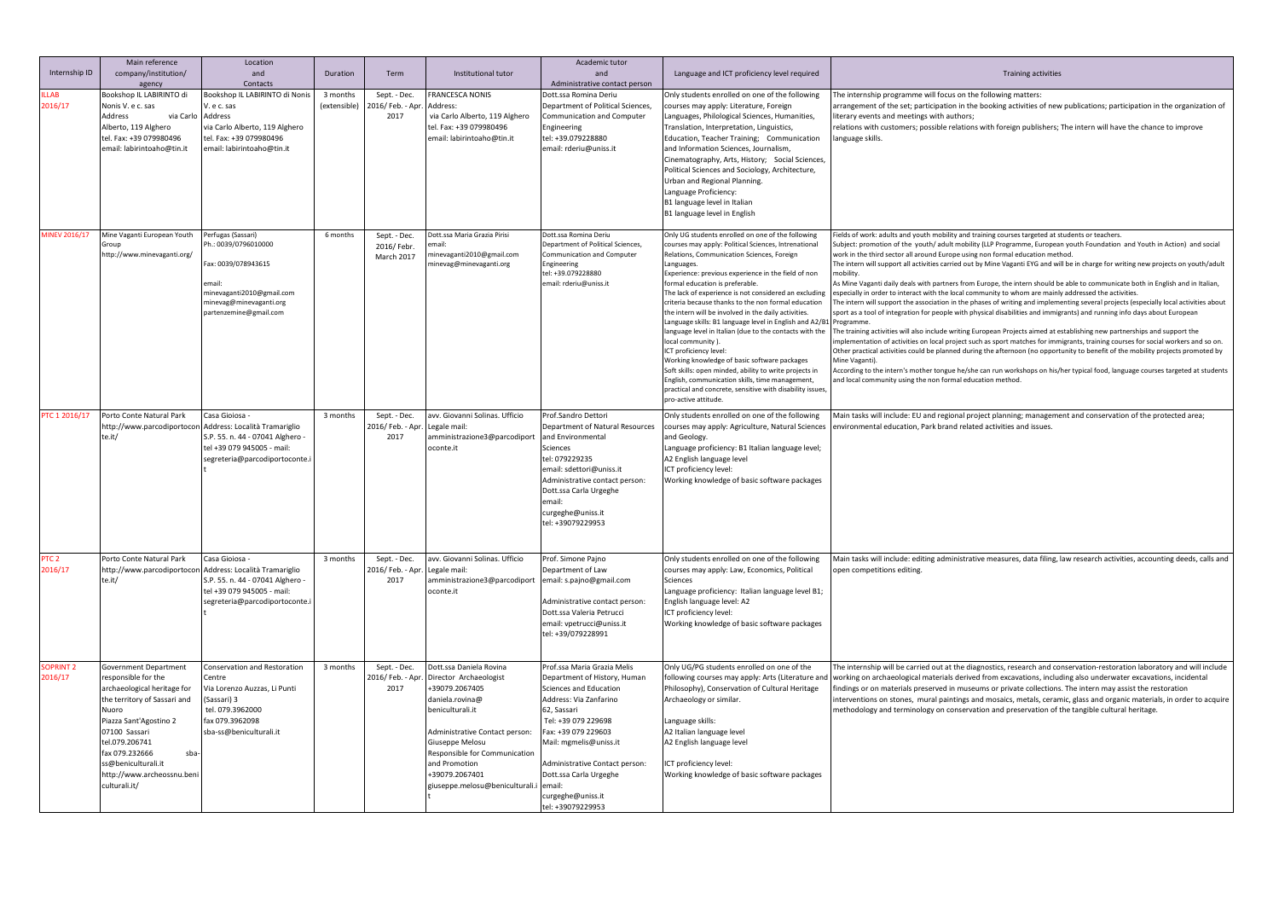| Internship ID               | Main reference<br>company/institution/<br>agency                                                                                                                                                                                                                              | Location<br>and<br>Contacts                                                                                                                                  | Duration                 | Term                                      | Institutional tutor                                                                                                                                                                                                                                                   | Academic tutor<br>and<br>Administrative contact person                                                                                                                                                                                                                                                                 | Language and ICT proficiency level required                                                                                                                                                                                                                                                                                                                                                                                                                                                                                                                                                                                                                                                                                                                                                                                                                             | <b>Training activities</b>                                                                                                                                                                                                                                                                                                                                                                                                                                                                                                                                                                                                                                                                                                                                                                                                                                                                                                                                                                                                                                                                                                                                                                                                                                                                                                                                                                                                                                                                                                                                                                                     |
|-----------------------------|-------------------------------------------------------------------------------------------------------------------------------------------------------------------------------------------------------------------------------------------------------------------------------|--------------------------------------------------------------------------------------------------------------------------------------------------------------|--------------------------|-------------------------------------------|-----------------------------------------------------------------------------------------------------------------------------------------------------------------------------------------------------------------------------------------------------------------------|------------------------------------------------------------------------------------------------------------------------------------------------------------------------------------------------------------------------------------------------------------------------------------------------------------------------|-------------------------------------------------------------------------------------------------------------------------------------------------------------------------------------------------------------------------------------------------------------------------------------------------------------------------------------------------------------------------------------------------------------------------------------------------------------------------------------------------------------------------------------------------------------------------------------------------------------------------------------------------------------------------------------------------------------------------------------------------------------------------------------------------------------------------------------------------------------------------|----------------------------------------------------------------------------------------------------------------------------------------------------------------------------------------------------------------------------------------------------------------------------------------------------------------------------------------------------------------------------------------------------------------------------------------------------------------------------------------------------------------------------------------------------------------------------------------------------------------------------------------------------------------------------------------------------------------------------------------------------------------------------------------------------------------------------------------------------------------------------------------------------------------------------------------------------------------------------------------------------------------------------------------------------------------------------------------------------------------------------------------------------------------------------------------------------------------------------------------------------------------------------------------------------------------------------------------------------------------------------------------------------------------------------------------------------------------------------------------------------------------------------------------------------------------------------------------------------------------|
| <b>ILLAB</b><br>2016/17     | Bookshop IL LABIRINTO di<br>Nonis V. e c. sas<br>Address<br>via Carlo<br>Alberto, 119 Alghero<br>tel. Fax: +39 079980496<br>email: labirintoaho@tin.it                                                                                                                        | Bookshop IL LABIRINTO di Nonis<br>. e c. sas<br><b>Address</b><br>via Carlo Alberto, 119 Alghero<br>tel. Fax: +39 079980496<br>email: labirintoaho@tin.it    | 3 months<br>(extensible) | Sept. - Dec.<br>2016/ Feb. - Apr.<br>2017 | FRANCESCA NONIS<br>Address:<br>via Carlo Alberto, 119 Alghero<br>tel. Fax: +39 079980496<br>email: labirintoaho@tin.it                                                                                                                                                | Dott.ssa Romina Deriu<br>Department of Political Sciences,<br>Communication and Computer<br>Engineering<br>tel: +39.079228880<br>email: rderiu@uniss.it                                                                                                                                                                | Only students enrolled on one of the following<br>courses may apply: Literature, Foreign<br>Languages, Philological Sciences, Humanities,<br>Translation, Interpretation, Linguistics,<br>Education, Teacher Training; Communication<br>and Information Sciences, Journalism,<br>Cinematography, Arts, History; Social Sciences,<br>Political Sciences and Sociology, Architecture,<br>Urban and Regional Planning.<br>Language Proficiency:<br>B1 language level in Italian<br>B1 language level in English                                                                                                                                                                                                                                                                                                                                                            | The internship programme will focus on the following matters:<br>arrangement of the set; participation in the booking activities of new publications; participation in the organization of<br>literary events and meetings with authors;<br>relations with customers; possible relations with foreign publishers; The intern will have the chance to improve<br>language skills.                                                                                                                                                                                                                                                                                                                                                                                                                                                                                                                                                                                                                                                                                                                                                                                                                                                                                                                                                                                                                                                                                                                                                                                                                               |
| <b>AINEV 2016/17</b>        | Mine Vaganti European Youth<br>Group<br>http://www.minevaganti.org/                                                                                                                                                                                                           | Perfugas (Sassari)<br>h.: 0039/0796010000<br>Fax: 0039/078943615<br>email:<br>minevaganti2010@gmail.com<br>minevag@minevaganti.org<br>partenzemine@gmail.com | 6 months                 | Sept. - Dec.<br>2016/ Febr.<br>March 2017 | Dott.ssa Maria Grazia Pirisi<br>email:<br>minevaganti2010@gmail.com<br>ninevag@minevaganti.org                                                                                                                                                                        | Dott.ssa Romina Deriu<br>Department of Political Sciences,<br>Communication and Computer<br>Engineering<br>tel: +39.079228880<br>email: rderiu@uniss.it                                                                                                                                                                | Only UG students enrolled on one of the following<br>courses may apply: Political Sciences, Intrenational<br>Relations, Communication Sciences, Foreign<br>Languages.<br>Experience: previous experience in the field of non<br>formal education is preferable<br>The lack of experience is not considered an excluding<br>criteria because thanks to the non formal education<br>the intern will be involved in the daily activities.<br>Language skills: B1 language level in English and A2/B1 Programme.<br>language level in Italian (due to the contacts with the<br>local community).<br>ICT proficiency level:<br>Working knowledge of basic software packages<br>Soft skills: open minded, ability to write projects in<br>English, communication skills, time management,<br>practical and concrete, sensitive with disability issues<br>pro-active attitude. | Fields of work: adults and youth mobility and training courses targeted at students or teachers.<br>Subject: promotion of the youth/adult mobility (LLP Programme, European youth Foundation and Youth in Action) and social<br>work in the third sector all around Europe using non formal education method.<br>The intern will support all activities carried out by Mine Vaganti EYG and will be in charge for writing new projects on youth/adult<br>mobility.<br>As Mine Vaganti daily deals with partners from Europe, the intern should be able to communicate both in English and in Italian,<br>especially in order to interact with the local community to whom are mainly addressed the activities.<br>The intern will support the association in the phases of writing and implementing several projects (especially local activities about<br>sport as a tool of integration for people with physical disabilities and immigrants) and running info days about European<br>The training activities will also include writing European Projects aimed at establishing new partnerships and support the<br>mplementation of activities on local project such as sport matches for immigrants, training courses for social workers and so on.<br>Other practical activities could be planned during the afternoon (no opportunity to benefit of the mobility projects promoted by<br>Mine Vaganti).<br>According to the intern's mother tongue he/she can run workshops on his/her typical food, language courses targeted at students<br>and local community using the non formal education method. |
| PTC 1 2016/17               | Porto Conte Natural Park<br>http://www.parcodiportocon<br>te.it/                                                                                                                                                                                                              | Casa Gioiosa<br>Address: Località Tramariglio<br>S.P. 55. n. 44 - 07041 Alghero -<br>tel +39 079 945005 - mail:<br>segreteria@parcodiportoconte.             | 3 months                 | Sept. - Dec.<br>2016/ Feb. - Apr.<br>2017 | avv. Giovanni Solinas. Ufficio<br>Legale mail:<br>amministrazione3@parcodiport<br>oconte.it                                                                                                                                                                           | Prof.Sandro Dettori<br>Department of Natural Resources<br>and Environmental<br>Sciences<br>tel: 079229235<br>email: sdettori@uniss.it<br>Administrative contact person:<br>Dott.ssa Carla Urgeghe<br>email:<br>curgeghe@uniss.it<br>tel: +39079229953                                                                  | Only students enrolled on one of the following<br>courses may apply: Agriculture, Natural Sciences<br>and Geology.<br>Language proficiency: B1 Italian language level;<br>A2 English language level<br>ICT proficiency level:<br>Working knowledge of basic software packages                                                                                                                                                                                                                                                                                                                                                                                                                                                                                                                                                                                           | Main tasks will include: EU and regional project planning; management and conservation of the protected area;<br>environmental education, Park brand related activities and issues.                                                                                                                                                                                                                                                                                                                                                                                                                                                                                                                                                                                                                                                                                                                                                                                                                                                                                                                                                                                                                                                                                                                                                                                                                                                                                                                                                                                                                            |
| PTC <sub>2</sub><br>2016/17 | Porto Conte Natural Park<br>http://www.parcodiportocor<br>te.it/                                                                                                                                                                                                              | Casa Gioiosa<br>Address: Località Tramariglio<br>S.P. 55. n. 44 - 07041 Alghero -<br>tel +39 079 945005 - mail:<br>segreteria@parcodiportoconte.             | 3 months                 | Sept. - Dec.<br>2016/ Feb. - Apr.<br>2017 | avv. Giovanni Solinas. Ufficio<br>Legale mail:<br>amministrazione3@parcodiport<br>oconte.it                                                                                                                                                                           | Prof. Simone Pajno<br>Department of Law<br>email: s.pajno@gmail.com<br>Administrative contact person:<br>Dott.ssa Valeria Petrucci<br>email: vpetrucci@uniss.it<br>tel: +39/079228991                                                                                                                                  | Only students enrolled on one of the following<br>courses may apply: Law, Economics, Political<br>Sciences<br>Language proficiency: Italian language level B1;<br>English language level: A2<br>ICT proficiency level:<br>Working knowledge of basic software packages                                                                                                                                                                                                                                                                                                                                                                                                                                                                                                                                                                                                  | Main tasks will include: editing administrative measures, data filing, law research activities, accounting deeds, calls and<br>open competitions editing                                                                                                                                                                                                                                                                                                                                                                                                                                                                                                                                                                                                                                                                                                                                                                                                                                                                                                                                                                                                                                                                                                                                                                                                                                                                                                                                                                                                                                                       |
| <b>SOPRINT 2</b><br>2016/17 | Government Department<br>esponsible for the<br>archaeological heritage for<br>the territory of Sassari and<br>Nuoro<br>Piazza Sant'Agostino 2<br>07100 Sassari<br>tel.079.206741<br>fax 079.232666<br>sba<br>s@beniculturali.it<br>http://www.archeossnu.ben<br>culturali.it/ | Conservation and Restoration<br>Centre<br>Via Lorenzo Auzzas, Li Punti<br>(Sassari) 3<br>tel. 079.3962000<br>fax 079.3962098<br>sba-ss@beniculturali.it      | 3 months                 | Sept. - Dec.<br>2016/ Feb. - Apr.<br>2017 | Dott.ssa Daniela Rovina<br>Director Archaeologist<br>+39079.2067405<br>daniela.rovina@<br>beniculturali.it<br>Administrative Contact person:<br>Giuseppe Melosu<br>Responsible for Communication<br>and Promotion<br>+39079.2067401<br>giuseppe.melosu@beniculturali. | Prof.ssa Maria Grazia Melis<br>Department of History, Human<br>Sciences and Education<br>Address: Via Zanfarino<br>62, Sassari<br>Tel: +39 079 229698<br>Fax: +39 079 229603<br>Mail: mgmelis@uniss.it<br>Administrative Contact person:<br>Dott.ssa Carla Urgeghe<br>email:<br>curgeghe@uniss.it<br>tel: +39079229953 | Only UG/PG students enrolled on one of the<br>following courses may apply: Arts (Literature and<br>Philosophy), Conservation of Cultural Heritage<br>Archaeology or similar.<br>Language skills:<br>A2 Italian language level<br>A2 English language level<br>ICT proficiency level:<br>Working knowledge of basic software packages                                                                                                                                                                                                                                                                                                                                                                                                                                                                                                                                    | The internship will be carried out at the diagnostics, research and conservation-restoration laboratory and will include<br>working on archaeological materials derived from excavations, including also underwater excavations, incidental<br>findings or on materials preserved in museums or private collections. The intern may assist the restoration<br>interventions on stones, mural paintings and mosaics, metals, ceramic, glass and organic materials, in order to acquire<br>methodology and terminology on conservation and preservation of the tangible cultural heritage.                                                                                                                                                                                                                                                                                                                                                                                                                                                                                                                                                                                                                                                                                                                                                                                                                                                                                                                                                                                                                       |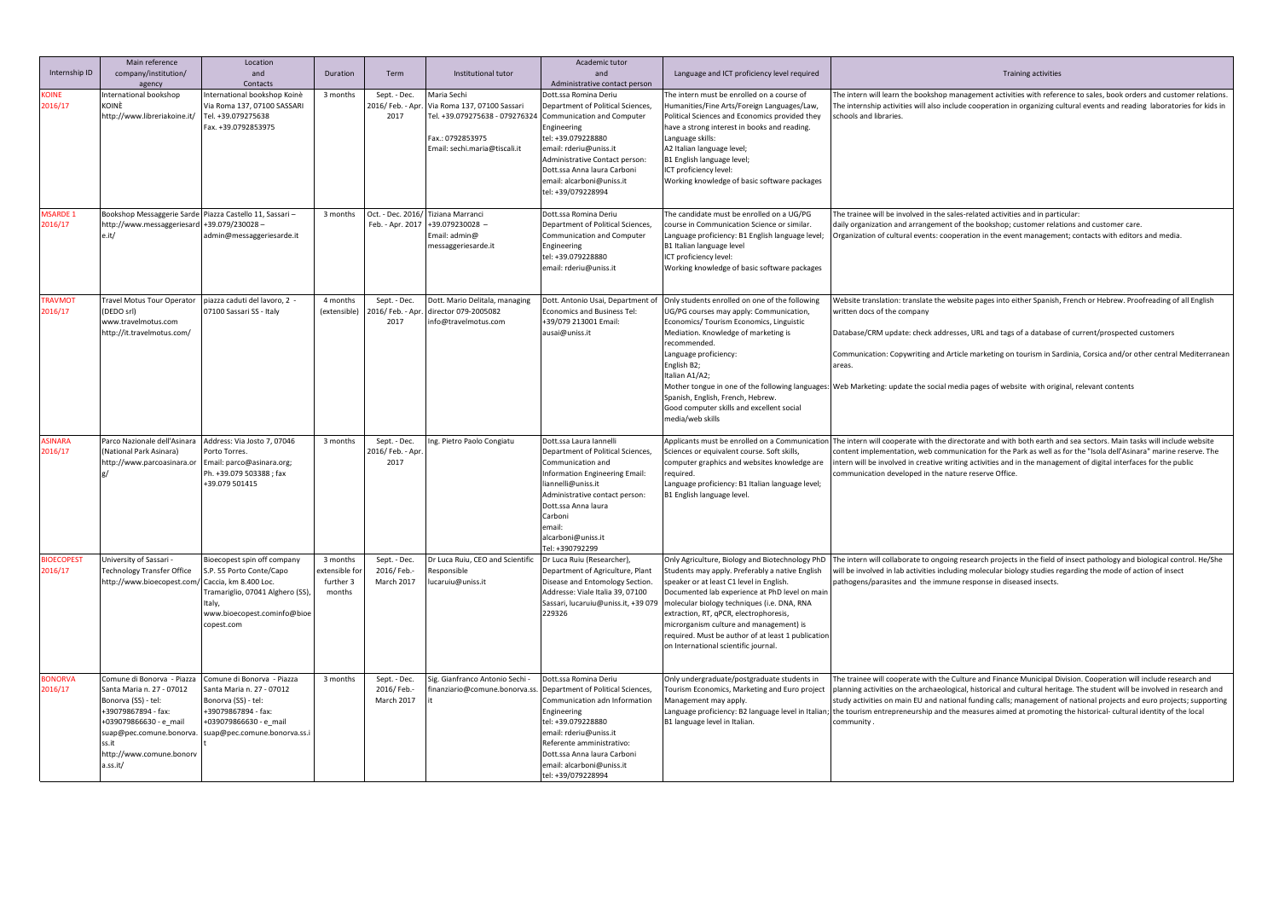| Internship ID               | Main reference<br>company/institution/<br>agency                                                                                                                                                              | Location<br>and<br>Contacts                                                                                                                                                 | Duration                                        | Term                                      | Institutional tutor                                                                                                                                          | Academic tutor<br>and<br>Administrative contact person                                                                                                                                                                                                                    | Language and ICT proficiency level required                                                                                                                                                                                                                                                                                                                                     | Training activities                                                                                                                                                                                                                                                                                                                                                                                                                                                                                                                  |
|-----------------------------|---------------------------------------------------------------------------------------------------------------------------------------------------------------------------------------------------------------|-----------------------------------------------------------------------------------------------------------------------------------------------------------------------------|-------------------------------------------------|-------------------------------------------|--------------------------------------------------------------------------------------------------------------------------------------------------------------|---------------------------------------------------------------------------------------------------------------------------------------------------------------------------------------------------------------------------------------------------------------------------|---------------------------------------------------------------------------------------------------------------------------------------------------------------------------------------------------------------------------------------------------------------------------------------------------------------------------------------------------------------------------------|--------------------------------------------------------------------------------------------------------------------------------------------------------------------------------------------------------------------------------------------------------------------------------------------------------------------------------------------------------------------------------------------------------------------------------------------------------------------------------------------------------------------------------------|
| <b>JINE</b><br>016/17       | nternational bookshop<br>KOINÈ<br>http://www.libreriakoine.it/                                                                                                                                                | nternational bookshop Koinè<br>Via Roma 137, 07100 SASSARI<br>Tel. +39.079275638<br>Fax. +39.0792853975                                                                     | 3 months                                        | Sept. - Dec.<br>2016/ Feb. - Apr.<br>2017 | Maria Sechi<br>Via Roma 137, 07100 Sassari<br>Tel. +39.079275638 - 079276324 Communication and Computer<br>Fax.: 0792853975<br>Email: sechi.maria@tiscali.it | Oott.ssa Romina Deriu<br>Department of Political Sciences,<br>Engineering<br>tel: +39.079228880<br>email: rderiu@uniss.it<br>Administrative Contact person:<br>Dott.ssa Anna laura Carboni<br>email: alcarboni@uniss.it<br>tel: +39/079228994                             | he intern must be enrolled on a course of<br>Iumanities/Fine Arts/Foreign Languages/Law,<br>Political Sciences and Economics provided they<br>have a strong interest in books and reading.<br>Language skills:<br>A2 Italian language level;<br>B1 English language level;<br>ICT proficiency level:<br>Working knowledge of basic software packages                            | The intern will learn the bookshop management activities with reference to sales, book orders and customer relations.<br>The internship activities will also include cooperation in organizing cultural events and reading laboratories for kids in<br>schools and libraries.                                                                                                                                                                                                                                                        |
| <b>ASARDE 1</b><br>2016/17  | Bookshop Messaggerie Sarde Piazza Castello 11, Sassari-<br>http://www.messaggeriesard<br>e.it/                                                                                                                | +39.079/230028-<br>admin@messaggeriesarde.it                                                                                                                                | 3 months                                        | Oct. - Dec. 2016/<br>Feb. - Apr. 2017     | Tiziana Marranci<br>+39.079230028 -<br>Email: admin@<br>messaggeriesarde.it                                                                                  | Dott.ssa Romina Deriu<br>Department of Political Sciences,<br>Communication and Computer<br>Engineering<br>tel: +39.079228880<br>email: rderiu@uniss.it                                                                                                                   | The candidate must be enrolled on a UG/PG<br>course in Communication Science or similar.<br>Language proficiency: B1 English language level;<br>B1 Italian language level<br>ICT proficiency level:<br>Working knowledge of basic software packages                                                                                                                             | The trainee will be involved in the sales-related activities and in particular:<br>daily organization and arrangement of the bookshop; customer relations and customer care.<br>Organization of cultural events: cooperation in the event management; contacts with editors and media.                                                                                                                                                                                                                                               |
| <b>RAVMOT</b><br>2016/17    | Fravel Motus Tour Operator<br>(DEDO srl)<br>www.travelmotus.com<br>http://it.travelmotus.com/                                                                                                                 | piazza caduti del lavoro. 2<br>07100 Sassari SS - Italy                                                                                                                     | 4 months<br>(extensible)                        | Sept. - Dec.<br>2016/ Feb. - Apr.<br>2017 | Dott, Mario Delitala, managing<br>director 079-2005082<br>nfo@travelmotus.com                                                                                | Dott. Antonio Usai, Department of<br>Economics and Business Tel:<br>+39/079 213001 Email:<br>ausai@uniss.it                                                                                                                                                               | Only students enrolled on one of the following<br>UG/PG courses may apply: Communication,<br>Economics/ Tourism Economics, Linguistic<br>Mediation. Knowledge of marketing is<br>recommended.<br>Language proficiency:<br>English B2;<br>Italian A1/A2;<br>Spanish, English, French, Hebrew.<br>Good computer skills and excellent social<br>media/web skills                   | Website translation: translate the website pages into either Spanish, French or Hebrew. Proofreading of all English<br>written docs of the company<br>Database/CRM update: check addresses, URL and tags of a database of current/prospected customers<br>Communication: Copywriting and Article marketing on tourism in Sardinia, Corsica and/or other central Mediterranean<br>areas.<br>Mother tongue in one of the following languages: Web Marketing: update the social media pages of website with original, relevant contents |
| <b>SINARA</b><br>2016/17    | Parco Nazionale dell'Asinara<br>(National Park Asinara)<br>http://www.parcoasinara.or                                                                                                                         | Address: Via Josto 7, 07046<br>Porto Torres.<br>Email: parco@asinara.org;<br>Ph. +39.079 503388 ; fax<br>+39.079 501415                                                     | 3 months                                        | Sept. - Dec.<br>2016/ Feb. - Apr<br>2017  | ng. Pietro Paolo Congiatu                                                                                                                                    | Dott.ssa Laura Iannelli<br>Department of Political Sciences,<br>Communication and<br>nformation Engineering Email:<br>liannelli@uniss.it<br>Administrative contact person:<br>Dott.ssa Anna laura<br>Carboni<br>email:<br>alcarboni@uniss.it<br>Tel: +390792299           | Sciences or equivalent course. Soft skills,<br>computer graphics and websites knowledge are<br>required.<br>Language proficiency: B1 Italian language level;<br>B1 English language level.                                                                                                                                                                                      | Applicants must be enrolled on a Communication The intern will cooperate with the directorate and with both earth and sea sectors. Main tasks will include website<br>content implementation, web communication for the Park as well as for the "Isola dell'Asinara" marine reserve. The<br>intern will be involved in creative writing activities and in the management of digital interfaces for the public<br>communication developed in the nature reserve Office.                                                               |
| <b>IOECOPEST</b><br>2016/17 | University of Sassari -<br>Technology Transfer Office<br>http://www.bioecopest.com,                                                                                                                           | Bioecopest spin off company<br>S.P. 55 Porto Conte/Capo<br>Caccia, km 8.400 Loc.<br>Framariglio, 07041 Alghero (SS),<br>Italy,<br>www.bioecopest.cominfo@bioe<br>copest.com | 3 months<br>xtensible fo<br>further 3<br>months | Sept. - Dec.<br>2016/Feb.-<br>March 2017  | Dr Luca Ruiu, CEO and Scientific   Dr Luca Ruiu (Researcher),<br>esponsible<br>ucaruiu@uniss.it                                                              | Department of Agriculture, Plant<br>Disease and Entomology Section.<br>Addresse: Viale Italia 39, 07100<br>Sassari, lucaruiu@uniss.it, +39 079<br>229326                                                                                                                  | Students may apply. Preferably a native English<br>speaker or at least C1 level in English.<br>Documented lab experience at PhD level on main<br>molecular biology techniques (i.e. DNA, RNA<br>extraction, RT, qPCR, electrophoresis,<br>microrganism culture and management) is<br>required. Must be author of at least 1 publication<br>on International scientific journal. | Only Agriculture, Biology and Biotechnology PhD The intern will collaborate to ongoing research projects in the field of insect pathology and biological control. He/She<br>will be involved in lab activities including molecular biology studies regarding the mode of action of insect<br>pathogens/parasites and the immune response in diseased insects.                                                                                                                                                                        |
| <b>ONORVA</b><br>2016/17    | Comune di Bonorva - Piazza<br>Santa Maria n. 27 - 07012<br>Bonorva (SS) - tel:<br>+39079867894 - fax:<br>+039079866630 - e_mail<br>suap@pec.comune.bonorva.<br>ti. 22<br>http://www.comune.bonorv<br>a.ss.it/ | Comune di Bonorva - Piazza<br>Santa Maria n. 27 - 07012<br>Bonorva (SS) - tel:<br>+39079867894 - fax:<br>+039079866630 - e_mail<br>suap@pec.comune.bonorva.ss.i             | 3 months                                        | Sept. - Dec.<br>2016/Feb.-<br>March 2017  | Sig. Gianfranco Antonio Sechi -<br>inanziario@comune.bonorva.ss.                                                                                             | Dott.ssa Romina Deriu<br>Department of Political Sciences,<br>Communication adn Information<br>Engineering<br>tel: +39.079228880<br>email: rderiu@uniss.it<br>Referente amministrativo:<br>Dott.ssa Anna laura Carboni<br>email: alcarboni@uniss.it<br>tel: +39/079228994 | Only undergraduate/postgraduate students in<br>Tourism Economics, Marketing and Euro project<br>Management may apply.<br>Language proficiency: B2 language level in Italian;<br>B1 language level in Italian.                                                                                                                                                                   | The trainee will cooperate with the Culture and Finance Municipal Division. Cooperation will include research and<br>planning activities on the archaeological, historical and cultural heritage. The student will be involved in research and<br>study activities on main EU and national funding calls; management of national projects and euro projects; supporting<br>the tourism entrepreneurship and the measures aimed at promoting the historical-cultural identity of the local<br>community                               |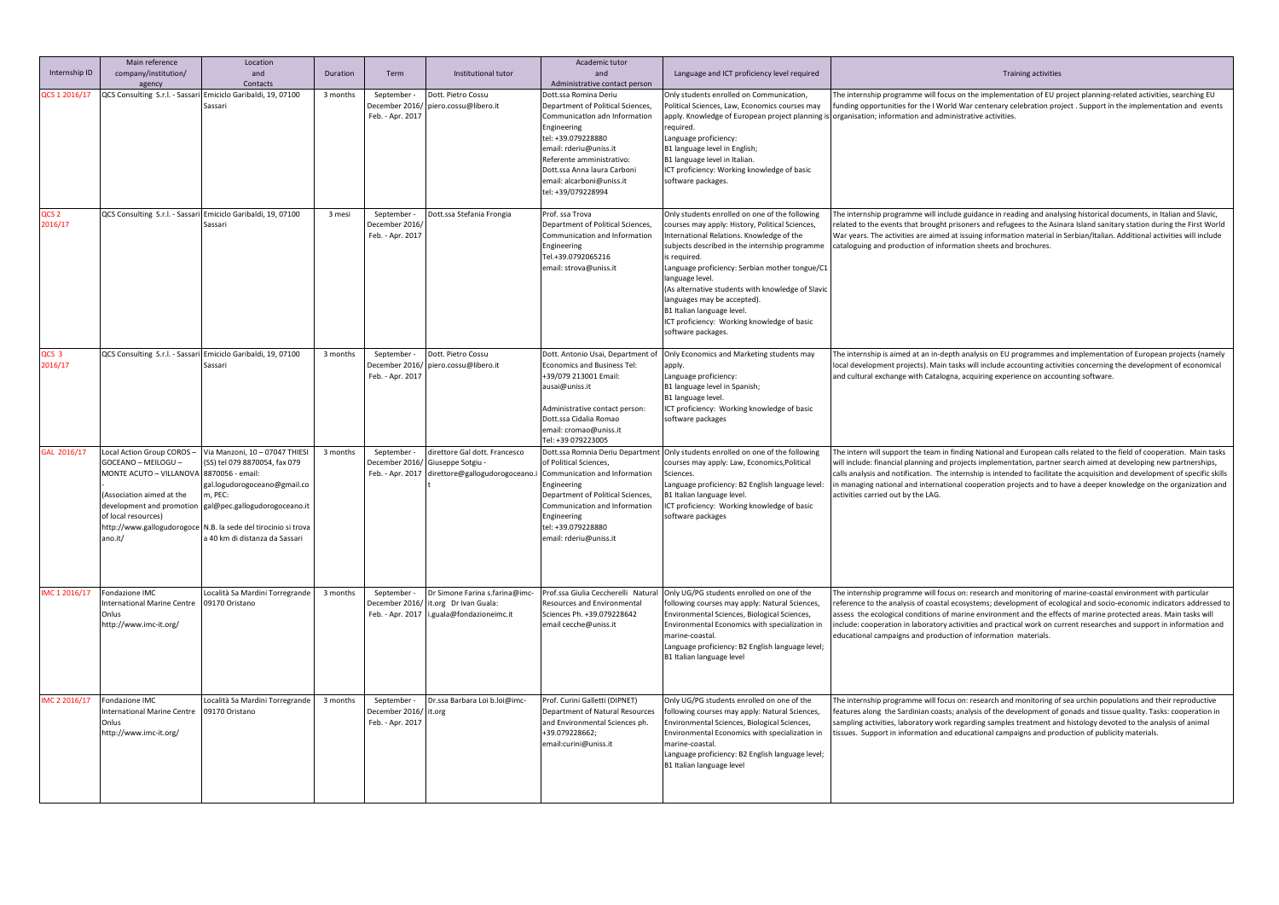| Internship ID               | Main reference<br>company/institution/<br>agency                                                                                                                                                       | Location<br>and<br>Contacts                                                                                                                                                                                                           | Duration | Term                                                   | Institutional tutor                                                                  | Academic tutor<br>and<br>Administrative contact person                                                                                                                                                                                                                    | Language and ICT proficiency level required                                                                                                                                                                                                                                                                                                                                                                                                                                  | <b>Training activities</b>                                                                                                                                                                                                                                                                                                                                                                                                                                                                                                                             |
|-----------------------------|--------------------------------------------------------------------------------------------------------------------------------------------------------------------------------------------------------|---------------------------------------------------------------------------------------------------------------------------------------------------------------------------------------------------------------------------------------|----------|--------------------------------------------------------|--------------------------------------------------------------------------------------|---------------------------------------------------------------------------------------------------------------------------------------------------------------------------------------------------------------------------------------------------------------------------|------------------------------------------------------------------------------------------------------------------------------------------------------------------------------------------------------------------------------------------------------------------------------------------------------------------------------------------------------------------------------------------------------------------------------------------------------------------------------|--------------------------------------------------------------------------------------------------------------------------------------------------------------------------------------------------------------------------------------------------------------------------------------------------------------------------------------------------------------------------------------------------------------------------------------------------------------------------------------------------------------------------------------------------------|
| CS 1 2016/17                | QCS Consulting S.r.l. - Sassari                                                                                                                                                                        | Emiciclo Garibaldi, 19, 07100<br>Sassari                                                                                                                                                                                              | 3 months | September -<br>December 2016/<br>Feb. - Apr. 2017      | Dott, Pietro Cossu<br>piero.cossu@libero.it                                          | Dott.ssa Romina Deriu<br>Department of Political Sciences,<br>Communication adn Information<br>Engineering<br>tel: +39.079228880<br>email: rderiu@uniss.it<br>Referente amministrativo:<br>Dott.ssa Anna laura Carboni<br>email: alcarboni@uniss.it<br>tel: +39/079228994 | Only students enrolled on Communication,<br>Political Sciences, Law, Economics courses may<br>required.<br>Language proficiency:<br>B1 language level in English;<br>B1 language level in Italian.<br>ICT proficiency: Working knowledge of basic<br>software packages.                                                                                                                                                                                                      | The internship programme will focus on the implementation of EU project planning-related activities, searching EU<br>funding opportunities for the I World War centenary celebration project. Support in the implementation and events<br>apply. Knowledge of European project planning is organisation; information and administrative activities.                                                                                                                                                                                                    |
| QCS <sub>2</sub><br>2016/17 | QCS Consulting S.r.l. - Sassari                                                                                                                                                                        | Emiciclo Garibaldi, 19, 07100<br>Sassari                                                                                                                                                                                              | 3 mesi   | September -<br>December 2016,<br>Feb. - Apr. 2017      | Dott.ssa Stefania Frongia                                                            | Prof. ssa Trova<br>Department of Political Sciences,<br>Communication and Information<br>Engineering<br>Tel.+39.0792065216<br>email: strova@uniss.it                                                                                                                      | Only students enrolled on one of the following<br>courses may apply: History, Political Sciences,<br>International Relations. Knowledge of the<br>subjects described in the internship programme<br>is required.<br>Language proficiency: Serbian mother tongue/C1<br>language level.<br>(As alternative students with knowledge of Slavic<br>languages may be accepted).<br>B1 Italian language level.<br>ICT proficiency: Working knowledge of basic<br>software packages. | The internship programme will include guidance in reading and analysing historical documents, in Italian and Slavic,<br>related to the events that brought prisoners and refugees to the Asinara Island sanitary station during the First World<br>War years. The activities are aimed at issuing information material in Serbian/Italian. Additional activities will include<br>cataloguing and production of information sheets and brochures.                                                                                                       |
| 2016/17                     | QCS Consulting S.r.l. - Sassari                                                                                                                                                                        | Emiciclo Garibaldi, 19, 07100<br>Sassari                                                                                                                                                                                              | 3 months | September -<br>December 2016,<br>Feb. - Apr. 2017      | Dott. Pietro Cossu<br>piero.cossu@libero.it                                          | Dott. Antonio Usai, Department of<br>Economics and Business Tel:<br>+39/079 213001 Email:<br>ausai@uniss.it<br>Administrative contact person:<br>Dott.ssa Cidalia Romao<br>email: cromao@uniss.it<br>Tel: +39 079223005                                                   | Only Economics and Marketing students may<br>Language proficiency:<br>B1 language level in Spanish;<br>B1 language level.<br>ICT proficiency: Working knowledge of basic<br>software packages                                                                                                                                                                                                                                                                                | The internship is aimed at an in-depth analysis on EU programmes and implementation of European projects (namely<br>local development projects). Main tasks will include accounting activities concerning the development of economical<br>and cultural exchange with Catalogna, acquiring experience on accounting software.                                                                                                                                                                                                                          |
| GAL 2016/17                 | Local Action Group COROS -<br>GOCEANO - MEILOGU -<br>MONTE ACUTO - VILLANOVA<br>(Association aimed at the<br>development and promotion<br>of local resources)<br>http://www.gallogudorogoce<br>ano.it/ | Via Manzoni, 10-07047 THIESI<br>SS) tel 079 8870054, fax 079<br>8870056 - email:<br>gal.logudorogoceano@gmail.co<br>n, PEC:<br>gal@pec.gallogudorogoceano.it<br>N.B. la sede del tirocinio si trova<br>a 40 km di distanza da Sassari | 3 months | September -<br>December 2016/<br>Feb. - Apr. 2017      | direttore Gal dott. Francesco<br>Giuseppe Sotgiu -<br>direttore@gallogudorogoceano.i | Dott.ssa Romnia Deriu Department<br>of Political Sciences.<br>Communication and Information<br>Engineering<br>Department of Political Sciences,<br>Communication and Information<br><b>Engineering</b><br>tel: +39.079228880<br>email: rderiu@uniss.it                    | Only students enrolled on one of the following<br>courses may apply: Law, Economics, Political<br>Sciences.<br>Language proficiency: B2 English language level:<br>B1 Italian language level.<br>ICT proficiency: Working knowledge of basic<br>software packages                                                                                                                                                                                                            | The intern will support the team in finding National and European calls related to the field of cooperation. Main tasks<br>will include: financial planning and projects implementation, partner search aimed at developing new partnerships,<br>calls analysis and notification. The internship is intended to facilitate the acquisition and development of specific skills<br>in managing national and international cooperation projects and to have a deeper knowledge on the organization and<br>activities carried out by the LAG.              |
| IMC 1 2016/17               | Fondazione IMC<br><b>International Marine Centre</b><br>Onlus<br>http://www.imc-it.org/                                                                                                                | Località Sa Mardini Torregrande<br>09170 Oristano                                                                                                                                                                                     | 3 months | September -<br>December 2016/<br>Feb. - Apr. 2017      | Dr Simone Farina s.farina@imc-<br>it.org Dr Ivan Guala:<br>.guala@fondazioneimc.it   | Prof.ssa Giulia Ceccherelli Natural<br>Resources and Environmental<br>Sciences Ph. +39.079228642<br>email cecche@uniss.it                                                                                                                                                 | Only UG/PG students enrolled on one of the<br>following courses may apply: Natural Sciences,<br>Environmental Sciences, Biological Sciences,<br>Environmental Economics with specialization in<br>marine-coastal.<br>Language proficiency: B2 English language level;<br>B1 Italian language level                                                                                                                                                                           | The internship programme will focus on: research and monitoring of marine-coastal environment with particular<br>reference to the analysis of coastal ecosystems; development of ecological and socio-economic indicators addressed to<br>assess the ecological conditions of marine environment and the effects of marine protected areas. Main tasks will<br>include: cooperation in laboratory activities and practical work on current researches and support in information and<br>educational campaigns and production of information materials. |
| IMC 2 2016/17               | Fondazione IMC<br>nternational Marine Centre<br>Onlus<br>http://www.imc-it.org/                                                                                                                        | Località Sa Mardini Torregrande<br>09170 Oristano                                                                                                                                                                                     | 3 months | September<br>December 2016/ it.org<br>Feb. - Apr. 2017 | Dr.ssa Barbara Loi b.loi@imc-                                                        | Prof. Curini Galletti (DIPNET)<br>Department of Natural Resources<br>and Environmental Sciences ph.<br>+39.079228662;<br>email:curini@uniss.it                                                                                                                            | Only UG/PG students enrolled on one of the<br>following courses may apply: Natural Sciences,<br>Environmental Sciences, Biological Sciences,<br>Environmental Economics with specialization in<br>marine-coastal.<br>Language proficiency: B2 English language level;<br>B1 Italian language level                                                                                                                                                                           | The internship programme will focus on: research and monitoring of sea urchin populations and their reproductive<br>features along the Sardinian coasts; analysis of the development of gonads and tissue quality. Tasks: cooperation in<br>sampling activities, laboratory work regarding samples treatment and histology devoted to the analysis of animal<br>tissues. Support in information and educational campaigns and production of publicity materials.                                                                                       |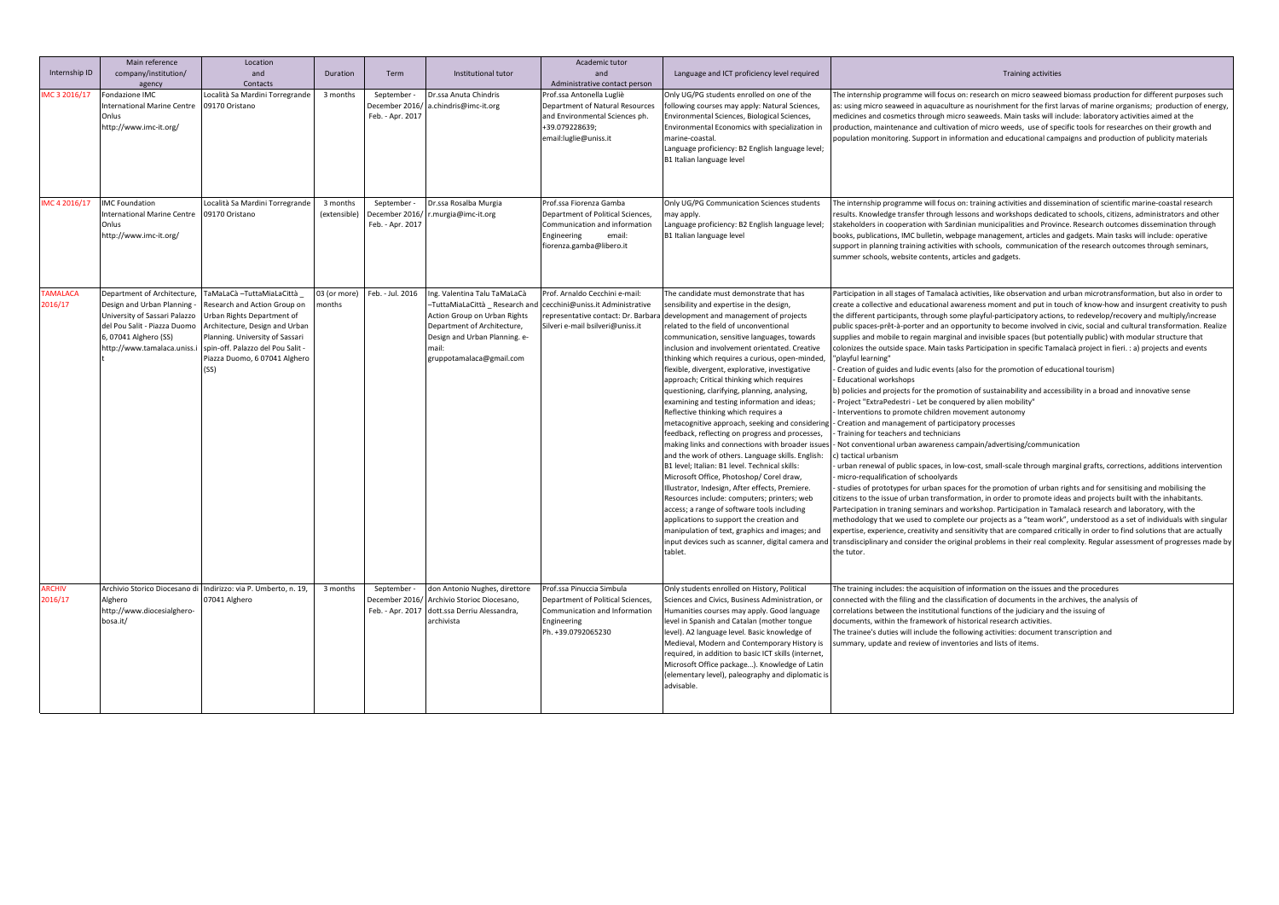| Internship ID             | Main reference<br>company/institution/<br>agency                                                                                                                                 | Location<br>and<br>Contacts                                                                                                                                                                                                                | Duration                 | Term                                              | Institutional tutor                                                                                                                                                                                  | Academic tutor<br>and<br>Administrative contact person                                                                                             | Language and ICT proficiency level required                                                                                                                                                                                                                                                                                                                                                                                                                                                                                                                                                                                                                                                                                                                                                                                                                                                                                                                                                                                                                                                                                                                                                       | Training activities                                                                                                                                                                                                                                                                                                                                                                                                                                                                                                                                                                                                                                                                                                                                                                                                                                                                                                                                                                                                                                                                                                                                                                                                                                                                                                                                                                                                                                                                                                                                                                                                                                                                                                                                                                                                                                                                                                                                                                                                                                                                                                                                                                                                                                      |
|---------------------------|----------------------------------------------------------------------------------------------------------------------------------------------------------------------------------|--------------------------------------------------------------------------------------------------------------------------------------------------------------------------------------------------------------------------------------------|--------------------------|---------------------------------------------------|------------------------------------------------------------------------------------------------------------------------------------------------------------------------------------------------------|----------------------------------------------------------------------------------------------------------------------------------------------------|---------------------------------------------------------------------------------------------------------------------------------------------------------------------------------------------------------------------------------------------------------------------------------------------------------------------------------------------------------------------------------------------------------------------------------------------------------------------------------------------------------------------------------------------------------------------------------------------------------------------------------------------------------------------------------------------------------------------------------------------------------------------------------------------------------------------------------------------------------------------------------------------------------------------------------------------------------------------------------------------------------------------------------------------------------------------------------------------------------------------------------------------------------------------------------------------------|----------------------------------------------------------------------------------------------------------------------------------------------------------------------------------------------------------------------------------------------------------------------------------------------------------------------------------------------------------------------------------------------------------------------------------------------------------------------------------------------------------------------------------------------------------------------------------------------------------------------------------------------------------------------------------------------------------------------------------------------------------------------------------------------------------------------------------------------------------------------------------------------------------------------------------------------------------------------------------------------------------------------------------------------------------------------------------------------------------------------------------------------------------------------------------------------------------------------------------------------------------------------------------------------------------------------------------------------------------------------------------------------------------------------------------------------------------------------------------------------------------------------------------------------------------------------------------------------------------------------------------------------------------------------------------------------------------------------------------------------------------------------------------------------------------------------------------------------------------------------------------------------------------------------------------------------------------------------------------------------------------------------------------------------------------------------------------------------------------------------------------------------------------------------------------------------------------------------------------------------------------|
| MC 3 2016/17              | ondazione IMC<br>nternational Marine Centre<br>Onlus<br>http://www.imc-it.org/                                                                                                   | Località Sa Mardini Torregrande<br>09170 Oristano                                                                                                                                                                                          | 3 months                 | September -<br>December 2016<br>Feb. - Apr. 2017  | Dr.ssa Anuta Chindris<br>a.chindris@imc-it.org                                                                                                                                                       | Prof.ssa Antonella Lugliè<br>Department of Natural Resources<br>and Environmental Sciences ph.<br>+39.079228639;<br>email:luglie@uniss.it          | Only UG/PG students enrolled on one of the<br>following courses may apply: Natural Sciences,<br>Environmental Sciences, Biological Sciences,<br>Environmental Economics with specialization in<br>marine-coastal.<br>Language proficiency: B2 English language level;<br>B1 Italian language level                                                                                                                                                                                                                                                                                                                                                                                                                                                                                                                                                                                                                                                                                                                                                                                                                                                                                                | The internship programme will focus on: research on micro seaweed biomass production for different purposes such<br>as: using micro seaweed in aquaculture as nourishment for the first larvas of marine organisms; production of energy,<br>medicines and cosmetics through micro seaweeds. Main tasks will include: laboratory activities aimed at the<br>production, maintenance and cultivation of micro weeds, use of specific tools for researches on their growth and<br>population monitoring. Support in information and educational campaigns and production of publicity materials                                                                                                                                                                                                                                                                                                                                                                                                                                                                                                                                                                                                                                                                                                                                                                                                                                                                                                                                                                                                                                                                                                                                                                                                                                                                                                                                                                                                                                                                                                                                                                                                                                                            |
| MC 4 2016/17              | <b>IMC Foundation</b><br>nternational Marine Centre<br>Onlus<br>http://www.imc-it.org/                                                                                           | Località Sa Mardini Torregrande<br>09170 Oristano                                                                                                                                                                                          | 3 months<br>(extensible) | September -<br>December 2016/<br>Feb. - Apr. 2017 | Dr.ssa Rosalba Murgia<br>r.murgia@imc-it.org                                                                                                                                                         | Prof.ssa Fiorenza Gamba<br>Department of Political Sciences,<br>Communication and information<br>Engineering<br>email:<br>fiorenza.gamba@libero.it | Only UG/PG Communication Sciences students<br>may apply.<br>Language proficiency: B2 English language level;<br>B1 Italian language level                                                                                                                                                                                                                                                                                                                                                                                                                                                                                                                                                                                                                                                                                                                                                                                                                                                                                                                                                                                                                                                         | The internship programme will focus on: training activities and dissemination of scientific marine-coastal research<br>results. Knowledge transfer through lessons and workshops dedicated to schools, citizens, administrators and other<br>stakeholders in cooperation with Sardinian municipalities and Province. Research outcomes dissemination through<br>books, publications, IMC bulletin, webpage management, articles and gadgets. Main tasks will include: operative<br>support in planning training activities with schools, communication of the research outcomes through seminars,<br>summer schools, website contents, articles and gadgets.                                                                                                                                                                                                                                                                                                                                                                                                                                                                                                                                                                                                                                                                                                                                                                                                                                                                                                                                                                                                                                                                                                                                                                                                                                                                                                                                                                                                                                                                                                                                                                                             |
| <b>AMALACA</b><br>2016/17 | Department of Architecture,<br>Design and Urban Planning<br>University of Sassari Palazzo<br>del Pou Salit - Piazza Duomo<br>5, 07041 Alghero (SS)<br>nttp://www.tamalaca.uniss. | TaMaLaCà -TuttaMiaLaCittà<br>Research and Action Group on<br>Urban Rights Department of<br>Architecture, Design and Urban<br>Planning. University of Sassari<br>spin-off. Palazzo del Pou Salit -<br>Piazza Duomo, 6 07041 Alghero<br>(SS) | 03 (or more)<br>nonths   | Feb. - Jul. 2016                                  | Ing. Valentina Talu TaMaLaCà<br>-TuttaMiaLaCittà _ Research and<br>Action Group on Urban Rights<br>Department of Architecture,<br>Design and Urban Planning. e-<br>mail:<br>gruppotamalaca@gmail.com | Prof. Arnaldo Cecchini e-mail:<br>cecchini@uniss.it Administrative<br>representative contact: Dr. Barbara<br>Silveri e-mail bsilveri@uniss.it      | The candidate must demonstrate that has<br>sensibility and expertise in the design,<br>development and management of projects<br>related to the field of unconventional<br>communication, sensitive languages, towards<br>inclusion and involvement orientated. Creative<br>thinking which requires a curious, open-minded,<br>flexible, divergent, explorative, investigative<br>approach; Critical thinking which requires<br>questioning, clarifying, planning, analysing,<br>examining and testing information and ideas;<br>Reflective thinking which requires a<br>metacognitive approach, seeking and considering<br>feedback, reflecting on progress and processes,<br>making links and connections with broader issues<br>and the work of others. Language skills. English:<br>B1 level; Italian: B1 level. Technical skills:<br>Microsoft Office, Photoshop/ Corel draw,<br>Illustrator, Indesign, After effects, Premiere.<br>Resources include: computers; printers; web<br>access; a range of software tools including<br>applications to support the creation and<br>manipulation of text, graphics and images; and<br>input devices such as scanner, digital camera and<br>tablet. | Participation in all stages of Tamalacà activities, like observation and urban microtransformation, but also in order to<br>create a collective and educational awareness moment and put in touch of know-how and insurgent creativity to push<br>the different participants, through some playful-participatory actions, to redevelop/recovery and multiply/increase<br>public spaces-prêt-à-porter and an opportunity to become involved in civic, social and cultural transformation. Realize<br>supplies and mobile to regain marginal and invisible spaces (but potentially public) with modular structure that<br>colonizes the outside space. Main tasks Participation in specific Tamalacà project in fieri. : a) projects and events<br>"playful learning"<br>Creation of guides and ludic events (also for the promotion of educational tourism)<br><b>Educational workshops</b><br>b) policies and projects for the promotion of sustainability and accessibility in a broad and innovative sense<br>Project "ExtraPedestri - Let be conquered by alien mobility"<br>Interventions to promote children movement autonomy<br>Creation and management of participatory processes<br>Training for teachers and technicians<br>Not conventional urban awareness campain/advertising/communication<br>c) tactical urbanism<br>urban renewal of public spaces, in low-cost, small-scale through marginal grafts, corrections, additions intervention<br>micro-requalification of schoolyards<br>studies of prototypes for urban spaces for the promotion of urban rights and for sensitising and mobilising the<br>citizens to the issue of urban transformation, in order to promote ideas and projects built with the inhabitants.<br>Partecipation in traning seminars and workshop. Participation in Tamalacà research and laboratory, with the<br>methodology that we used to complete our projects as a "team work", understood as a set of individuals with singular<br>expertise, experience, creativity and sensitivity that are compared critically in order to find solutions that are actually<br>transdisciplinary and consider the original problems in their real complexity. Regular assessment of progresses made by<br>the tutor. |
| <b>RCHIV</b><br>2016/17   | Alghero<br>http://www.diocesialghero-<br>/osa.it                                                                                                                                 | Archivio Storico Diocesano di Indirizzo: via P. Umberto, n. 19,<br>07041 Alghero                                                                                                                                                           | 3 months                 | September -<br>December 2016<br>Feb. - Apr. 2017  | don Antonio Nughes, direttore<br>Archivio Storioc Diocesano,<br>dott.ssa Derriu Alessandra,<br>archivista                                                                                            | Prof.ssa Pinuccia Simbula<br>Department of Political Sciences,<br>Communication and Information<br>Engineering<br>Ph. +39.0792065230               | Only students enrolled on History, Political<br>Sciences and Civics, Business Administration, or<br>Humanities courses may apply. Good language<br>level in Spanish and Catalan (mother tongue<br>level). A2 language level. Basic knowledge of<br>Medieval, Modern and Contemporary History is<br>required, in addition to basic ICT skills (internet,<br>Microsoft Office package). Knowledge of Latin<br>(elementary level), paleography and diplomatic is<br>advisable.                                                                                                                                                                                                                                                                                                                                                                                                                                                                                                                                                                                                                                                                                                                       | The training includes: the acquisition of information on the issues and the procedures<br>connected with the filing and the classification of documents in the archives, the analysis of<br>correlations between the institutional functions of the judiciary and the issuing of<br>documents, within the framework of historical research activities.<br>The trainee's duties will include the following activities: document transcription and<br>summary, update and review of inventories and lists of items.                                                                                                                                                                                                                                                                                                                                                                                                                                                                                                                                                                                                                                                                                                                                                                                                                                                                                                                                                                                                                                                                                                                                                                                                                                                                                                                                                                                                                                                                                                                                                                                                                                                                                                                                        |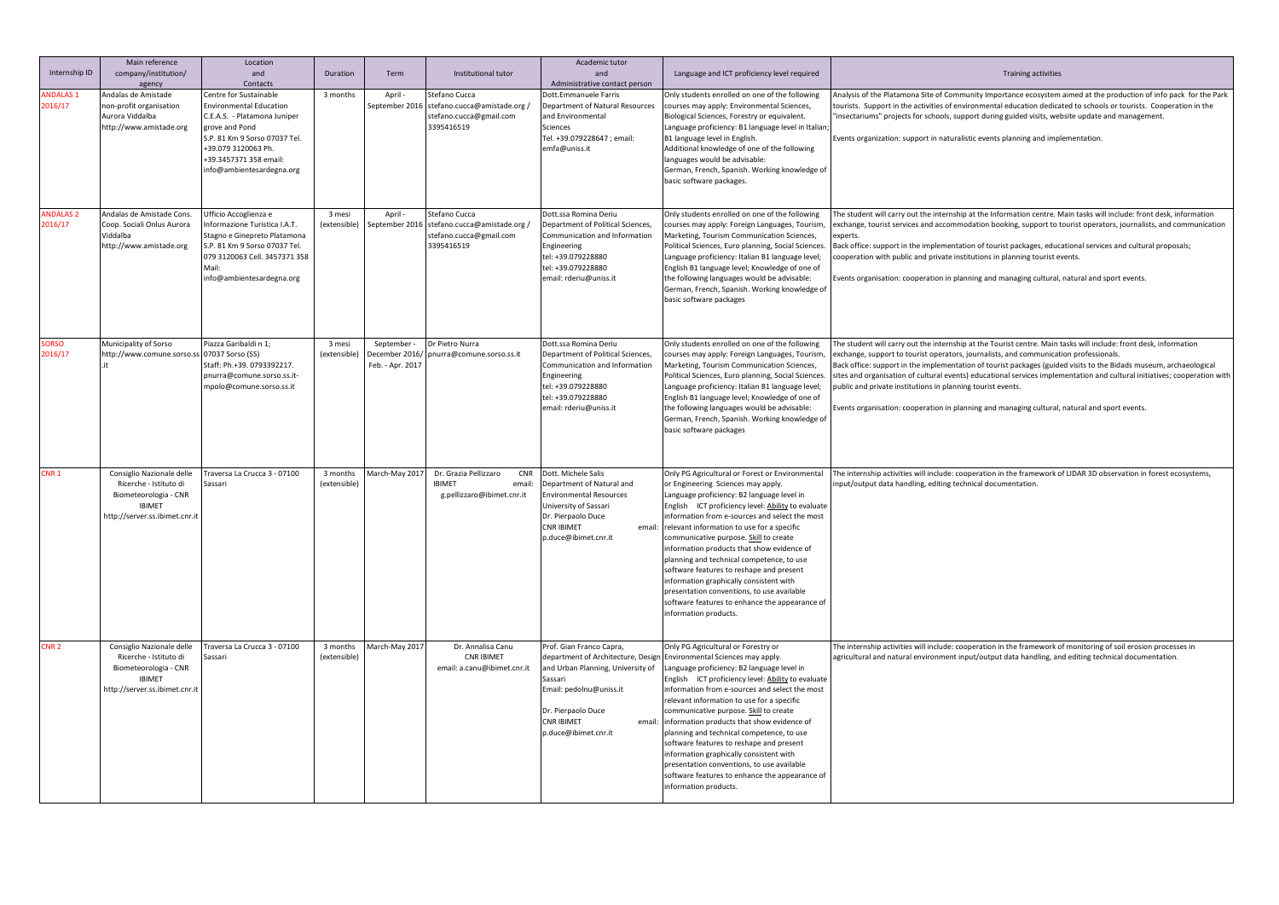| Internship ID               | Main reference<br>company/institution/<br>agency                                                                                | Location<br>and<br>Contacts                                                                                                                                                                                               | Duration                 | Term                                              | Institutional tutor                                                                    | Academic tutor<br>and<br>Administrative contact person                                                                                                                                   | Language and ICT proficiency level required                                                                                                                                                                                                                                                                                                                                                                                                                                                                                                                                                                                                                                 | <b>Training activities</b>                                                                                                                                                                                                                                                                                                                                                                                                                                                                                                                                                                                                   |
|-----------------------------|---------------------------------------------------------------------------------------------------------------------------------|---------------------------------------------------------------------------------------------------------------------------------------------------------------------------------------------------------------------------|--------------------------|---------------------------------------------------|----------------------------------------------------------------------------------------|------------------------------------------------------------------------------------------------------------------------------------------------------------------------------------------|-----------------------------------------------------------------------------------------------------------------------------------------------------------------------------------------------------------------------------------------------------------------------------------------------------------------------------------------------------------------------------------------------------------------------------------------------------------------------------------------------------------------------------------------------------------------------------------------------------------------------------------------------------------------------------|------------------------------------------------------------------------------------------------------------------------------------------------------------------------------------------------------------------------------------------------------------------------------------------------------------------------------------------------------------------------------------------------------------------------------------------------------------------------------------------------------------------------------------------------------------------------------------------------------------------------------|
| <b>NDALAS1</b><br>016/17    | ndalas de Amistade<br>non-profit organisation<br>Aurora Viddalba<br>http://www.amistade.org                                     | Centre for Sustainable<br><b>Environmental Education</b><br>C.E.A.S. - Platamona Juniper<br>grove and Pond<br>S.P. 81 Km 9 Sorso 07037 Tel.<br>+39.079 3120063 Ph.<br>+39.3457371 358 email:<br>info@ambientesardegna.org | 3 months                 | April -<br>September 2016                         | Stefano Cucca<br>stefano.cucca@amistade.org /<br>stefano.cucca@gmail.com<br>3395416519 | Oott.Emmanuele Farris<br>Department of Natural Resources<br>and Environmental<br>Sciences<br>Tel. +39.079228647 ; email:<br>emfa@uniss.it                                                | Only students enrolled on one of the following<br>courses may apply: Environmental Sciences,<br>Biological Sciences, Forestry or equivalent.<br>Language proficiency: B1 language level in Italian<br>B1 language level in English.<br>Additional knowledge of one of the following<br>languages would be advisable:<br>German, French, Spanish. Working knowledge of<br>basic software packages.                                                                                                                                                                                                                                                                           | Analysis of the Platamona Site of Community Importance ecosystem aimed at the production of info pack for the Park<br>tourists. Support in the activities of environmental education dedicated to schools or tourists. Cooperation in the<br>insectariums" projects for schools, support during guided visits, website update and management.<br>ivents organization: support in naturalistic events planning and implementation.                                                                                                                                                                                            |
| <b>ANDALAS 2</b><br>2016/17 | Andalas de Amistade Cons.<br>Coop. Sociali Onlus Aurora<br>Viddalba<br>http://www.amistade.org                                  | Jfficio Accoglienza e<br>nformazione Turistica I.A.T.<br>Stagno e Ginepreto Platamona<br>S.P. 81 Km 9 Sorso 07037 Tel.<br>079 3120063 Cell. 3457371 358<br>Mail:<br>nfo@ambientesardegna.org                              | 3 mesi<br>(extensible)   | April -<br>September 2016                         | Stefano Cucca<br>stefano.cucca@amistade.org /<br>stefano.cucca@gmail.com<br>3395416519 | Dott.ssa Romina Deriu<br>Department of Political Sciences,<br>Communication and Information<br>Engineering<br>tel: +39.079228880<br>tel: +39.079228880<br>email: rderiu@uniss.it         | Only students enrolled on one of the following<br>courses may apply: Foreign Languages, Tourism,<br>Marketing, Tourism Communication Sciences,<br>Political Sciences, Euro planning, Social Sciences<br>Language proficiency: Italian B1 language level;<br>English B1 language level; Knowledge of one of<br>the following languages would be advisable:<br>German, French, Spanish. Working knowledge of<br>basic software packages                                                                                                                                                                                                                                       | The student will carry out the internship at the Information centre. Main tasks will include: front desk, information<br>exchange, tourist services and accommodation booking, support to tourist operators, journalists, and communication<br>experts.<br>Back office: support in the implementation of tourist packages, educational services and cultural proposals;<br>cooperation with public and private institutions in planning tourist events.<br>Events organisation: cooperation in planning and managing cultural, natural and sport events.                                                                     |
| <b>SORSO</b><br>2016/17     | Municipality of Sorso<br>http://www.comune.sorso.ss                                                                             | Piazza Garibaldi n 1;<br>07037 Sorso (SS)<br>Staff: Ph.+39. 0793392217.<br>nurra@comune.sorso.ss.it-<br>npolo@comune.sorso.ss.it                                                                                          | 3 mesi<br>(extensible)   | September -<br>December 2016/<br>Feb. - Apr. 2017 | Dr Pietro Nurra<br>onurra@comune.sorso.ss.it                                           | Dott.ssa Romina Deriu<br>Department of Political Sciences,<br>Communication and Information<br>Engineering<br>tel: +39.079228880<br>tel: +39.079228880<br>email: rderiu@uniss.it         | Only students enrolled on one of the following<br>courses may apply: Foreign Languages, Tourism,<br>Marketing, Tourism Communication Sciences,<br>Political Sciences, Euro planning, Social Sciences<br>Language proficiency: Italian B1 language level;<br>English B1 language level; Knowledge of one of<br>the following languages would be advisable:<br>German, French, Spanish. Working knowledge of<br>basic software packages                                                                                                                                                                                                                                       | The student will carry out the internship at the Tourist centre. Main tasks will include: front desk, information<br>exchange, support to tourist operators, journalists, and communication professionals.<br>Back office: support in the implementation of tourist packages (guided visits to the Bidads museum, archaeological<br>ites and organisation of cultural events) educational services implementation and cultural initiatives; cooperation with<br>bublic and private institutions in planning tourist events.<br>ivents organisation: cooperation in planning and managing cultural, natural and sport events. |
| CNR <sub>1</sub>            | Consiglio Nazionale delle<br>Ricerche - Istituto di<br>Biometeorologia - CNR<br><b>IRIMET</b><br>http://server.ss.ibimet.cnr.i  | Traversa La Crucca 3 - 07100<br>Sassari                                                                                                                                                                                   | 3 months<br>(extensible) | March-May 2017                                    | Dr. Grazia Pellizzaro<br>CNR<br><b>IBIMET</b><br>email:<br>g.pellizzaro@ibimet.cnr.it  | Dott. Michele Salis<br>Department of Natural and<br><b>Environmental Resources</b><br>University of Sassari<br>Dr. Pierpaolo Duce<br><b>CNR IBIMET</b><br>email:<br>p.duce@ibimet.cnr.it | Only PG Agricultural or Forest or Environmental<br>or Engineering Sciences may apply.<br>Language proficiency: B2 language level in<br>English ICT proficiency level: Ability to evaluate<br>information from e-sources and select the most<br>relevant information to use for a specific<br>communicative purpose. Skill to create<br>information products that show evidence of<br>planning and technical competence, to use<br>software features to reshape and present<br>information graphically consistent with<br>presentation conventions, to use available<br>software features to enhance the appearance of<br>information products.                              | The internship activities will include: cooperation in the framework of LIDAR 3D observation in forest ecosystems,<br>input/output data handling, editing technical documentation.                                                                                                                                                                                                                                                                                                                                                                                                                                           |
| CNR <sub>2</sub>            | Consiglio Nazionale delle<br>Ricerche - Istituto di<br>Biometeorologia - CNR<br><b>IBIMET</b><br>http://server.ss.ibimet.cnr.it | Traversa La Crucca 3 - 07100<br>Sassari                                                                                                                                                                                   | 3 months<br>(extensible) | March-May 2017                                    | Dr. Annalisa Canu<br><b>CNR IBIMET</b><br>email: a.canu@ibimet.cnr.it                  | Prof. Gian Franco Capra,<br>and Urban Planning, University of<br>Sassari<br>Email: pedolnu@uniss.it<br>Dr. Pierpaolo Duce<br><b>CNR IBIMET</b><br>p.duce@ibimet.cnr.it                   | Only PG Agricultural or Forestry or<br>department of Architecture, Design Environmental Sciences may apply.<br>Language proficiency: B2 language level in<br>English ICT proficiency level: Ability to evaluate<br>information from e-sources and select the most<br>relevant information to use for a specific<br>communicative purpose. Skill to create<br>email: information products that show evidence of<br>planning and technical competence, to use<br>software features to reshape and present<br>information graphically consistent with<br>presentation conventions, to use available<br>software features to enhance the appearance of<br>information products. | The internship activities will include: cooperation in the framework of monitoring of soil erosion processes in<br>agricultural and natural environment input/output data handling, and editing technical documentation.                                                                                                                                                                                                                                                                                                                                                                                                     |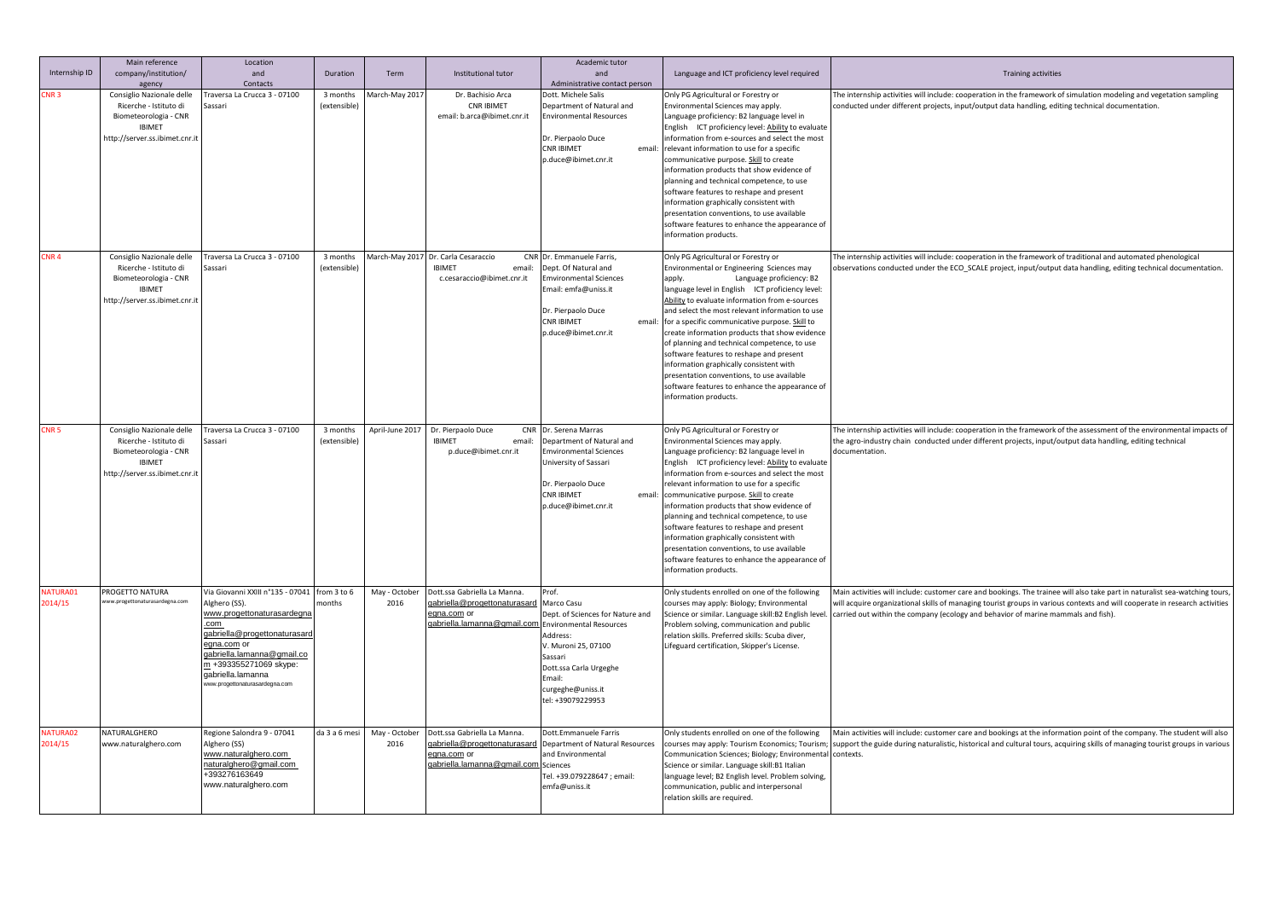| Internship ID       | Main reference<br>company/institution/<br>agency                                                                               | Location<br>and<br>Contacts                                                                                                                                                                                                                                      | Duration                 | Term                  | Institutional tutor                                                                                                                       | Academic tutor<br>and<br>Administrative contact person                                                                                                                              | Language and ICT proficiency level required                                                                                                                                                                                                                                                                                                                                                                                                                                                                                                                                                                                                                | <b>Training activities</b>                                                                                                                                                                                                                                                                                                                      |
|---------------------|--------------------------------------------------------------------------------------------------------------------------------|------------------------------------------------------------------------------------------------------------------------------------------------------------------------------------------------------------------------------------------------------------------|--------------------------|-----------------------|-------------------------------------------------------------------------------------------------------------------------------------------|-------------------------------------------------------------------------------------------------------------------------------------------------------------------------------------|------------------------------------------------------------------------------------------------------------------------------------------------------------------------------------------------------------------------------------------------------------------------------------------------------------------------------------------------------------------------------------------------------------------------------------------------------------------------------------------------------------------------------------------------------------------------------------------------------------------------------------------------------------|-------------------------------------------------------------------------------------------------------------------------------------------------------------------------------------------------------------------------------------------------------------------------------------------------------------------------------------------------|
| SNR <sub>3</sub>    | Consiglio Nazionale delle<br>Ricerche - Istituto di<br>Biometeorologia - CNR<br><b>IBIMET</b><br>http://server.ss.ibimet.cnr.i | Fraversa La Crucca 3 - 07100<br>iassari                                                                                                                                                                                                                          | 3 months<br>(extensible) | March-May 2017        | Dr. Bachisio Arca<br><b>CNR IBIMET</b><br>email: b.arca@ibimet.cnr.it                                                                     | Dott. Michele Salis<br>Department of Natural and<br><b>Environmental Resources</b><br>Dr. Pierpaolo Duce<br><b>CNR IBIMET</b><br>p.duce@ibimet.cnr.it                               | Only PG Agricultural or Forestry or<br>Environmental Sciences may apply.<br>Language proficiency: B2 language level in<br>English ICT proficiency level: Ability to evaluate<br>information from e-sources and select the most<br>email: relevant information to use for a specific<br>communicative purpose. Skill to create<br>information products that show evidence of<br>planning and technical competence, to use<br>software features to reshape and present<br>information graphically consistent with<br>presentation conventions, to use available<br>software features to enhance the appearance of<br>information products.                   | The internship activities will include: cooperation in the framework of simulation modeling and vegetation sampling<br>conducted under different projects, input/output data handling, editing technical documentation.                                                                                                                         |
| CNR <sub>4</sub>    | Consiglio Nazionale delle<br>Ricerche - Istituto di<br>Biometeorologia - CNR<br><b>IBIMET</b><br>http://server.ss.ibimet.cnr.i | Traversa La Crucca 3 - 07100<br>Sassari                                                                                                                                                                                                                          | 3 months<br>(extensible) | March-May 2017        | Dr. Carla Cesaraccio<br><b>IBIMET</b><br>email:<br>c.cesaraccio@ibimet.cnr.it                                                             | CNR Dr. Emmanuele Farris,<br>Dept. Of Natural and<br><b>Emvironmental Sciences</b><br>Email: emfa@uniss.it<br>Dr. Pierpaolo Duce<br>CNR IBIMET<br>p.duce@ibimet.cnr.it              | Only PG Agricultural or Forestry or<br>Environmental or Engineering Sciences may<br>Language proficiency: B2<br>apply.<br>language level in English ICT proficiency level:<br>Ability to evaluate information from e-sources<br>and select the most relevant information to use<br>email: for a specific communicative purpose. Skill to<br>create information products that show evidence<br>of planning and technical competence, to use<br>software features to reshape and present<br>information graphically consistent with<br>presentation conventions, to use available<br>software features to enhance the appearance of<br>information products. | The internship activities will include: cooperation in the framework of traditional and automated phenological<br>observations conducted under the ECO_SCALE project, input/output data handling, editing technical documentation.                                                                                                              |
| CNR <sub>5</sub>    | Consiglio Nazionale delle<br>Ricerche - Istituto di<br>Biometeorologia - CNR<br><b>IBIMET</b><br>http://server.ss.ibimet.cnr.i | Traversa La Crucca 3 - 07100<br>Sassari                                                                                                                                                                                                                          | 3 months<br>(extensible) | April-June 2017       | Dr. Pierpaolo Duce<br>CNR<br><b>IBIMET</b><br>email:<br>p.duce@ibimet.cnr.it                                                              | Dr. Serena Marras<br>Department of Natural and<br><b>Emvironmental Sciences</b><br>University of Sassari<br>Dr. Pierpaolo Duce<br>CNR IBIMET<br>email:<br>p.duce@ibimet.cnr.it      | Only PG Agricultural or Forestry or<br>Environmental Sciences may apply.<br>Language proficiency: B2 language level in<br>English ICT proficiency level: Ability to evaluate<br>information from e-sources and select the most<br>relevant information to use for a specific<br>communicative purpose. Skill to create<br>information products that show evidence of<br>planning and technical competence, to use<br>software features to reshape and present<br>information graphically consistent with<br>presentation conventions, to use available<br>software features to enhance the appearance of<br>information products.                          | The internship activities will include: cooperation in the framework of the assessment of the environmental impacts of<br>the agro-industry chain conducted under different projects, input/output data handling, editing technical<br>documentation                                                                                            |
| NATURA01<br>2014/15 | PROGETTO NATURA<br>www.progettonaturasardegna.com                                                                              | Via Giovanni XXIII nº135 - 07041 from 3 to 6<br>Alghero (SS).<br>www.progettonaturasardegna<br>com<br>gabriella@progettonaturasard<br>egna.com or<br>qabriella.lamanna@gmail.co<br>m +393355271069 skype:<br>gabriella.lamanna<br>www.progettonaturasardegna.com | nonths                   | May - October<br>2016 | Dott.ssa Gabriella La Manna.<br><u>gabriella@progettonaturasard</u><br>egna.com or<br>gabriella.lamanna@gmail.com Environmental Resources | Prof.<br>Marco Casu<br>Dept. of Sciences for Nature and<br>Address:<br>V. Muroni 25, 07100<br>Sassari<br>Dott.ssa Carla Urgeghe<br>Email:<br>curgeghe@uniss.it<br>tel: +39079229953 | Only students enrolled on one of the following<br>courses may apply: Biology; Environmental<br>Science or similar. Language skill:B2 English level.<br>Problem solving, communication and public<br>relation skills. Preferred skills: Scuba diver,<br>Lifeguard certification, Skipper's License.                                                                                                                                                                                                                                                                                                                                                         | Main activities will include: customer care and bookings. The trainee will also take part in naturalist sea-watching tours,<br>will acquire organizational skills of managing tourist groups in various contexts and will cooperate in research activities<br>carried out within the company (ecology and behavior of marine mammals and fish). |
| NATURA02<br>2014/15 | NATURALGHERO<br>www.naturalghero.com                                                                                           | Regione Salondra 9 - 07041<br>Alghero (SS)<br>www.naturalghero.com<br>naturalghero@gmail.com<br>+393276163649<br>www.naturalghero.com                                                                                                                            | da 3 a 6 mesi            | May - October<br>2016 | Dott.ssa Gabriella La Manna.<br>gabriella@progettonaturasard<br>egna.com or<br>qabriella.lamanna@qmail.com                                | Dott.Emmanuele Farris<br>Department of Natural Resources<br>and Environmental<br>Sciences<br>Tel. +39.079228647 ; email:<br>emfa@uniss.it                                           | Only students enrolled on one of the following<br>courses may apply: Tourism Economics; Tourism;<br>Communication Sciences; Biology; Environmental contexts.<br>Science or similar. Language skill:B1 Italian<br>language level; B2 English level. Problem solving,<br>communication, public and interpersonal<br>relation skills are required.                                                                                                                                                                                                                                                                                                            | Main activities will include: customer care and bookings at the information point of the company. The student will also<br>support the guide during naturalistic, historical and cultural tours, acquiring skills of managing tourist groups in various                                                                                         |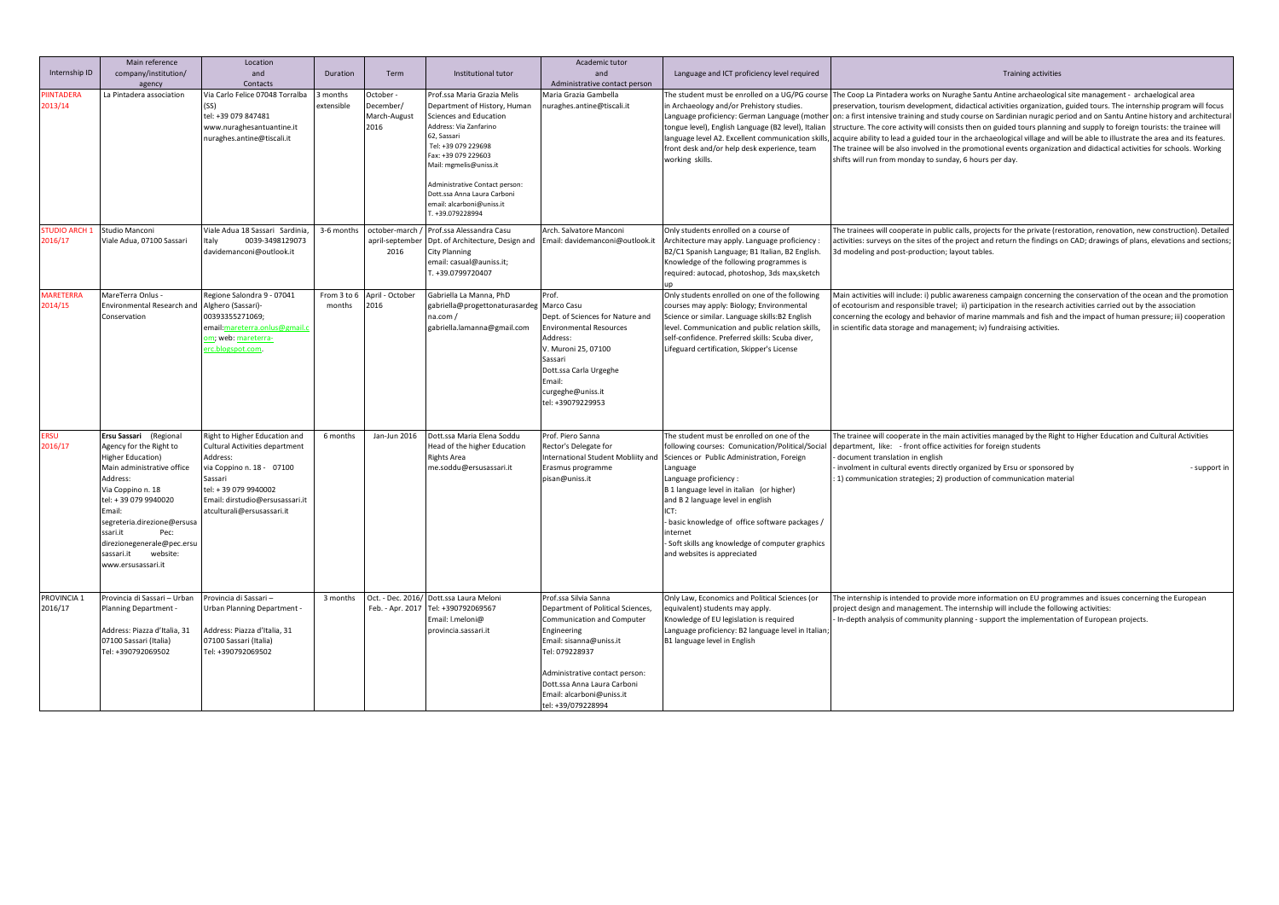| Internship ID                  | Main reference<br>company/institution/<br>agency                                                                                                                                                                                                                                                          | Location<br>and<br>Contacts                                                                                                                                                                                  | Duration              | Term                                           | Institutional tutor                                                                                                                                                                                                                                                                                                      | Academic tutor<br>and<br>Administrative contact person                                                                                                                                                                                                                   | Language and ICT proficiency level required                                                                                                                                                                                                                                                                                                                                                                                                                      | Training activities                                                                                                                                                                                                                                                                                                                                                                                                                                                                                                                                                                                                                                                                                                                                                                                                                                                                                                                                                 |
|--------------------------------|-----------------------------------------------------------------------------------------------------------------------------------------------------------------------------------------------------------------------------------------------------------------------------------------------------------|--------------------------------------------------------------------------------------------------------------------------------------------------------------------------------------------------------------|-----------------------|------------------------------------------------|--------------------------------------------------------------------------------------------------------------------------------------------------------------------------------------------------------------------------------------------------------------------------------------------------------------------------|--------------------------------------------------------------------------------------------------------------------------------------------------------------------------------------------------------------------------------------------------------------------------|------------------------------------------------------------------------------------------------------------------------------------------------------------------------------------------------------------------------------------------------------------------------------------------------------------------------------------------------------------------------------------------------------------------------------------------------------------------|---------------------------------------------------------------------------------------------------------------------------------------------------------------------------------------------------------------------------------------------------------------------------------------------------------------------------------------------------------------------------------------------------------------------------------------------------------------------------------------------------------------------------------------------------------------------------------------------------------------------------------------------------------------------------------------------------------------------------------------------------------------------------------------------------------------------------------------------------------------------------------------------------------------------------------------------------------------------|
| <b>IINTADERA</b><br>2013/14    | La Pintadera association                                                                                                                                                                                                                                                                                  | Via Carlo Felice 07048 Torralba<br>tel: +39 079 847481<br>www.nuraghesantuantine.it<br>nuraghes.antine@tiscali.it                                                                                            | months<br>xtensible   | October -<br>December/<br>March-August<br>2016 | Prof.ssa Maria Grazia Melis<br>Department of History, Human<br>Sciences and Education<br>Address: Via Zanfarino<br>62, Sassari<br>Tel: +39 079 229698<br>Fax: +39 079 229603<br>Mail: mgmelis@uniss.it<br>dministrative Contact person:<br>Dott.ssa Anna Laura Carboni<br>email: alcarboni@uniss.it<br>$. +39.079228994$ | Maria Grazia Gambella<br>nuraghes.antine@tiscali.it                                                                                                                                                                                                                      | in Archaeology and/or Prehistory studies.<br>tongue level), English Language (B2 level), Italian<br>front desk and/or help desk experience, team<br>working skills.                                                                                                                                                                                                                                                                                              | The student must be enrolled on a UG/PG course The Coop La Pintadera works on Nuraghe Santu Antine archaeological site management - archaelogical area<br>preservation, tourism development, didactical activities organization, guided tours. The internship program will focus<br>Language proficiency: German Language (mother  on: a first intensive training and study course on Sardinian nuragic period and on Santu Antine history and architectural<br>structure. The core activity will consists then on guided tours planning and supply to foreign tourists: the trainee will<br>language level A2. Excellent communication skills, acquire ability to lead a guided tour in the archaeological village and will be able to illustrate the area and its features.<br>The trainee will be also involved in the promotional events organization and didactical activities for schools. Working<br>shifts will run from monday to sunday, 6 hours per day. |
| <b>TUDIO ARCH 1</b><br>2016/17 | Studio Manconi<br>Viale Adua, 07100 Sassari                                                                                                                                                                                                                                                               | Viale Adua 18 Sassari Sardinia,<br>Italy<br>0039-3498129073<br>davidemanconi@outlook.it                                                                                                                      | 3-6 months            | october-march<br>april-september<br>2016       | Prof.ssa Alessandra Casu<br>Dpt. of Architecture, Design and<br><b>City Planning</b><br>email: casual@auniss.it;<br>T. +39.0799720407                                                                                                                                                                                    | Arch. Salvatore Manconi<br>Email: davidemanconi@outlook.it                                                                                                                                                                                                               | Only students enrolled on a course of<br>Architecture may apply. Language proficiency :<br>B2/C1 Spanish Language; B1 Italian, B2 English.<br>Knowledge of the following programmes is<br>required: autocad, photoshop, 3ds max, sketch                                                                                                                                                                                                                          | The trainees will cooperate in public calls, projects for the private (restoration, renovation, new construction). Detailed<br>activities: surveys on the sites of the project and return the findings on CAD; drawings of plans, elevations and sections<br>3d modeling and post-production; layout tables.                                                                                                                                                                                                                                                                                                                                                                                                                                                                                                                                                                                                                                                        |
| <b>MARETERRA</b><br>2014/15    | MareTerra Onlus -<br>Environmental Research and<br>Conservation                                                                                                                                                                                                                                           | Regione Salondra 9 - 07041<br>Alghero (Sassari)-<br>00393355271069;<br>email:mareterra.onlus@gmail.c<br>om; web: mareterra-<br>erc.blogspot.com.                                                             | From 3 to 6<br>months | April - October<br>2016                        | Gabriella La Manna, PhD<br>gabriella@progettonaturasardeg Marco Casu<br>na.com /<br>gabriella.lamanna@gmail.com                                                                                                                                                                                                          | Prof.<br>Dept. of Sciences for Nature and<br><b>Environmental Resources</b><br>Address:<br>V. Muroni 25, 07100<br>Sassari<br>Dott.ssa Carla Urgeghe<br>Email:<br>curgeghe@uniss.it<br>tel: +39079229953                                                                  | Only students enrolled on one of the following<br>courses may apply: Biology; Environmental<br>Science or similar. Language skills:B2 English<br>level. Communication and public relation skills,<br>self-confidence. Preferred skills: Scuba diver,<br>Lifeguard certification, Skipper's License                                                                                                                                                               | Main activities will include: i) public awareness campaign concerning the conservation of the ocean and the promotion<br>of ecotourism and responsible travel; ii) participation in the research activities carried out by the association<br>concerning the ecology and behavior of marine mammals and fish and the impact of human pressure; iii) cooperation<br>n scientific data storage and management; iv) fundraising activities.                                                                                                                                                                                                                                                                                                                                                                                                                                                                                                                            |
| <b>ERSU</b><br>2016/17         | Ersu Sassari (Regional<br>Agency for the Right to<br>Higher Education)<br>Main administrative office<br>Address:<br>Via Coppino n. 18<br>tel: + 39 079 9940020<br>Email:<br>segreteria.direzione@ersusa<br>Pec:<br>ssari.it<br>direzionegenerale@pec.ersu<br>sassari.it<br>website:<br>www.ersusassari.it | Right to Higher Education and<br>Cultural Activities department<br>Address:<br>via Coppino n. 18 - 07100<br>Sassari<br>tel: +39 079 9940002<br>Email: dirstudio@ersusassari.it<br>atculturali@ersusassari.it | 6 months              | Jan-Jun 2016                                   | Dott.ssa Maria Elena Soddu<br>Head of the higher Education<br>Rights Area<br>me.soddu@ersusassari.it                                                                                                                                                                                                                     | Prof. Piero Sanna<br>Rector's Delegate for<br>Erasmus programme<br>pisan@uniss.it                                                                                                                                                                                        | The student must be enrolled on one of the<br>following courses: Comunication/Political/Social<br>International Student Mobliity and Sciences or Public Administration, Foreign<br>Language<br>Language proficiency:<br>B 1 language level in italian (or higher)<br>and B 2 language level in english<br>ICT:<br>- basic knowledge of office software packages /<br>internet<br>- Soft skills ang knowledge of computer graphics<br>and websites is appreciated | The trainee will cooperate in the main activities managed by the Right to Higher Education and Cultural Activities<br>department, like: - front office activities for foreign students<br>document translation in english<br>involment in cultural events directly organized by Ersu or sponsored by<br>- support in<br>1) communication strategies; 2) production of communication material                                                                                                                                                                                                                                                                                                                                                                                                                                                                                                                                                                        |
| PROVINCIA 1<br>2016/17         | Provincia di Sassari - Urban<br>Planning Department -<br>Address: Piazza d'Italia, 31<br>07100 Sassari (Italia)<br>Tel: +390792069502                                                                                                                                                                     | Provincia di Sassari -<br><b>Urban Planning Department -</b><br>Address: Piazza d'Italia, 31<br>07100 Sassari (Italia)<br>Tel: +390792069502                                                                 | 3 months              |                                                | Oct. - Dec. 2016/ Dott.ssa Laura Meloni<br>Feb. - Apr. 2017 Tel: +390792069567<br>Email: I.meloni@<br>provincia.sassari.it                                                                                                                                                                                               | Prof.ssa Silvia Sanna<br>Department of Political Sciences,<br>Communication and Computer<br>Engineering<br>Email: sisanna@uniss.it<br>Tel: 079228937<br>Administrative contact person:<br>Dott.ssa Anna Laura Carboni<br>Email: alcarboni@uniss.it<br>tel: +39/079228994 | Only Law, Economics and Political Sciences (or<br>equivalent) students may apply.<br>Knowledge of EU legislation is required<br>Language proficiency: B2 language level in Italian;<br>B1 language level in English                                                                                                                                                                                                                                              | The internship is intended to provide more information on EU programmes and issues concerning the European<br>project design and management. The internship will include the following activities:<br>In-depth analysis of community planning - support the implementation of European projects.                                                                                                                                                                                                                                                                                                                                                                                                                                                                                                                                                                                                                                                                    |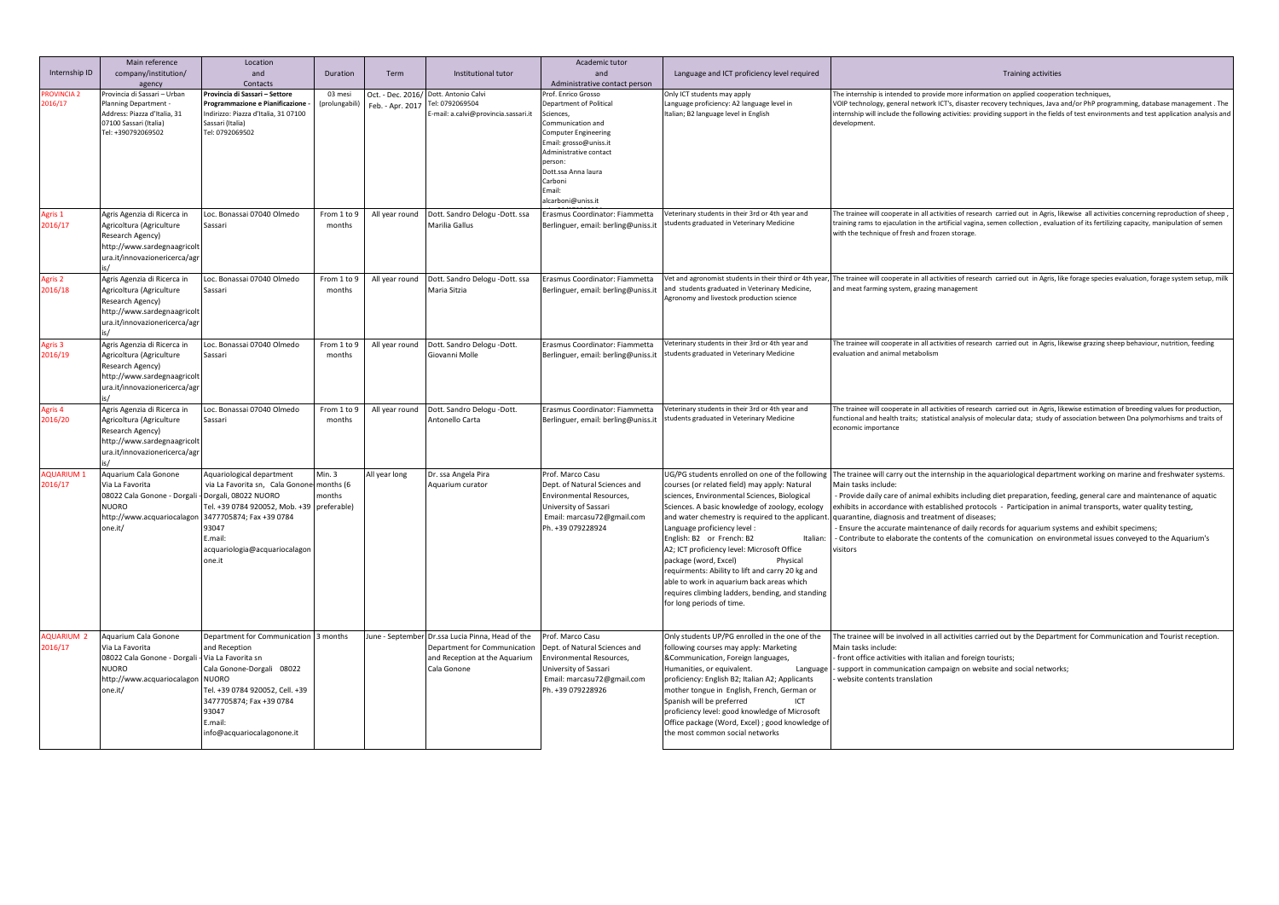| Internship ID                | Main reference<br>company/institution/<br>agency                                                                                                       | Location<br>and<br>Contacts                                                                                                                                                                                                     | Duration                      | Term                                  | Institutional tutor                                                                                             | Academic tutor<br>and<br>Administrative contact person                                                                                                                                                                                    | Language and ICT proficiency level required                                                                                                                                                                                                                                                                                                                                                                                                                                                                                                                                                           | <b>Training activities</b>                                                                                                                                                                                                                                                                                                                                                                                                                                                                                                                                                                                                                                            |
|------------------------------|--------------------------------------------------------------------------------------------------------------------------------------------------------|---------------------------------------------------------------------------------------------------------------------------------------------------------------------------------------------------------------------------------|-------------------------------|---------------------------------------|-----------------------------------------------------------------------------------------------------------------|-------------------------------------------------------------------------------------------------------------------------------------------------------------------------------------------------------------------------------------------|-------------------------------------------------------------------------------------------------------------------------------------------------------------------------------------------------------------------------------------------------------------------------------------------------------------------------------------------------------------------------------------------------------------------------------------------------------------------------------------------------------------------------------------------------------------------------------------------------------|-----------------------------------------------------------------------------------------------------------------------------------------------------------------------------------------------------------------------------------------------------------------------------------------------------------------------------------------------------------------------------------------------------------------------------------------------------------------------------------------------------------------------------------------------------------------------------------------------------------------------------------------------------------------------|
| <b>ROVINCIA 2</b><br>2016/17 | rovincia di Sassari - Urban<br>lanning Department -<br>Address: Piazza d'Italia, 31<br>07100 Sassari (Italia)<br>Tel: +390792069502                    | Provincia di Sassari - Settore<br>rogrammazione e Pianificazione<br>ndirizzo: Piazza d'Italia, 31 07100<br>Sassari (Italia)<br>Tel: 0792069502                                                                                  | 03 mesi<br>(prolungabili)     | Oct. - Dec. 2016/<br>Feb. - Apr. 2017 | Dott. Antonio Calvi<br>Tel: 0792069504<br>E-mail: a.calvi@provincia.sassari.it                                  | Prof. Enrico Grosso<br>Department of Political<br>Sciences.<br>Communication and<br>Computer Engineering<br>Email: grosso@uniss.it<br>Administrative contact<br>person:<br>Dott.ssa Anna laura<br>Carboni<br>Email:<br>alcarboni@uniss.it | Only ICT students may apply<br>anguage proficiency: A2 language level in<br>Italian; B2 language level in English                                                                                                                                                                                                                                                                                                                                                                                                                                                                                     | The internship is intended to provide more information on applied cooperation techniques,<br>VOIP technology, general network ICT's, disaster recovery techniques, Java and/or PhP programming, database management . The<br>internship will include the following activities: providing support in the fields of test environments and test application analysis and<br>development                                                                                                                                                                                                                                                                                  |
| Agris 1<br>2016/17           | Agris Agenzia di Ricerca in<br>Agricoltura (Agriculture<br>Research Agency)<br>http://www.sardegnaagricolt<br>ura.it/innovazionericerca/agr            | Loc. Bonassai 07040 Olmedo<br>Sassari                                                                                                                                                                                           | From 1 to 9<br>months         | All year round                        | Dott. Sandro Delogu -Dott. ssa<br>Marilia Gallus                                                                | Erasmus Coordinator: Fiammetta<br>Berlinguer, email: berling@uniss.it                                                                                                                                                                     | Veterinary students in their 3rd or 4th year and<br>students graduated in Veterinary Medicine                                                                                                                                                                                                                                                                                                                                                                                                                                                                                                         | The trainee will cooperate in all activities of research carried out in Agris, likewise all activities concerning reproduction of sheep<br>training rams to ejaculation in the artificial vagina, semen collection , evaluation of its fertilizing capacity, manipulation of semen<br>with the technique of fresh and frozen storage                                                                                                                                                                                                                                                                                                                                  |
| <b>Agris 2</b><br>2016/18    | Agris Agenzia di Ricerca in<br>Agricoltura (Agriculture<br>Research Agency)<br>http://www.sardegnaagricolt<br>ura.it/innovazionericerca/agr            | Loc. Bonassai 07040 Olmedo<br>Sassari                                                                                                                                                                                           | From 1 to 9<br>months         | All year round                        | Dott. Sandro Delogu -Dott. ssa<br>Maria Sitzia                                                                  | Erasmus Coordinator: Fiammetta<br>Berlinguer, email: berling@uniss.it                                                                                                                                                                     | Vet and agronomist students in their third or 4th year,<br>nd students graduated in Veterinary Medicine,<br>Agronomy and livestock production science                                                                                                                                                                                                                                                                                                                                                                                                                                                 | The trainee will cooperate in all activities of research carried out in Agris, like forage species evaluation, forage system setup, milk<br>and meat farming system, grazing management                                                                                                                                                                                                                                                                                                                                                                                                                                                                               |
| <b>Agris 3</b><br>2016/19    | Agris Agenzia di Ricerca in<br>Agricoltura (Agriculture<br>Research Agency)<br>http://www.sardegnaagricolt<br>ura.it/innovazionericerca/agr            | Loc. Bonassai 07040 Olmedo<br>Sassari                                                                                                                                                                                           | From 1 to 9<br>months         | All year round                        | Dott. Sandro Delogu -Dott.<br>Giovanni Molle                                                                    | Erasmus Coordinator: Fiammetta<br>Berlinguer, email: berling@uniss.it                                                                                                                                                                     | /eterinary students in their 3rd or 4th year and<br>students graduated in Veterinary Medicine                                                                                                                                                                                                                                                                                                                                                                                                                                                                                                         | The trainee will cooperate in all activities of research carried out in Agris, likewise grazing sheep behaviour, nutrition, feeding<br>evaluation and animal metabolism                                                                                                                                                                                                                                                                                                                                                                                                                                                                                               |
| <b>Agris 4</b><br>2016/20    | Agris Agenzia di Ricerca in<br>Agricoltura (Agriculture<br>Research Agency)<br>http://www.sardegnaagricolt<br>ura.it/innovazionericerca/agr            | Loc. Bonassai 07040 Olmedo<br>Sassari                                                                                                                                                                                           | From 1 to 9<br>months         | All year round                        | Dott. Sandro Delogu -Dott.<br>Antonello Carta                                                                   | rasmus Coordinator: Fiammetta<br>Berlinguer, email: berling@uniss.it                                                                                                                                                                      | /eterinary students in their 3rd or 4th year and<br>students graduated in Veterinary Medicine                                                                                                                                                                                                                                                                                                                                                                                                                                                                                                         | The trainee will cooperate in all activities of research carried out in Agris, likewise estimation of breeding values for production,<br>functional and health traits; statistical analysis of molecular data; study of association between Dna polymorhisms and traits of<br>economic importance                                                                                                                                                                                                                                                                                                                                                                     |
| <b>AQUARIUM 1</b><br>2016/17 | Aquarium Cala Gonone<br>Via La Favorita<br>08022 Cala Gonone - Dorgali - Dorgali, 08022 NUORO<br><b>NUORO</b><br>http://www.acquariocalagon<br>one.it/ | <b>Aquariological department</b><br>via La Favorita sn, Cala Gonone<br>Tel. +39 0784 920052, Mob. +39 preferable)<br>3477705874; Fax +39 0784<br>93047<br>E.mail:<br>acquariologia@acquariocalagor<br>one.it                    | Min. 3<br>months (6<br>months | All year long                         | Dr. ssa Angela Pira<br>Aquarium curator                                                                         | Prof. Marco Casu<br>Dept. of Natural Sciences and<br>Environmental Resources,<br>University of Sassari<br>Email: marcasu72@gmail.com<br>Ph. +39 079228924                                                                                 | UG/PG students enrolled on one of the following<br>courses (or related field) may apply: Natural<br>sciences, Environmental Sciences, Biological<br>Sciences. A basic knowledge of zoology, ecology<br>and water chemestry is required to the applicant<br>Language proficiency level:<br>English: B2 or French: B2<br>Italian:<br>A2; ICT proficiency level: Microsoft Office<br>package (word, Excel)<br>Physical<br>requirments: Ability to lift and carry 20 kg and<br>able to work in aquarium back areas which<br>requires climbing ladders, bending, and standing<br>for long periods of time. | The trainee will carry out the internship in the aquariological department working on marine and freshwater systems.<br>Main tasks include:<br>- Provide daily care of animal exhibits including diet preparation, feeding, general care and maintenance of aquatic<br>exhibits in accordance with established protocols - Participation in animal transports, water quality testing,<br>quarantine, diagnosis and treatment of diseases;<br>Ensure the accurate maintenance of daily records for aquarium systems and exhibit specimens;<br>- Contribute to elaborate the contents of the comunication on environmetal issues conveyed to the Aquarium's<br>visitors |
| <b>AQUARIUM 2</b><br>2016/17 | Aquarium Cala Gonone<br>Via La Favorita<br>08022 Cala Gonone - Dorgali -<br><b>NUORO</b><br>http://www.acquariocalagon<br>one.it/                      | Department for Communication<br>and Reception<br>Via La Favorita sn<br>Cala Gonone-Dorgali 08022<br><b>NUORO</b><br>Tel. +39 0784 920052, Cell. +39<br>3477705874; Fax +39 0784<br>33047<br>.mail:<br>nfo@acquariocalagonone.it | 3 months                      | June - September                      | Dr.ssa Lucia Pinna, Head of the<br>Department for Communication<br>and Reception at the Aquarium<br>Cala Gonone | Prof. Marco Casu<br>Dept. of Natural Sciences and<br>Environmental Resources,<br>University of Sassari<br>Email: marcasu72@gmail.com<br>Ph. +39 079228926                                                                                 | Only students UP/PG enrolled in the one of the<br>following courses may apply: Marketing<br>&Communication, Foreign languages,<br>Humanities, or equivalent.<br>Language<br>proficiency: English B2; Italian A2; Applicants<br>mother tongue in English, French, German or<br><b>ICT</b><br>Spanish will be preferred<br>proficiency level: good knowledge of Microsoft<br>Office package (Word, Excel) ; good knowledge of<br>the most common social networks                                                                                                                                        | The trainee will be involved in all activities carried out by the Department for Communication and Tourist reception.<br>Main tasks include:<br>front office activities with italian and foreign tourists;<br>support in communication campaign on website and social networks;<br>website contents translation                                                                                                                                                                                                                                                                                                                                                       |